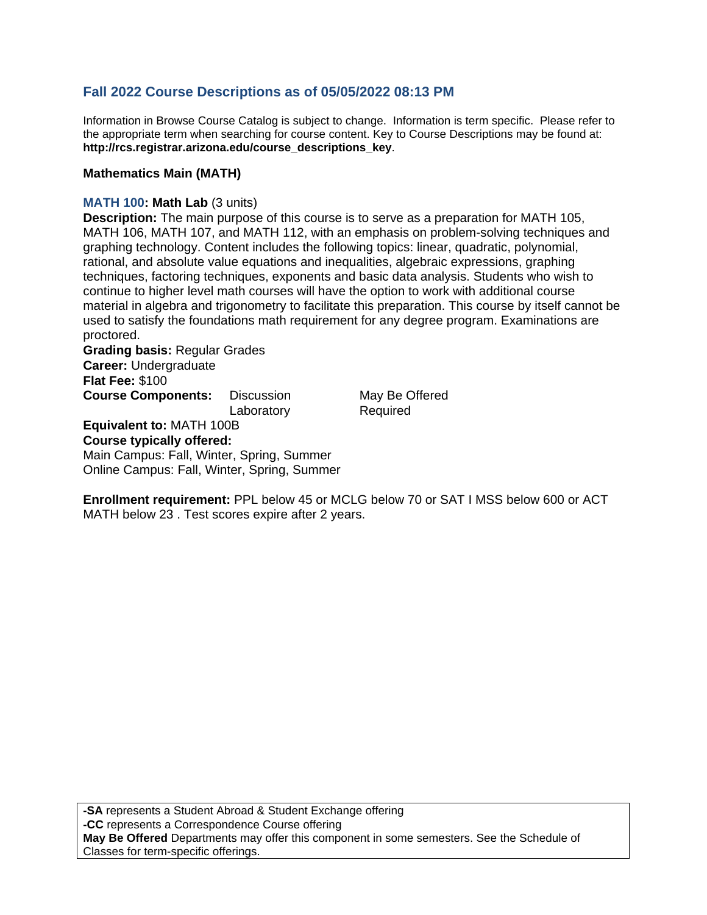# **Fall 2022 Course Descriptions as of 05/05/2022 08:13 PM**

Information in Browse Course Catalog is subject to change. Information is term specific. Please refer to the appropriate term when searching for course content. Key to Course Descriptions may be found at: **http://rcs.registrar.arizona.edu/course\_descriptions\_key**.

### **Mathematics Main (MATH)**

#### **MATH 100: Math Lab** (3 units)

**Description:** The main purpose of this course is to serve as a preparation for MATH 105, MATH 106, MATH 107, and MATH 112, with an emphasis on problem-solving techniques and graphing technology. Content includes the following topics: linear, quadratic, polynomial, rational, and absolute value equations and inequalities, algebraic expressions, graphing techniques, factoring techniques, exponents and basic data analysis. Students who wish to continue to higher level math courses will have the option to work with additional course material in algebra and trigonometry to facilitate this preparation. This course by itself cannot be used to satisfy the foundations math requirement for any degree program. Examinations are proctored.

**Grading basis:** Regular Grades **Career:** Undergraduate **Flat Fee:** \$100 **Course Components:** Discussion May Be Offered

Laboratory Required

**Equivalent to:** MATH 100B

#### **Course typically offered:**

Main Campus: Fall, Winter, Spring, Summer Online Campus: Fall, Winter, Spring, Summer

**Enrollment requirement:** PPL below 45 or MCLG below 70 or SAT I MSS below 600 or ACT MATH below 23 . Test scores expire after 2 years.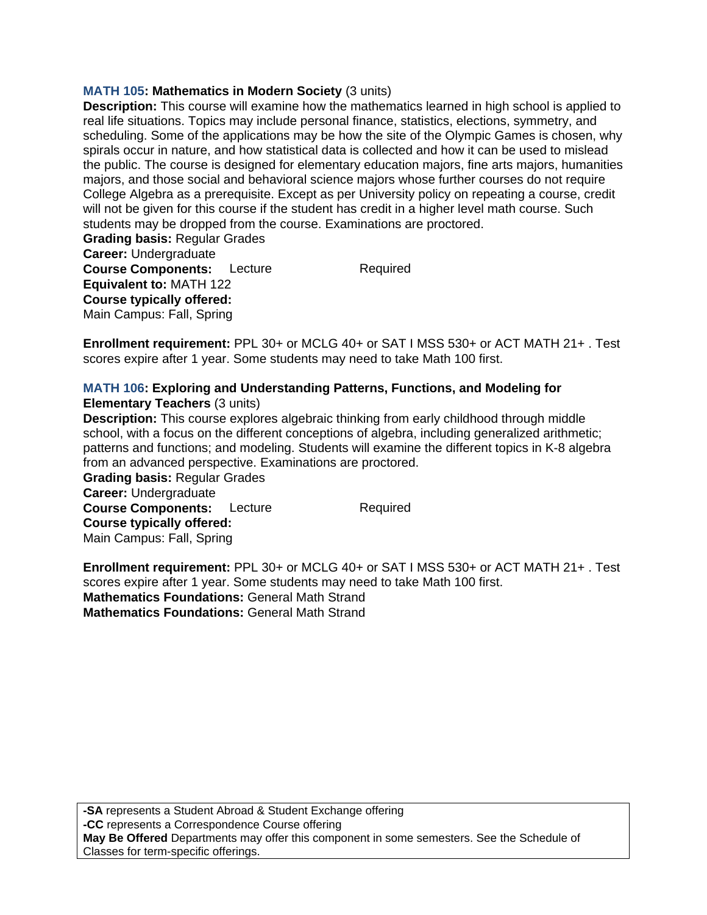# **MATH 105: Mathematics in Modern Society** (3 units)

**Description:** This course will examine how the mathematics learned in high school is applied to real life situations. Topics may include personal finance, statistics, elections, symmetry, and scheduling. Some of the applications may be how the site of the Olympic Games is chosen, why spirals occur in nature, and how statistical data is collected and how it can be used to mislead the public. The course is designed for elementary education majors, fine arts majors, humanities majors, and those social and behavioral science majors whose further courses do not require College Algebra as a prerequisite. Except as per University policy on repeating a course, credit will not be given for this course if the student has credit in a higher level math course. Such students may be dropped from the course. Examinations are proctored.

**Grading basis:** Regular Grades **Career:** Undergraduate **Course Components:** Lecture Required **Equivalent to:** MATH 122 **Course typically offered:**  Main Campus: Fall, Spring

**Enrollment requirement:** PPL 30+ or MCLG 40+ or SAT I MSS 530+ or ACT MATH 21+ . Test scores expire after 1 year. Some students may need to take Math 100 first.

#### **MATH 106: Exploring and Understanding Patterns, Functions, and Modeling for Elementary Teachers** (3 units)

**Description:** This course explores algebraic thinking from early childhood through middle school, with a focus on the different conceptions of algebra, including generalized arithmetic; patterns and functions; and modeling. Students will examine the different topics in K-8 algebra from an advanced perspective. Examinations are proctored.

**Grading basis:** Regular Grades **Career:** Undergraduate **Course Components:** Lecture Required **Course typically offered:**  Main Campus: Fall, Spring

**Enrollment requirement:** PPL 30+ or MCLG 40+ or SAT I MSS 530+ or ACT MATH 21+ . Test scores expire after 1 year. Some students may need to take Math 100 first. **Mathematics Foundations:** General Math Strand **Mathematics Foundations:** General Math Strand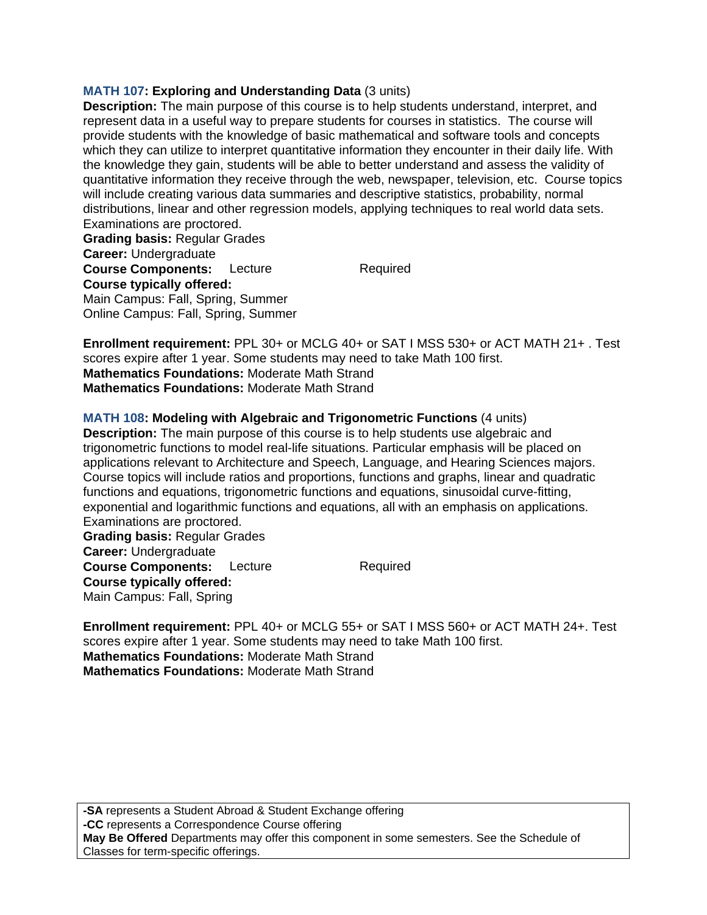### **MATH 107: Exploring and Understanding Data** (3 units)

**Description:** The main purpose of this course is to help students understand, interpret, and represent data in a useful way to prepare students for courses in statistics. The course will provide students with the knowledge of basic mathematical and software tools and concepts which they can utilize to interpret quantitative information they encounter in their daily life. With the knowledge they gain, students will be able to better understand and assess the validity of quantitative information they receive through the web, newspaper, television, etc. Course topics will include creating various data summaries and descriptive statistics, probability, normal distributions, linear and other regression models, applying techniques to real world data sets. Examinations are proctored.

**Grading basis:** Regular Grades **Career:** Undergraduate **Course Components:** Lecture Required **Course typically offered:**  Main Campus: Fall, Spring, Summer Online Campus: Fall, Spring, Summer

**Enrollment requirement:** PPL 30+ or MCLG 40+ or SAT I MSS 530+ or ACT MATH 21+ . Test scores expire after 1 year. Some students may need to take Math 100 first. **Mathematics Foundations:** Moderate Math Strand **Mathematics Foundations:** Moderate Math Strand

### **MATH 108: Modeling with Algebraic and Trigonometric Functions** (4 units)

**Description:** The main purpose of this course is to help students use algebraic and trigonometric functions to model real-life situations. Particular emphasis will be placed on applications relevant to Architecture and Speech, Language, and Hearing Sciences majors. Course topics will include ratios and proportions, functions and graphs, linear and quadratic functions and equations, trigonometric functions and equations, sinusoidal curve-fitting, exponential and logarithmic functions and equations, all with an emphasis on applications. Examinations are proctored. **Grading basis:** Regular Grades **Career:** Undergraduate

**Course Components:** Lecture Required **Course typically offered:**  Main Campus: Fall, Spring

**Enrollment requirement:** PPL 40+ or MCLG 55+ or SAT I MSS 560+ or ACT MATH 24+. Test scores expire after 1 year. Some students may need to take Math 100 first. **Mathematics Foundations:** Moderate Math Strand **Mathematics Foundations:** Moderate Math Strand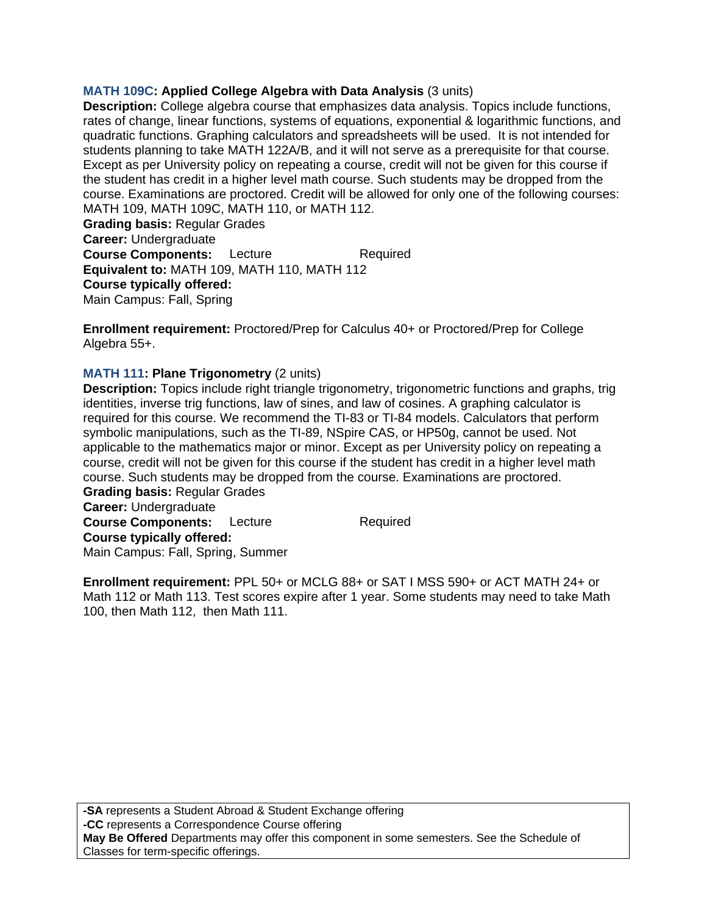# **MATH 109C: Applied College Algebra with Data Analysis** (3 units)

**Description:** College algebra course that emphasizes data analysis. Topics include functions, rates of change, linear functions, systems of equations, exponential & logarithmic functions, and quadratic functions. Graphing calculators and spreadsheets will be used. It is not intended for students planning to take MATH 122A/B, and it will not serve as a prerequisite for that course. Except as per University policy on repeating a course, credit will not be given for this course if the student has credit in a higher level math course. Such students may be dropped from the course. Examinations are proctored. Credit will be allowed for only one of the following courses: MATH 109, MATH 109C, MATH 110, or MATH 112.

**Grading basis:** Regular Grades **Career:** Undergraduate **Course Components:** Lecture Required **Equivalent to:** MATH 109, MATH 110, MATH 112 **Course typically offered:**  Main Campus: Fall, Spring

**Enrollment requirement:** Proctored/Prep for Calculus 40+ or Proctored/Prep for College Algebra 55+.

# **MATH 111: Plane Trigonometry** (2 units)

**Description:** Topics include right triangle trigonometry, trigonometric functions and graphs, trig identities, inverse trig functions, law of sines, and law of cosines. A graphing calculator is required for this course. We recommend the TI-83 or TI-84 models. Calculators that perform symbolic manipulations, such as the TI-89, NSpire CAS, or HP50g, cannot be used. Not applicable to the mathematics major or minor. Except as per University policy on repeating a course, credit will not be given for this course if the student has credit in a higher level math course. Such students may be dropped from the course. Examinations are proctored. **Grading basis:** Regular Grades

**Career:** Undergraduate **Course Components:** Lecture Required **Course typically offered:**  Main Campus: Fall, Spring, Summer

**Enrollment requirement:** PPL 50+ or MCLG 88+ or SAT I MSS 590+ or ACT MATH 24+ or Math 112 or Math 113. Test scores expire after 1 year. Some students may need to take Math 100, then Math 112, then Math 111.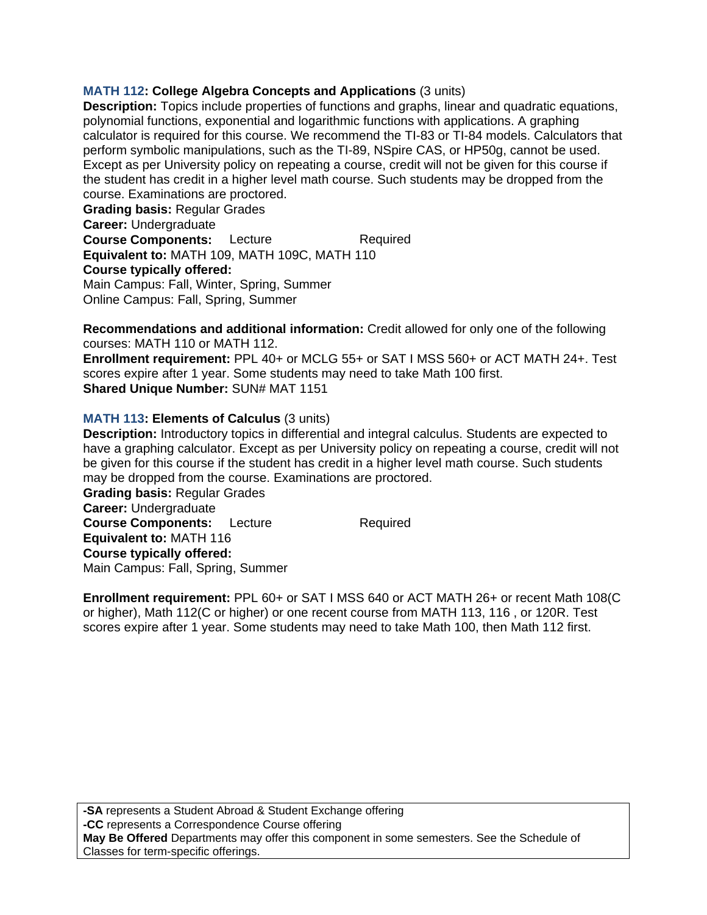# **MATH 112: College Algebra Concepts and Applications** (3 units)

**Description:** Topics include properties of functions and graphs, linear and quadratic equations, polynomial functions, exponential and logarithmic functions with applications. A graphing calculator is required for this course. We recommend the TI-83 or TI-84 models. Calculators that perform symbolic manipulations, such as the TI-89, NSpire CAS, or HP50g, cannot be used. Except as per University policy on repeating a course, credit will not be given for this course if the student has credit in a higher level math course. Such students may be dropped from the course. Examinations are proctored.

**Grading basis:** Regular Grades **Career:** Undergraduate **Course Components:** Lecture Required **Equivalent to:** MATH 109, MATH 109C, MATH 110 **Course typically offered:**  Main Campus: Fall, Winter, Spring, Summer Online Campus: Fall, Spring, Summer

**Recommendations and additional information:** Credit allowed for only one of the following courses: MATH 110 or MATH 112.

**Enrollment requirement:** PPL 40+ or MCLG 55+ or SAT I MSS 560+ or ACT MATH 24+. Test scores expire after 1 year. Some students may need to take Math 100 first. **Shared Unique Number:** SUN# MAT 1151

# **MATH 113: Elements of Calculus** (3 units)

**Description:** Introductory topics in differential and integral calculus. Students are expected to have a graphing calculator. Except as per University policy on repeating a course, credit will not be given for this course if the student has credit in a higher level math course. Such students may be dropped from the course. Examinations are proctored.

**Grading basis:** Regular Grades **Career:** Undergraduate **Course Components:** Lecture Required **Equivalent to:** MATH 116 **Course typically offered:**  Main Campus: Fall, Spring, Summer

**Enrollment requirement:** PPL 60+ or SAT I MSS 640 or ACT MATH 26+ or recent Math 108(C or higher), Math 112(C or higher) or one recent course from MATH 113, 116 , or 120R. Test scores expire after 1 year. Some students may need to take Math 100, then Math 112 first.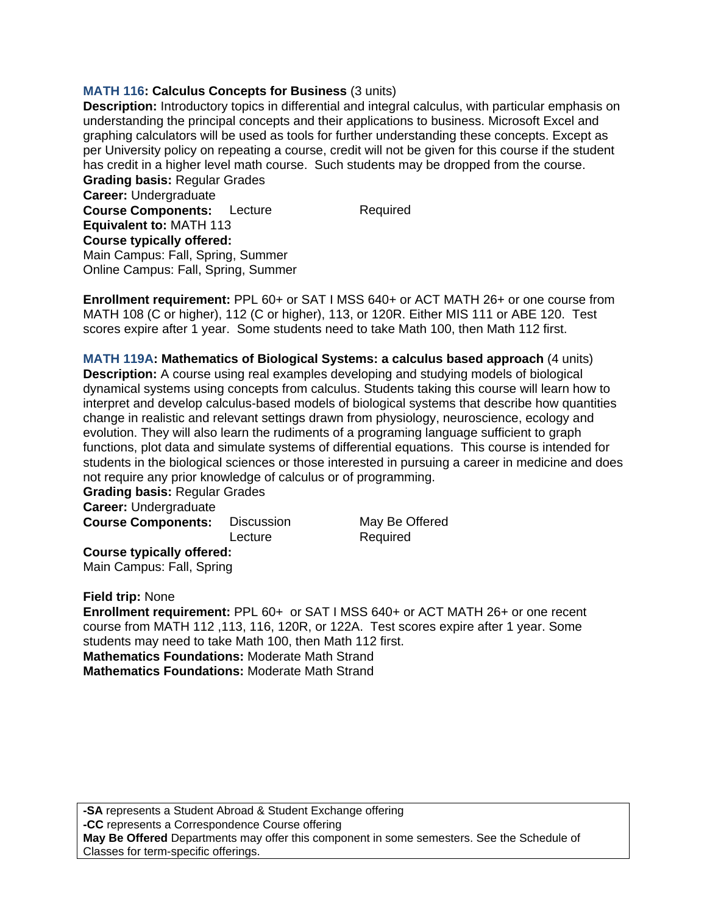# **MATH 116: Calculus Concepts for Business** (3 units)

**Description:** Introductory topics in differential and integral calculus, with particular emphasis on understanding the principal concepts and their applications to business. Microsoft Excel and graphing calculators will be used as tools for further understanding these concepts. Except as per University policy on repeating a course, credit will not be given for this course if the student has credit in a higher level math course. Such students may be dropped from the course.

**Grading basis:** Regular Grades **Career:** Undergraduate **Course Components:** Lecture Required **Equivalent to:** MATH 113 **Course typically offered:**  Main Campus: Fall, Spring, Summer Online Campus: Fall, Spring, Summer

**Enrollment requirement:** PPL 60+ or SAT I MSS 640+ or ACT MATH 26+ or one course from MATH 108 (C or higher), 112 (C or higher), 113, or 120R. Either MIS 111 or ABE 120. Test scores expire after 1 year. Some students need to take Math 100, then Math 112 first.

**MATH 119A: Mathematics of Biological Systems: a calculus based approach** (4 units) **Description:** A course using real examples developing and studying models of biological dynamical systems using concepts from calculus. Students taking this course will learn how to interpret and develop calculus-based models of biological systems that describe how quantities change in realistic and relevant settings drawn from physiology, neuroscience, ecology and evolution. They will also learn the rudiments of a programing language sufficient to graph functions, plot data and simulate systems of differential equations. This course is intended for students in the biological sciences or those interested in pursuing a career in medicine and does not require any prior knowledge of calculus or of programming.

**Grading basis:** Regular Grades **Career:** Undergraduate

**Course Components:** Discussion May Be Offered

Lecture Required

**Course typically offered:**  Main Campus: Fall, Spring

**Field trip:** None

**Enrollment requirement:** PPL 60+ or SAT I MSS 640+ or ACT MATH 26+ or one recent course from MATH 112 ,113, 116, 120R, or 122A. Test scores expire after 1 year. Some students may need to take Math 100, then Math 112 first. **Mathematics Foundations:** Moderate Math Strand **Mathematics Foundations:** Moderate Math Strand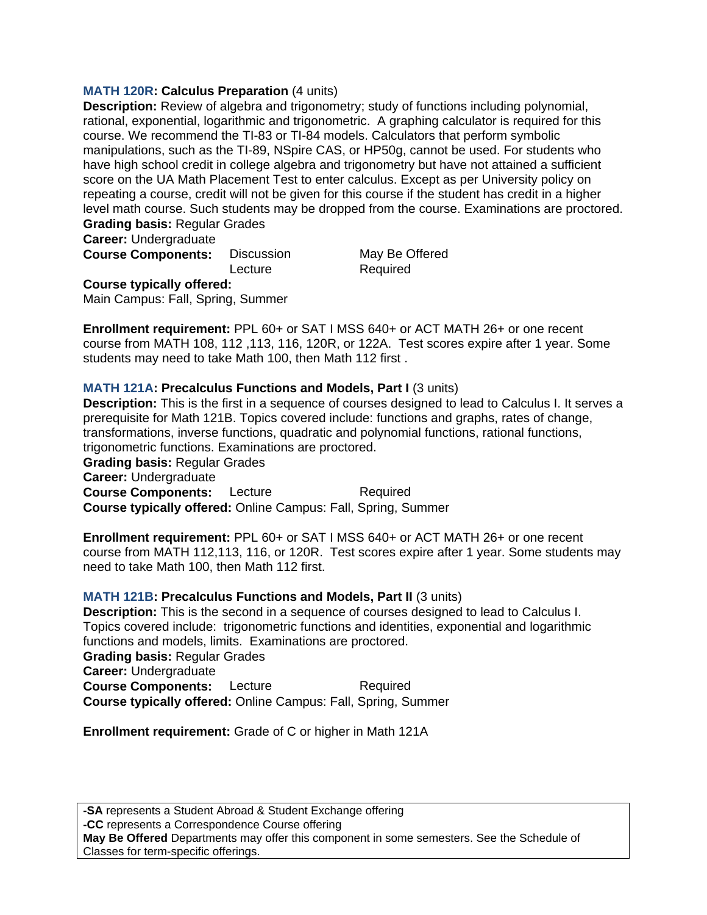### **MATH 120R: Calculus Preparation** (4 units)

**Description:** Review of algebra and trigonometry; study of functions including polynomial, rational, exponential, logarithmic and trigonometric. A graphing calculator is required for this course. We recommend the TI-83 or TI-84 models. Calculators that perform symbolic manipulations, such as the TI-89, NSpire CAS, or HP50g, cannot be used. For students who have high school credit in college algebra and trigonometry but have not attained a sufficient score on the UA Math Placement Test to enter calculus. Except as per University policy on repeating a course, credit will not be given for this course if the student has credit in a higher level math course. Such students may be dropped from the course. Examinations are proctored. **Grading basis:** Regular Grades

**Career:** Undergraduate

**Course Components:** Discussion May Be Offered

Lecture Required

**Course typically offered:** 

Main Campus: Fall, Spring, Summer

**Enrollment requirement:** PPL 60+ or SAT I MSS 640+ or ACT MATH 26+ or one recent course from MATH 108, 112 ,113, 116, 120R, or 122A. Test scores expire after 1 year. Some students may need to take Math 100, then Math 112 first .

#### **MATH 121A: Precalculus Functions and Models, Part I** (3 units)

**Description:** This is the first in a sequence of courses designed to lead to Calculus I. It serves a prerequisite for Math 121B. Topics covered include: functions and graphs, rates of change, transformations, inverse functions, quadratic and polynomial functions, rational functions, trigonometric functions. Examinations are proctored.

**Grading basis:** Regular Grades

**Career:** Undergraduate

**Course Components:** Lecture Required **Course typically offered:** Online Campus: Fall, Spring, Summer

**Enrollment requirement:** PPL 60+ or SAT I MSS 640+ or ACT MATH 26+ or one recent course from MATH 112,113, 116, or 120R. Test scores expire after 1 year. Some students may need to take Math 100, then Math 112 first.

#### **MATH 121B: Precalculus Functions and Models, Part II** (3 units)

**Description:** This is the second in a sequence of courses designed to lead to Calculus I. Topics covered include: trigonometric functions and identities, exponential and logarithmic functions and models, limits. Examinations are proctored. **Grading basis:** Regular Grades **Career:** Undergraduate **Course Components:** Lecture Required

**Course typically offered:** Online Campus: Fall, Spring, Summer

**Enrollment requirement:** Grade of C or higher in Math 121A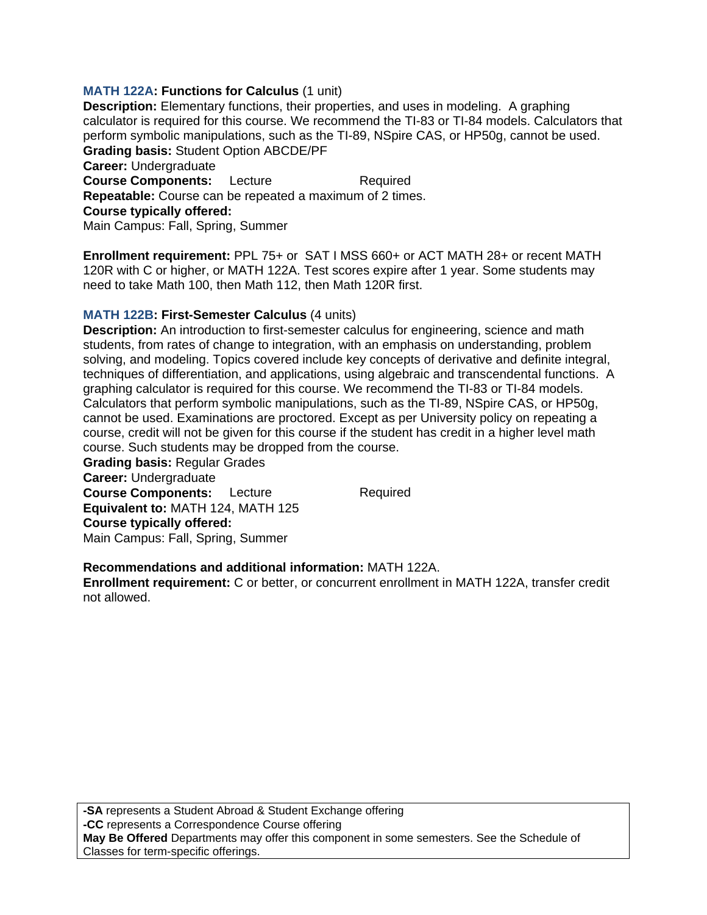### **MATH 122A: Functions for Calculus (1 unit)**

**Description:** Elementary functions, their properties, and uses in modeling. A graphing calculator is required for this course. We recommend the TI-83 or TI-84 models. Calculators that perform symbolic manipulations, such as the TI-89, NSpire CAS, or HP50g, cannot be used. **Grading basis:** Student Option ABCDE/PF

**Career:** Undergraduate **Course Components:** Lecture Required **Repeatable:** Course can be repeated a maximum of 2 times. **Course typically offered:**  Main Campus: Fall, Spring, Summer

**Enrollment requirement:** PPL 75+ or SAT I MSS 660+ or ACT MATH 28+ or recent MATH 120R with C or higher, or MATH 122A. Test scores expire after 1 year. Some students may need to take Math 100, then Math 112, then Math 120R first.

### **MATH 122B: First-Semester Calculus** (4 units)

**Description:** An introduction to first-semester calculus for engineering, science and math students, from rates of change to integration, with an emphasis on understanding, problem solving, and modeling. Topics covered include key concepts of derivative and definite integral, techniques of differentiation, and applications, using algebraic and transcendental functions. A graphing calculator is required for this course. We recommend the TI-83 or TI-84 models. Calculators that perform symbolic manipulations, such as the TI-89, NSpire CAS, or HP50g, cannot be used. Examinations are proctored. Except as per University policy on repeating a course, credit will not be given for this course if the student has credit in a higher level math course. Such students may be dropped from the course.

**Grading basis:** Regular Grades **Career:** Undergraduate **Course Components:** Lecture Required **Equivalent to:** MATH 124, MATH 125 **Course typically offered:**  Main Campus: Fall, Spring, Summer

#### **Recommendations and additional information:** MATH 122A.

**Enrollment requirement:** C or better, or concurrent enrollment in MATH 122A, transfer credit not allowed.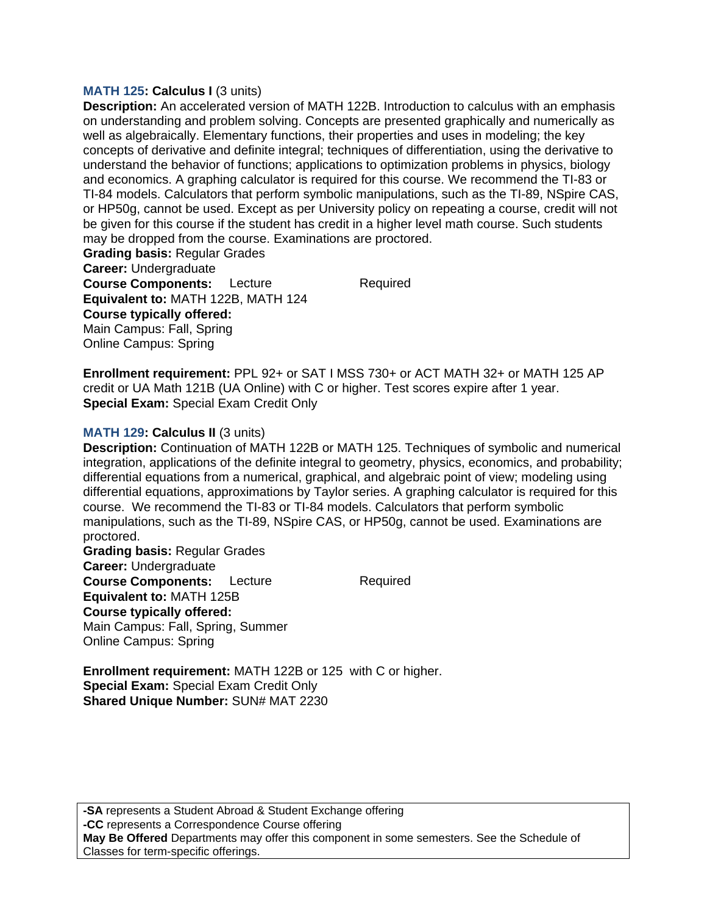#### **MATH 125: Calculus I** (3 units)

**Description:** An accelerated version of MATH 122B. Introduction to calculus with an emphasis on understanding and problem solving. Concepts are presented graphically and numerically as well as algebraically. Elementary functions, their properties and uses in modeling; the key concepts of derivative and definite integral; techniques of differentiation, using the derivative to understand the behavior of functions; applications to optimization problems in physics, biology and economics. A graphing calculator is required for this course. We recommend the TI-83 or TI-84 models. Calculators that perform symbolic manipulations, such as the TI-89, NSpire CAS, or HP50g, cannot be used. Except as per University policy on repeating a course, credit will not be given for this course if the student has credit in a higher level math course. Such students may be dropped from the course. Examinations are proctored.

**Grading basis:** Regular Grades **Career:** Undergraduate **Course Components:** Lecture Required **Equivalent to:** MATH 122B, MATH 124 **Course typically offered:**  Main Campus: Fall, Spring Online Campus: Spring

**Enrollment requirement:** PPL 92+ or SAT I MSS 730+ or ACT MATH 32+ or MATH 125 AP credit or UA Math 121B (UA Online) with C or higher. Test scores expire after 1 year. **Special Exam:** Special Exam Credit Only

#### **MATH 129: Calculus II** (3 units)

**Description:** Continuation of MATH 122B or MATH 125. Techniques of symbolic and numerical integration, applications of the definite integral to geometry, physics, economics, and probability; differential equations from a numerical, graphical, and algebraic point of view; modeling using differential equations, approximations by Taylor series. A graphing calculator is required for this course. We recommend the TI-83 or TI-84 models. Calculators that perform symbolic manipulations, such as the TI-89, NSpire CAS, or HP50g, cannot be used. Examinations are proctored.

**Grading basis:** Regular Grades **Career:** Undergraduate **Course Components:** Lecture Required **Equivalent to:** MATH 125B **Course typically offered:**  Main Campus: Fall, Spring, Summer Online Campus: Spring

**Enrollment requirement:** MATH 122B or 125 with C or higher. **Special Exam:** Special Exam Credit Only

**Shared Unique Number:** SUN# MAT 2230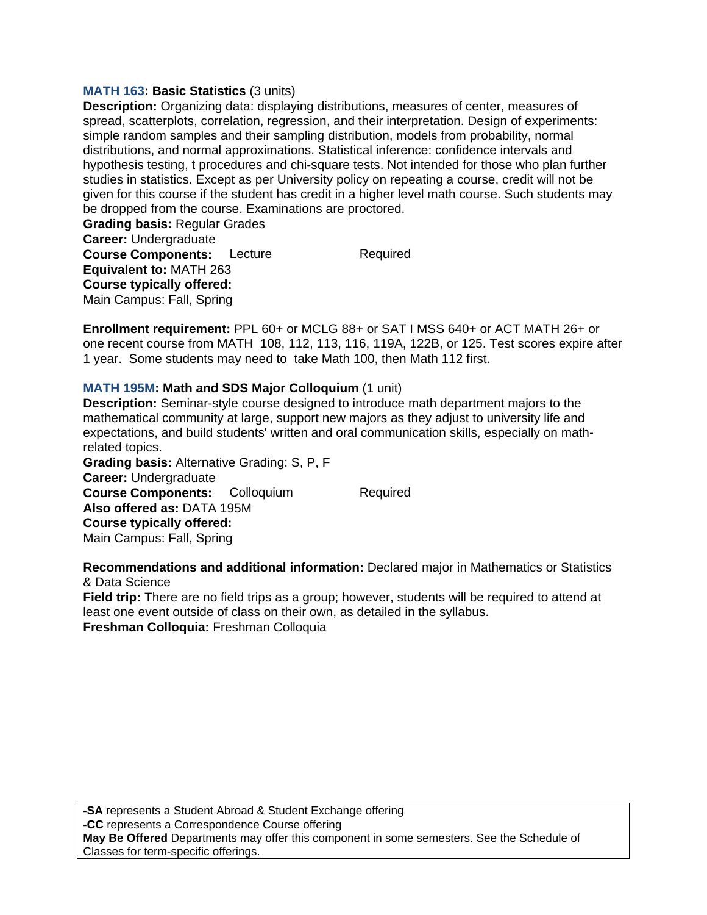### **MATH 163: Basic Statistics** (3 units)

**Description:** Organizing data: displaying distributions, measures of center, measures of spread, scatterplots, correlation, regression, and their interpretation. Design of experiments: simple random samples and their sampling distribution, models from probability, normal distributions, and normal approximations. Statistical inference: confidence intervals and hypothesis testing, t procedures and chi-square tests. Not intended for those who plan further studies in statistics. Except as per University policy on repeating a course, credit will not be given for this course if the student has credit in a higher level math course. Such students may be dropped from the course. Examinations are proctored.

**Grading basis:** Regular Grades **Career:** Undergraduate **Course Components:** Lecture Required **Equivalent to:** MATH 263 **Course typically offered:**  Main Campus: Fall, Spring

**Enrollment requirement:** PPL 60+ or MCLG 88+ or SAT I MSS 640+ or ACT MATH 26+ or one recent course from MATH 108, 112, 113, 116, 119A, 122B, or 125. Test scores expire after 1 year. Some students may need to take Math 100, then Math 112 first.

### **MATH 195M: Math and SDS Major Colloquium** (1 unit)

**Description:** Seminar-style course designed to introduce math department majors to the mathematical community at large, support new majors as they adjust to university life and expectations, and build students' written and oral communication skills, especially on mathrelated topics. **Grading basis:** Alternative Grading: S, P, F

**Career:** Undergraduate **Course Components:** Colloquium Required **Also offered as:** DATA 195M **Course typically offered:**  Main Campus: Fall, Spring

**Recommendations and additional information:** Declared major in Mathematics or Statistics & Data Science

**Field trip:** There are no field trips as a group; however, students will be required to attend at least one event outside of class on their own, as detailed in the syllabus. **Freshman Colloquia:** Freshman Colloquia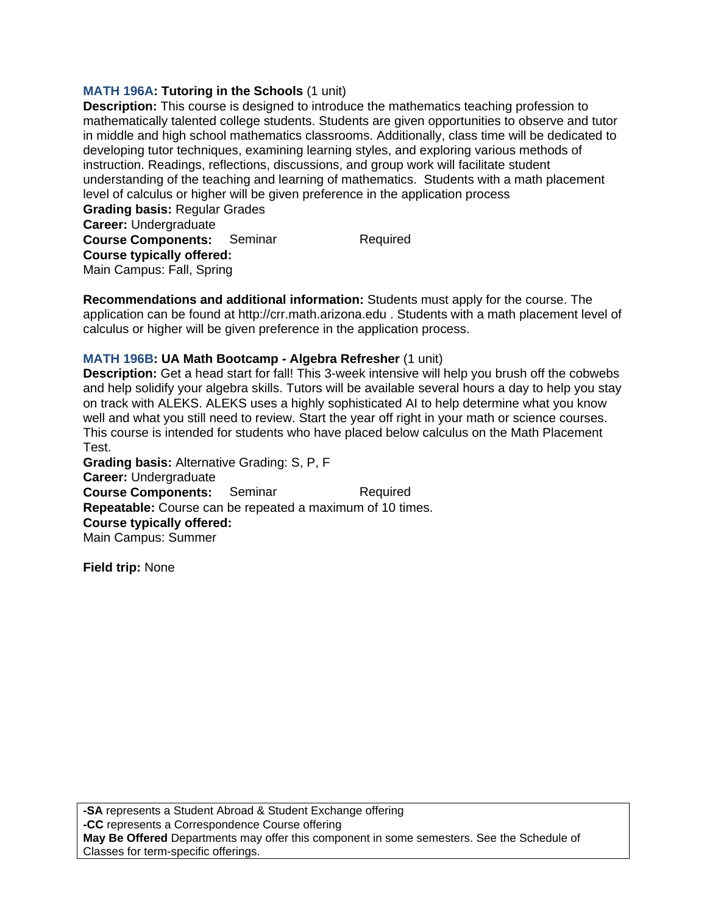### **MATH 196A: Tutoring in the Schools (1 unit)**

**Description:** This course is designed to introduce the mathematics teaching profession to mathematically talented college students. Students are given opportunities to observe and tutor in middle and high school mathematics classrooms. Additionally, class time will be dedicated to developing tutor techniques, examining learning styles, and exploring various methods of instruction. Readings, reflections, discussions, and group work will facilitate student understanding of the teaching and learning of mathematics. Students with a math placement level of calculus or higher will be given preference in the application process

**Grading basis:** Regular Grades **Career:** Undergraduate **Course Components:** Seminar Required **Course typically offered:**  Main Campus: Fall, Spring

**Recommendations and additional information:** Students must apply for the course. The application can be found at http://crr.math.arizona.edu . Students with a math placement level of calculus or higher will be given preference in the application process.

### **MATH 196B: UA Math Bootcamp - Algebra Refresher** (1 unit)

**Description:** Get a head start for fall! This 3-week intensive will help you brush off the cobwebs and help solidify your algebra skills. Tutors will be available several hours a day to help you stay on track with ALEKS. ALEKS uses a highly sophisticated AI to help determine what you know well and what you still need to review. Start the year off right in your math or science courses. This course is intended for students who have placed below calculus on the Math Placement Test.

**Grading basis:** Alternative Grading: S, P, F **Career:** Undergraduate **Course Components:** Seminar Required **Repeatable:** Course can be repeated a maximum of 10 times. **Course typically offered:**  Main Campus: Summer

**Field trip:** None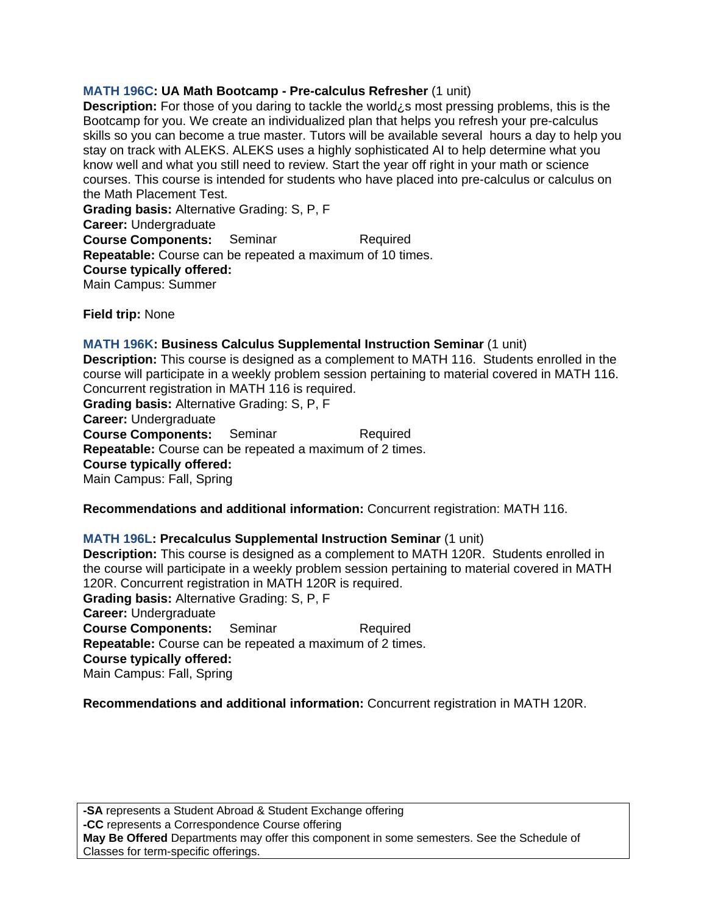# **MATH 196C: UA Math Bootcamp - Pre-calculus Refresher** (1 unit)

**Description:** For those of you daring to tackle the world¿s most pressing problems, this is the Bootcamp for you. We create an individualized plan that helps you refresh your pre-calculus skills so you can become a true master. Tutors will be available several hours a day to help you stay on track with ALEKS. ALEKS uses a highly sophisticated AI to help determine what you know well and what you still need to review. Start the year off right in your math or science courses. This course is intended for students who have placed into pre-calculus or calculus on the Math Placement Test.

**Grading basis:** Alternative Grading: S, P, F **Career:** Undergraduate **Course Components:** Seminar Required **Repeatable:** Course can be repeated a maximum of 10 times. **Course typically offered:**  Main Campus: Summer

**Field trip:** None

#### **MATH 196K: Business Calculus Supplemental Instruction Seminar** (1 unit)

**Description:** This course is designed as a complement to MATH 116. Students enrolled in the course will participate in a weekly problem session pertaining to material covered in MATH 116. Concurrent registration in MATH 116 is required.

**Grading basis:** Alternative Grading: S, P, F

**Career:** Undergraduate

**Course Components:** Seminar Required

**Repeatable:** Course can be repeated a maximum of 2 times.

**Course typically offered:** 

Main Campus: Fall, Spring

**Recommendations and additional information:** Concurrent registration: MATH 116.

#### **MATH 196L: Precalculus Supplemental Instruction Seminar** (1 unit)

**Description:** This course is designed as a complement to MATH 120R. Students enrolled in the course will participate in a weekly problem session pertaining to material covered in MATH 120R. Concurrent registration in MATH 120R is required.

**Grading basis:** Alternative Grading: S, P, F **Career:** Undergraduate **Course Components:** Seminar Required **Repeatable:** Course can be repeated a maximum of 2 times. **Course typically offered:**  Main Campus: Fall, Spring

**Recommendations and additional information:** Concurrent registration in MATH 120R.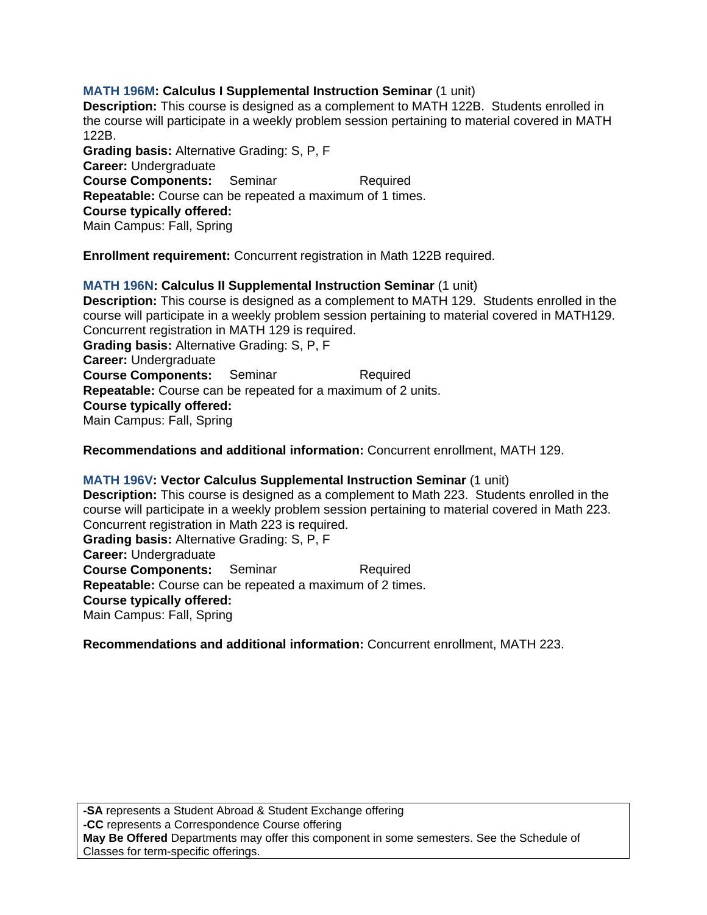# **MATH 196M: Calculus I Supplemental Instruction Seminar** (1 unit)

**Description:** This course is designed as a complement to MATH 122B. Students enrolled in the course will participate in a weekly problem session pertaining to material covered in MATH 122B.

**Grading basis:** Alternative Grading: S, P, F **Career:** Undergraduate **Course Components:** Seminar Required **Repeatable:** Course can be repeated a maximum of 1 times. **Course typically offered:**  Main Campus: Fall, Spring

**Enrollment requirement:** Concurrent registration in Math 122B required.

**MATH 196N: Calculus II Supplemental Instruction Seminar** (1 unit) **Description:** This course is designed as a complement to MATH 129. Students enrolled in the course will participate in a weekly problem session pertaining to material covered in MATH129. Concurrent registration in MATH 129 is required. **Grading basis:** Alternative Grading: S, P, F **Career:** Undergraduate **Course Components:** Seminar Required **Repeatable:** Course can be repeated for a maximum of 2 units. **Course typically offered:**  Main Campus: Fall, Spring

**Recommendations and additional information:** Concurrent enrollment, MATH 129.

**MATH 196V: Vector Calculus Supplemental Instruction Seminar** (1 unit) **Description:** This course is designed as a complement to Math 223. Students enrolled in the course will participate in a weekly problem session pertaining to material covered in Math 223. Concurrent registration in Math 223 is required. **Grading basis:** Alternative Grading: S, P, F **Career:** Undergraduate **Course Components:** Seminar Required **Repeatable:** Course can be repeated a maximum of 2 times. **Course typically offered:**  Main Campus: Fall, Spring

**Recommendations and additional information:** Concurrent enrollment, MATH 223.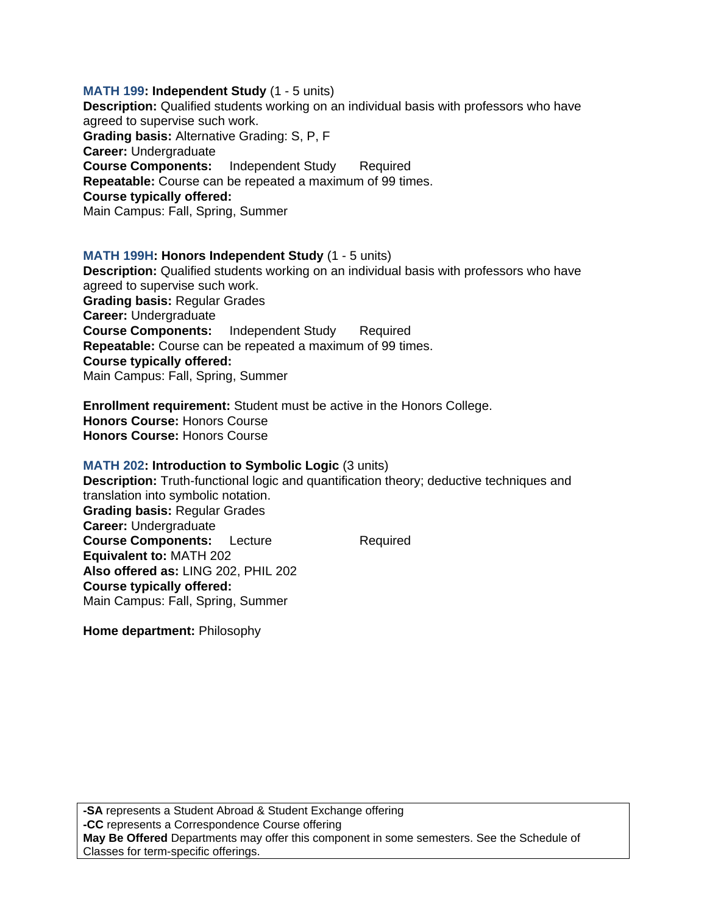**MATH 199: Independent Study** (1 - 5 units) **Description:** Qualified students working on an individual basis with professors who have agreed to supervise such work. **Grading basis:** Alternative Grading: S, P, F **Career:** Undergraduate **Course Components:** Independent Study Required **Repeatable:** Course can be repeated a maximum of 99 times. **Course typically offered:**  Main Campus: Fall, Spring, Summer

### **MATH 199H: Honors Independent Study** (1 - 5 units)

**Description:** Qualified students working on an individual basis with professors who have agreed to supervise such work. **Grading basis:** Regular Grades **Career:** Undergraduate **Course Components:** Independent Study Required **Repeatable:** Course can be repeated a maximum of 99 times. **Course typically offered:**  Main Campus: Fall, Spring, Summer

**Enrollment requirement:** Student must be active in the Honors College. **Honors Course:** Honors Course **Honors Course:** Honors Course

#### **MATH 202: Introduction to Symbolic Logic** (3 units)

**Description:** Truth-functional logic and quantification theory; deductive techniques and translation into symbolic notation. **Grading basis:** Regular Grades **Career:** Undergraduate **Course Components:** Lecture Required **Equivalent to:** MATH 202 **Also offered as:** LING 202, PHIL 202 **Course typically offered:**  Main Campus: Fall, Spring, Summer

**Home department:** Philosophy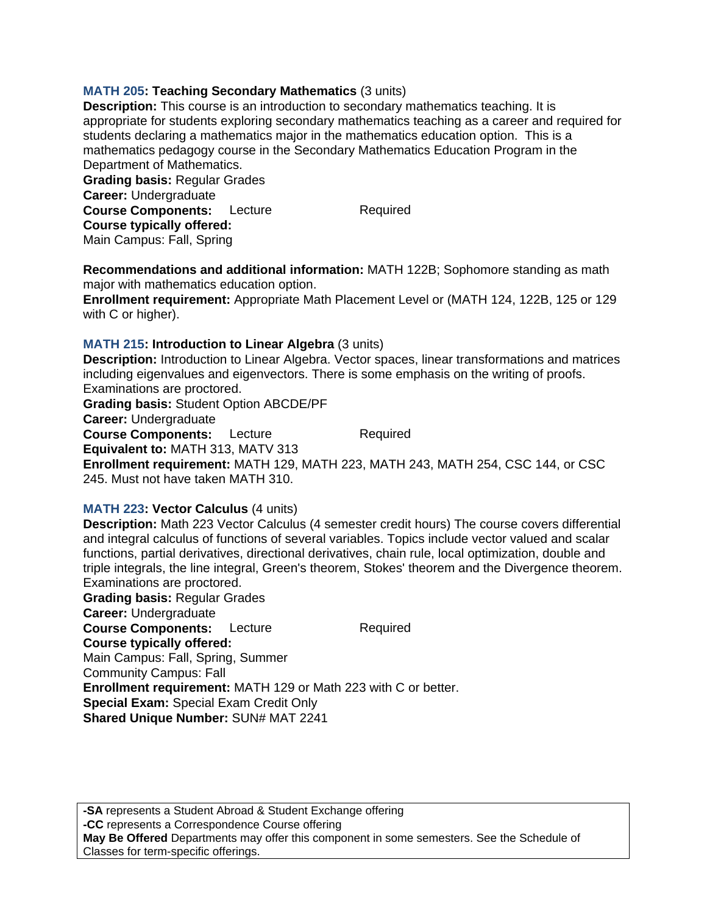### **MATH 205: Teaching Secondary Mathematics** (3 units)

**Description:** This course is an introduction to secondary mathematics teaching. It is appropriate for students exploring secondary mathematics teaching as a career and required for students declaring a mathematics major in the mathematics education option. This is a mathematics pedagogy course in the Secondary Mathematics Education Program in the Department of Mathematics.

**Grading basis:** Regular Grades **Career:** Undergraduate **Course Components:** Lecture Required **Course typically offered:**  Main Campus: Fall, Spring

**Recommendations and additional information:** MATH 122B; Sophomore standing as math major with mathematics education option.

**Enrollment requirement:** Appropriate Math Placement Level or (MATH 124, 122B, 125 or 129 with C or higher).

### **MATH 215: Introduction to Linear Algebra** (3 units)

**Description:** Introduction to Linear Algebra. Vector spaces, linear transformations and matrices including eigenvalues and eigenvectors. There is some emphasis on the writing of proofs. Examinations are proctored. **Grading basis:** Student Option ABCDE/PF

**Career:** Undergraduate

**Course Components:** Lecture Required **Equivalent to:** MATH 313, MATV 313

**Enrollment requirement:** MATH 129, MATH 223, MATH 243, MATH 254, CSC 144, or CSC 245. Must not have taken MATH 310.

#### **MATH 223: Vector Calculus** (4 units)

**Description:** Math 223 Vector Calculus (4 semester credit hours) The course covers differential and integral calculus of functions of several variables. Topics include vector valued and scalar functions, partial derivatives, directional derivatives, chain rule, local optimization, double and triple integrals, the line integral, Green's theorem, Stokes' theorem and the Divergence theorem. Examinations are proctored.

**Grading basis:** Regular Grades **Career:** Undergraduate **Course Components:** Lecture Required **Course typically offered:**  Main Campus: Fall, Spring, Summer Community Campus: Fall **Enrollment requirement:** MATH 129 or Math 223 with C or better. **Special Exam:** Special Exam Credit Only **Shared Unique Number:** SUN# MAT 2241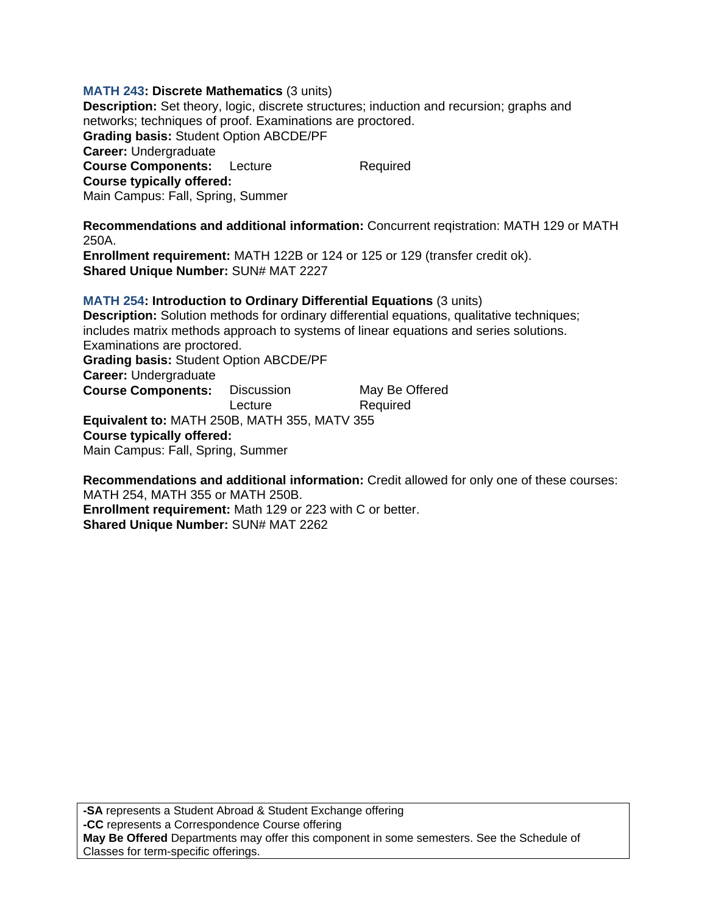### **MATH 243: Discrete Mathematics** (3 units)

**Description:** Set theory, logic, discrete structures; induction and recursion; graphs and networks; techniques of proof. Examinations are proctored. **Grading basis:** Student Option ABCDE/PF **Career:** Undergraduate **Course Components:** Lecture Required **Course typically offered:**  Main Campus: Fall, Spring, Summer

**Recommendations and additional information:** Concurrent reqistration: MATH 129 or MATH 250A.

**Enrollment requirement:** MATH 122B or 124 or 125 or 129 (transfer credit ok). **Shared Unique Number:** SUN# MAT 2227

**MATH 254: Introduction to Ordinary Differential Equations** (3 units)

**Description:** Solution methods for ordinary differential equations, qualitative techniques; includes matrix methods approach to systems of linear equations and series solutions. Examinations are proctored. **Grading basis:** Student Option ABCDE/PF

**Career:** Undergraduate

**Course Components:** Discussion May Be Offered Lecture Required **Equivalent to:** MATH 250B, MATH 355, MATV 355 **Course typically offered:** 

Main Campus: Fall, Spring, Summer

**Recommendations and additional information:** Credit allowed for only one of these courses: MATH 254, MATH 355 or MATH 250B.

**Enrollment requirement:** Math 129 or 223 with C or better. **Shared Unique Number:** SUN# MAT 2262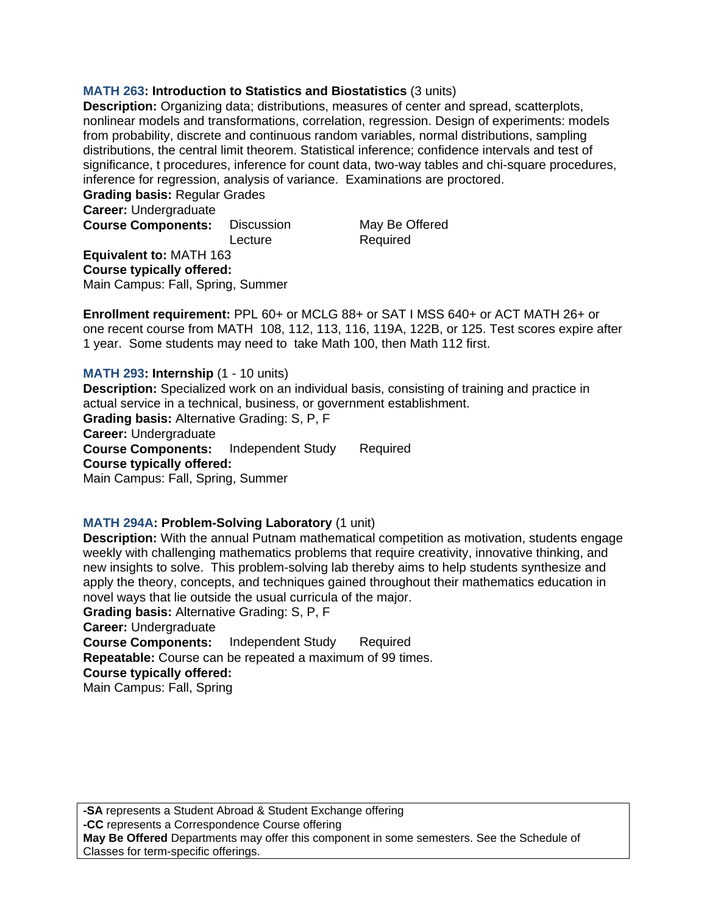### **MATH 263: Introduction to Statistics and Biostatistics** (3 units)

**Description:** Organizing data; distributions, measures of center and spread, scatterplots, nonlinear models and transformations, correlation, regression. Design of experiments: models from probability, discrete and continuous random variables, normal distributions, sampling distributions, the central limit theorem. Statistical inference; confidence intervals and test of significance, t procedures, inference for count data, two-way tables and chi-square procedures, inference for regression, analysis of variance. Examinations are proctored.

**Grading basis:** Regular Grades

**Career:** Undergraduate

**Course Components:** Discussion May Be Offered Lecture Required

**Equivalent to:** MATH 163 **Course typically offered:**  Main Campus: Fall, Spring, Summer

**Enrollment requirement:** PPL 60+ or MCLG 88+ or SAT I MSS 640+ or ACT MATH 26+ or one recent course from MATH 108, 112, 113, 116, 119A, 122B, or 125. Test scores expire after 1 year. Some students may need to take Math 100, then Math 112 first.

**MATH 293: Internship (1 - 10 units) Description:** Specialized work on an individual basis, consisting of training and practice in actual service in a technical, business, or government establishment. **Grading basis:** Alternative Grading: S, P, F **Career:** Undergraduate **Course Components:** Independent Study Required **Course typically offered:**  Main Campus: Fall, Spring, Summer

#### **MATH 294A: Problem-Solving Laboratory** (1 unit)

**Description:** With the annual Putnam mathematical competition as motivation, students engage weekly with challenging mathematics problems that require creativity, innovative thinking, and new insights to solve. This problem-solving lab thereby aims to help students synthesize and apply the theory, concepts, and techniques gained throughout their mathematics education in novel ways that lie outside the usual curricula of the major. **Grading basis:** Alternative Grading: S, P, F **Career:** Undergraduate

**Course Components:** Independent Study Required

**Repeatable:** Course can be repeated a maximum of 99 times.

**Course typically offered:** 

Main Campus: Fall, Spring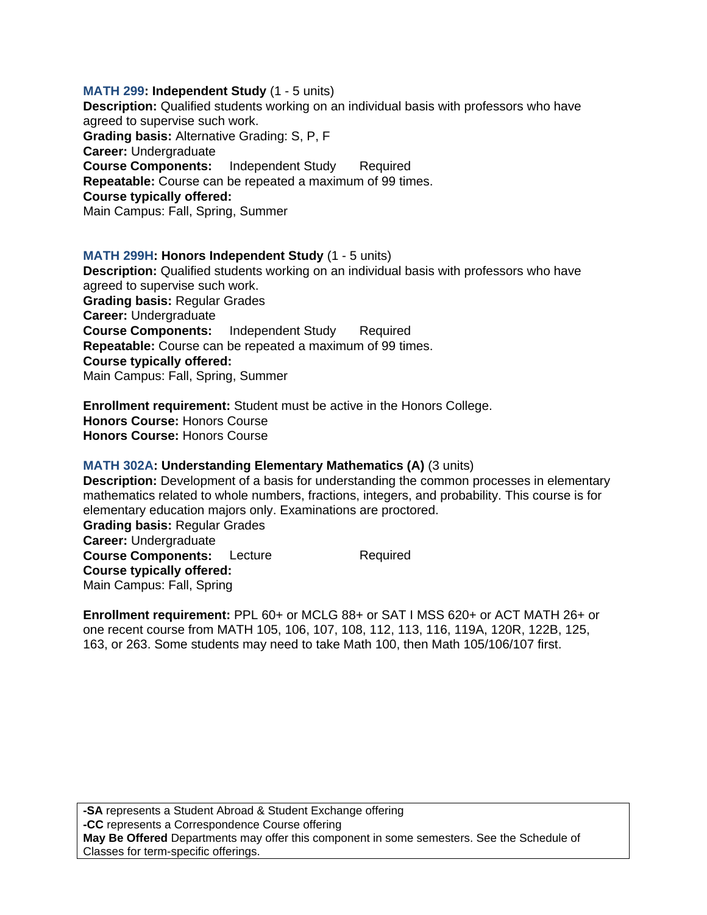**MATH 299: Independent Study** (1 - 5 units) **Description:** Qualified students working on an individual basis with professors who have agreed to supervise such work. **Grading basis:** Alternative Grading: S, P, F **Career:** Undergraduate **Course Components:** Independent Study Required **Repeatable:** Course can be repeated a maximum of 99 times. **Course typically offered:**  Main Campus: Fall, Spring, Summer

### **MATH 299H: Honors Independent Study** (1 - 5 units) **Description:** Qualified students working on an individual basis with professors who have agreed to supervise such work. **Grading basis:** Regular Grades **Career:** Undergraduate **Course Components:** Independent Study Required **Repeatable:** Course can be repeated a maximum of 99 times. **Course typically offered:**  Main Campus: Fall, Spring, Summer

**Enrollment requirement:** Student must be active in the Honors College. **Honors Course:** Honors Course **Honors Course:** Honors Course

# **MATH 302A: Understanding Elementary Mathematics (A)** (3 units)

**Description:** Development of a basis for understanding the common processes in elementary mathematics related to whole numbers, fractions, integers, and probability. This course is for elementary education majors only. Examinations are proctored. **Grading basis:** Regular Grades **Career:** Undergraduate **Course Components:** Lecture Required **Course typically offered:**  Main Campus: Fall, Spring

**Enrollment requirement:** PPL 60+ or MCLG 88+ or SAT I MSS 620+ or ACT MATH 26+ or one recent course from MATH 105, 106, 107, 108, 112, 113, 116, 119A, 120R, 122B, 125, 163, or 263. Some students may need to take Math 100, then Math 105/106/107 first.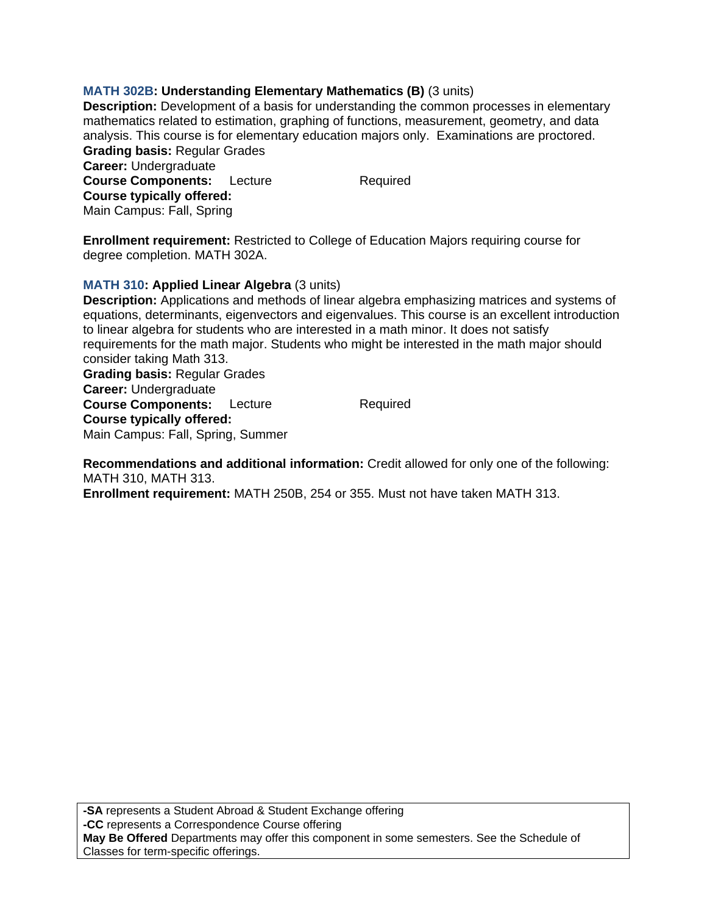# **MATH 302B: Understanding Elementary Mathematics (B)** (3 units)

**Description:** Development of a basis for understanding the common processes in elementary mathematics related to estimation, graphing of functions, measurement, geometry, and data analysis. This course is for elementary education majors only. Examinations are proctored. **Grading basis:** Regular Grades **Career:** Undergraduate

**Course Components:** Lecture Required **Course typically offered:**  Main Campus: Fall, Spring

**Enrollment requirement:** Restricted to College of Education Majors requiring course for degree completion. MATH 302A.

# **MATH 310: Applied Linear Algebra** (3 units)

**Description:** Applications and methods of linear algebra emphasizing matrices and systems of equations, determinants, eigenvectors and eigenvalues. This course is an excellent introduction to linear algebra for students who are interested in a math minor. It does not satisfy requirements for the math major. Students who might be interested in the math major should consider taking Math 313.

**Grading basis:** Regular Grades **Career:** Undergraduate **Course Components:** Lecture Required **Course typically offered:**  Main Campus: Fall, Spring, Summer

**Recommendations and additional information:** Credit allowed for only one of the following: MATH 310, MATH 313.

**Enrollment requirement:** MATH 250B, 254 or 355. Must not have taken MATH 313.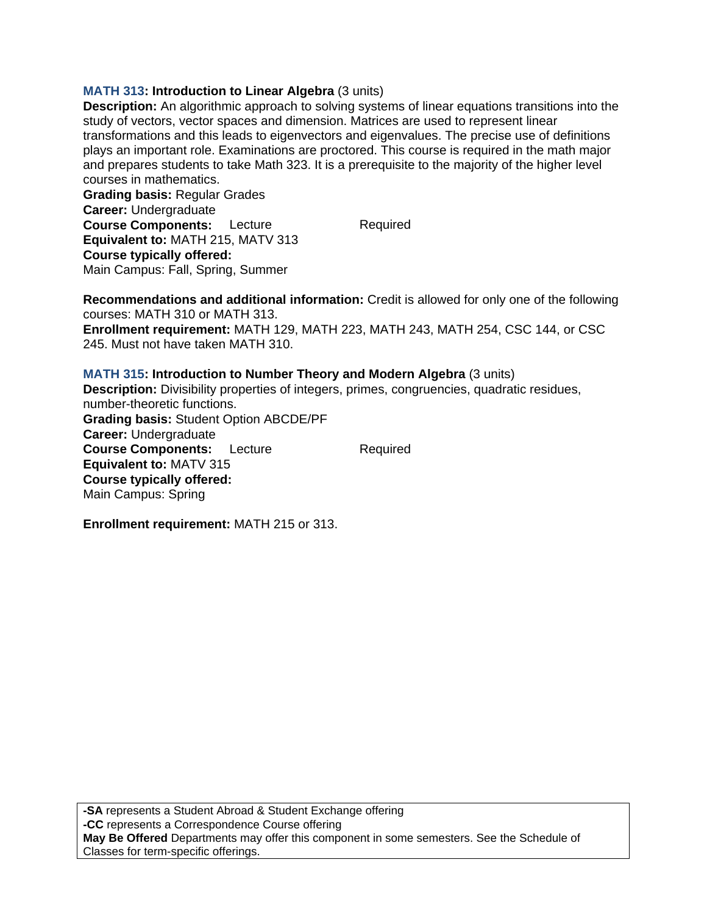# **MATH 313: Introduction to Linear Algebra** (3 units)

**Description:** An algorithmic approach to solving systems of linear equations transitions into the study of vectors, vector spaces and dimension. Matrices are used to represent linear transformations and this leads to eigenvectors and eigenvalues. The precise use of definitions plays an important role. Examinations are proctored. This course is required in the math major and prepares students to take Math 323. It is a prerequisite to the majority of the higher level courses in mathematics.

**Grading basis:** Regular Grades **Career:** Undergraduate **Course Components:** Lecture Required **Equivalent to:** MATH 215, MATV 313 **Course typically offered:**  Main Campus: Fall, Spring, Summer

**Recommendations and additional information:** Credit is allowed for only one of the following courses: MATH 310 or MATH 313.

**Enrollment requirement:** MATH 129, MATH 223, MATH 243, MATH 254, CSC 144, or CSC 245. Must not have taken MATH 310.

**MATH 315: Introduction to Number Theory and Modern Algebra** (3 units) **Description:** Divisibility properties of integers, primes, congruencies, quadratic residues, number-theoretic functions. **Grading basis:** Student Option ABCDE/PF **Career:** Undergraduate **Course Components:** Lecture Required **Equivalent to:** MATV 315 **Course typically offered:**  Main Campus: Spring

**Enrollment requirement:** MATH 215 or 313.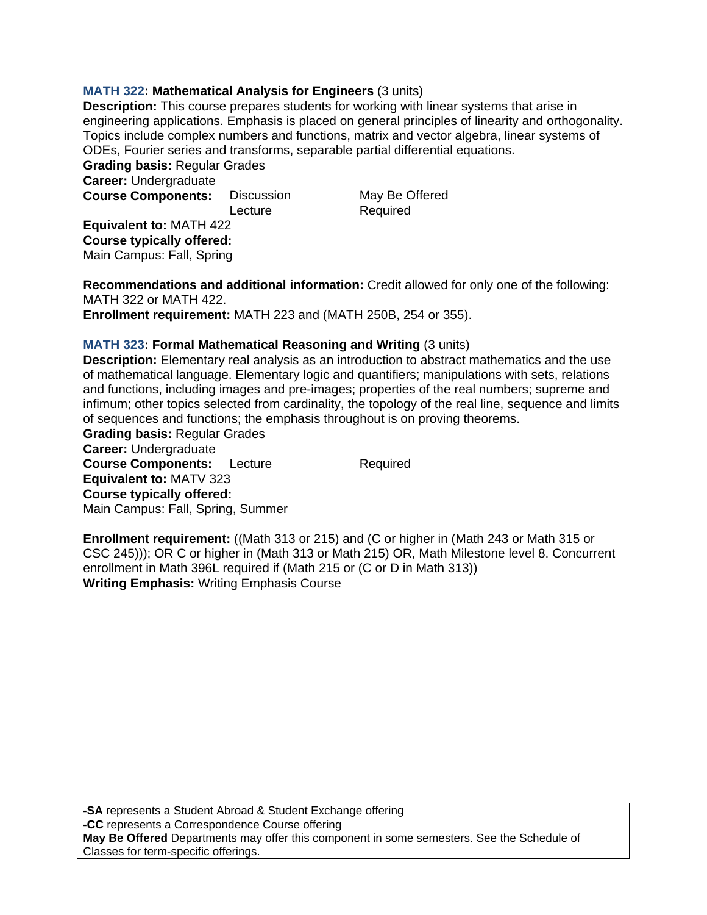# **MATH 322: Mathematical Analysis for Engineers** (3 units)

**Description:** This course prepares students for working with linear systems that arise in engineering applications. Emphasis is placed on general principles of linearity and orthogonality. Topics include complex numbers and functions, matrix and vector algebra, linear systems of ODEs, Fourier series and transforms, separable partial differential equations.

**Grading basis:** Regular Grades **Career:** Undergraduate **Course Components:** Discussion May Be Offered

Lecture Required

**Equivalent to:** MATH 422 **Course typically offered:**  Main Campus: Fall, Spring

**Recommendations and additional information:** Credit allowed for only one of the following: MATH 322 or MATH 422.

**Enrollment requirement:** MATH 223 and (MATH 250B, 254 or 355).

### **MATH 323: Formal Mathematical Reasoning and Writing** (3 units)

**Description:** Elementary real analysis as an introduction to abstract mathematics and the use of mathematical language. Elementary logic and quantifiers; manipulations with sets, relations and functions, including images and pre-images; properties of the real numbers; supreme and infimum; other topics selected from cardinality, the topology of the real line, sequence and limits of sequences and functions; the emphasis throughout is on proving theorems.

**Grading basis:** Regular Grades **Career:** Undergraduate **Course Components:** Lecture Required **Equivalent to:** MATV 323 **Course typically offered:**  Main Campus: Fall, Spring, Summer

**Enrollment requirement:** ((Math 313 or 215) and (C or higher in (Math 243 or Math 315 or CSC 245))); OR C or higher in (Math 313 or Math 215) OR, Math Milestone level 8. Concurrent enrollment in Math 396L required if (Math 215 or (C or D in Math 313)) **Writing Emphasis:** Writing Emphasis Course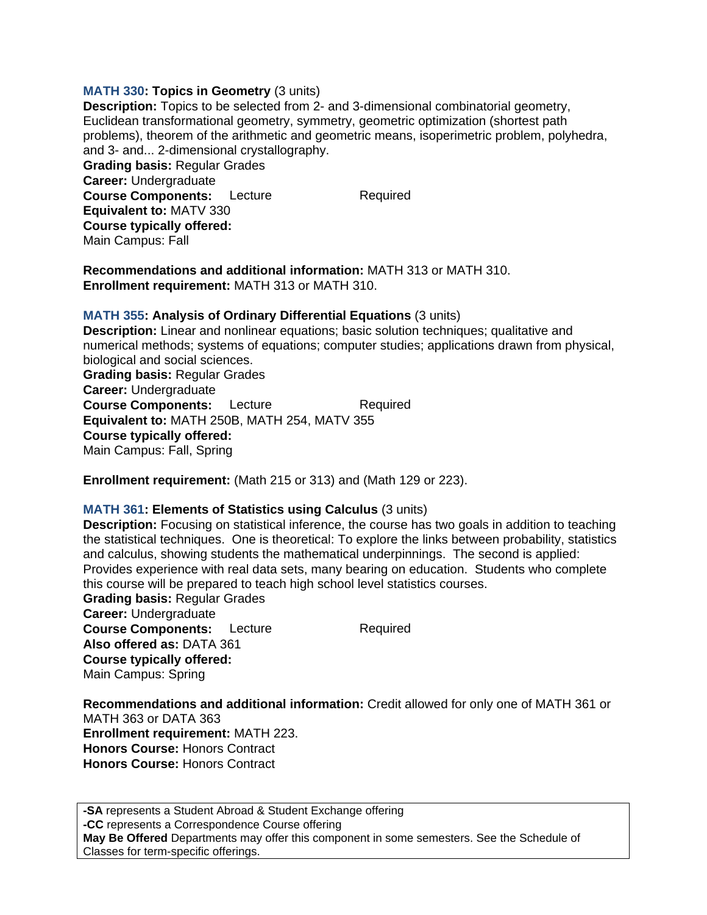#### **MATH 330: Topics in Geometry** (3 units)

**Description:** Topics to be selected from 2- and 3-dimensional combinatorial geometry, Euclidean transformational geometry, symmetry, geometric optimization (shortest path problems), theorem of the arithmetic and geometric means, isoperimetric problem, polyhedra, and 3- and... 2-dimensional crystallography. **Grading basis:** Regular Grades **Career:** Undergraduate **Course Components:** Lecture Required **Equivalent to:** MATV 330 **Course typically offered:**  Main Campus: Fall

**Recommendations and additional information:** MATH 313 or MATH 310. **Enrollment requirement:** MATH 313 or MATH 310.

# **MATH 355: Analysis of Ordinary Differential Equations** (3 units)

**Description:** Linear and nonlinear equations; basic solution techniques; qualitative and numerical methods; systems of equations; computer studies; applications drawn from physical, biological and social sciences. **Grading basis:** Regular Grades **Career:** Undergraduate **Course Components:** Lecture Required **Equivalent to:** MATH 250B, MATH 254, MATV 355 **Course typically offered:**  Main Campus: Fall, Spring

**Enrollment requirement:** (Math 215 or 313) and (Math 129 or 223).

# **MATH 361: Elements of Statistics using Calculus** (3 units)

**Description:** Focusing on statistical inference, the course has two goals in addition to teaching the statistical techniques. One is theoretical: To explore the links between probability, statistics and calculus, showing students the mathematical underpinnings. The second is applied: Provides experience with real data sets, many bearing on education. Students who complete this course will be prepared to teach high school level statistics courses.

**Grading basis:** Regular Grades **Career:** Undergraduate **Course Components:** Lecture Required **Also offered as:** DATA 361 **Course typically offered:**  Main Campus: Spring

**Recommendations and additional information:** Credit allowed for only one of MATH 361 or MATH 363 or DATA 363 **Enrollment requirement:** MATH 223. **Honors Course:** Honors Contract **Honors Course:** Honors Contract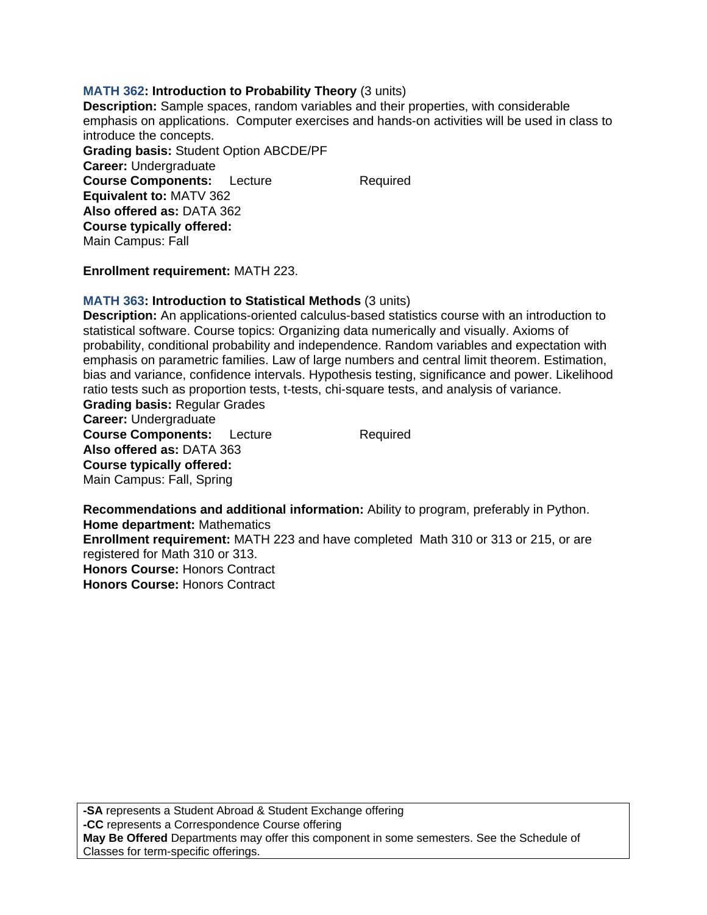### **MATH 362: Introduction to Probability Theory** (3 units)

**Description:** Sample spaces, random variables and their properties, with considerable emphasis on applications. Computer exercises and hands-on activities will be used in class to introduce the concepts. **Grading basis:** Student Option ABCDE/PF **Career:** Undergraduate **Course Components:** Lecture Required **Equivalent to:** MATV 362 **Also offered as:** DATA 362 **Course typically offered:**  Main Campus: Fall

**Enrollment requirement:** MATH 223.

### **MATH 363: Introduction to Statistical Methods** (3 units)

**Description:** An applications-oriented calculus-based statistics course with an introduction to statistical software. Course topics: Organizing data numerically and visually. Axioms of probability, conditional probability and independence. Random variables and expectation with emphasis on parametric families. Law of large numbers and central limit theorem. Estimation, bias and variance, confidence intervals. Hypothesis testing, significance and power. Likelihood ratio tests such as proportion tests, t-tests, chi-square tests, and analysis of variance. **Grading basis:** Regular Grades **Career:** Undergraduate

**Course Components:** Lecture Required **Also offered as:** DATA 363 **Course typically offered:**  Main Campus: Fall, Spring

**Recommendations and additional information:** Ability to program, preferably in Python. **Home department:** Mathematics **Enrollment requirement:** MATH 223 and have completed Math 310 or 313 or 215, or are registered for Math 310 or 313. **Honors Course:** Honors Contract **Honors Course:** Honors Contract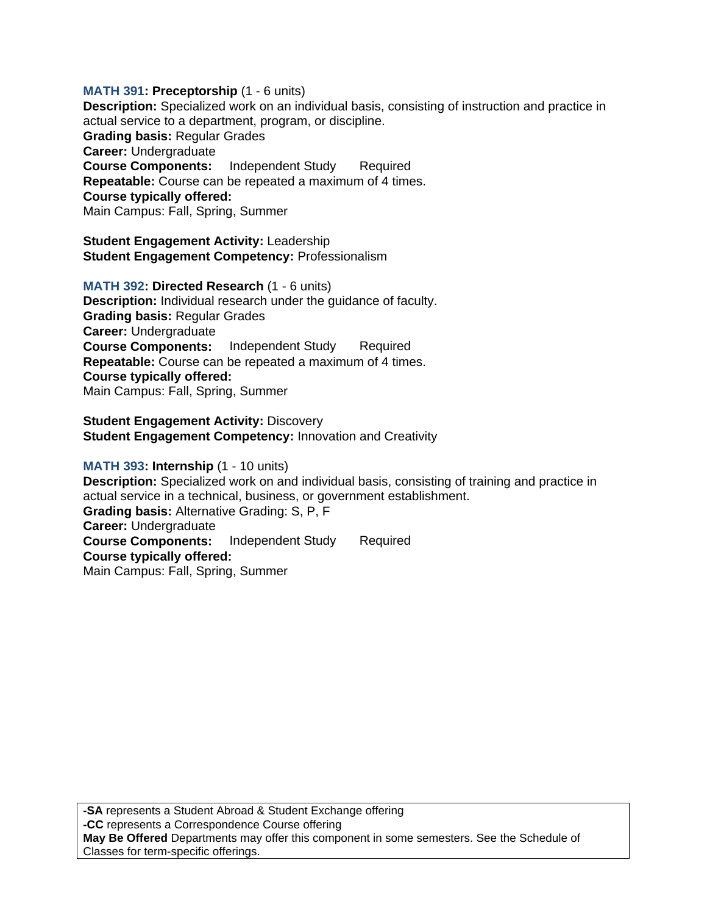**MATH 391: Preceptorship** (1 - 6 units) **Description:** Specialized work on an individual basis, consisting of instruction and practice in actual service to a department, program, or discipline. **Grading basis:** Regular Grades **Career:** Undergraduate **Course Components:** Independent Study Required **Repeatable:** Course can be repeated a maximum of 4 times. **Course typically offered:**  Main Campus: Fall, Spring, Summer

**Student Engagement Activity:** Leadership **Student Engagement Competency:** Professionalism

**MATH 392: Directed Research** (1 - 6 units) **Description:** Individual research under the guidance of faculty. **Grading basis:** Regular Grades **Career:** Undergraduate **Course Components:** Independent Study Required **Repeatable:** Course can be repeated a maximum of 4 times. **Course typically offered:**  Main Campus: Fall, Spring, Summer

**Student Engagement Activity: Discovery Student Engagement Competency:** Innovation and Creativity

# **MATH 393: Internship** (1 - 10 units)

**Description:** Specialized work on and individual basis, consisting of training and practice in actual service in a technical, business, or government establishment. **Grading basis:** Alternative Grading: S, P, F **Career:** Undergraduate **Course Components:** Independent Study Required **Course typically offered:**  Main Campus: Fall, Spring, Summer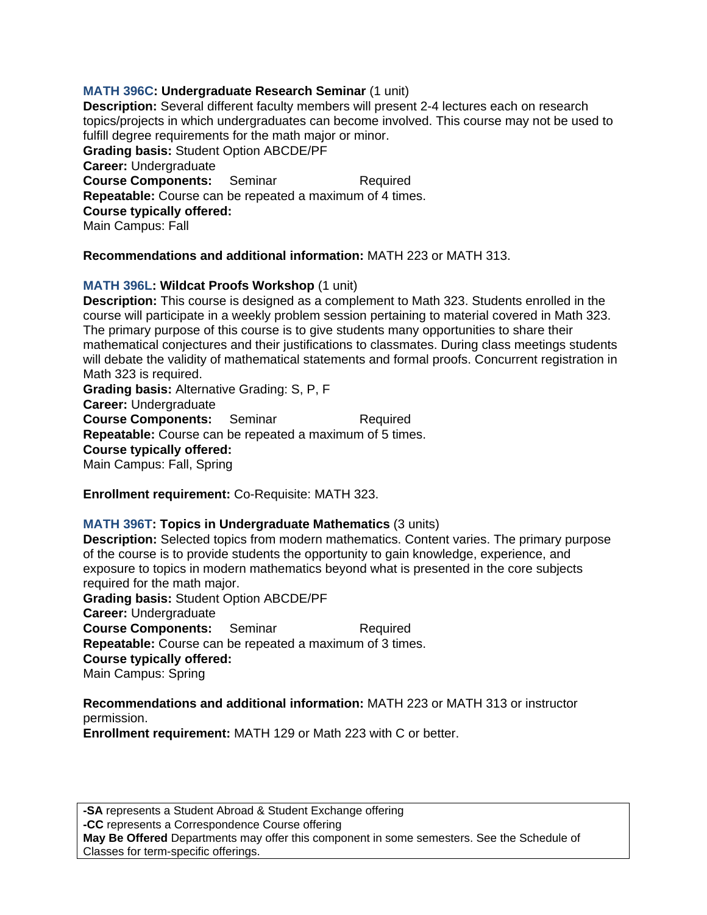# **MATH 396C: Undergraduate Research Seminar** (1 unit)

**Description:** Several different faculty members will present 2-4 lectures each on research topics/projects in which undergraduates can become involved. This course may not be used to fulfill degree requirements for the math major or minor. **Grading basis:** Student Option ABCDE/PF **Career:** Undergraduate **Course Components:** Seminar Required **Repeatable:** Course can be repeated a maximum of 4 times. **Course typically offered:**  Main Campus: Fall

### **Recommendations and additional information:** MATH 223 or MATH 313.

### **MATH 396L: Wildcat Proofs Workshop** (1 unit)

**Description:** This course is designed as a complement to Math 323. Students enrolled in the course will participate in a weekly problem session pertaining to material covered in Math 323. The primary purpose of this course is to give students many opportunities to share their mathematical conjectures and their justifications to classmates. During class meetings students will debate the validity of mathematical statements and formal proofs. Concurrent registration in Math 323 is required.

**Grading basis:** Alternative Grading: S, P, F **Career:** Undergraduate **Course Components:** Seminar Required **Repeatable:** Course can be repeated a maximum of 5 times. **Course typically offered:**  Main Campus: Fall, Spring

**Enrollment requirement:** Co-Requisite: MATH 323.

#### **MATH 396T: Topics in Undergraduate Mathematics** (3 units)

**Description:** Selected topics from modern mathematics. Content varies. The primary purpose of the course is to provide students the opportunity to gain knowledge, experience, and exposure to topics in modern mathematics beyond what is presented in the core subjects required for the math major.

**Grading basis:** Student Option ABCDE/PF **Career:** Undergraduate **Course Components:** Seminar Required **Repeatable:** Course can be repeated a maximum of 3 times. **Course typically offered:**  Main Campus: Spring

# **Recommendations and additional information:** MATH 223 or MATH 313 or instructor permission.

**Enrollment requirement:** MATH 129 or Math 223 with C or better.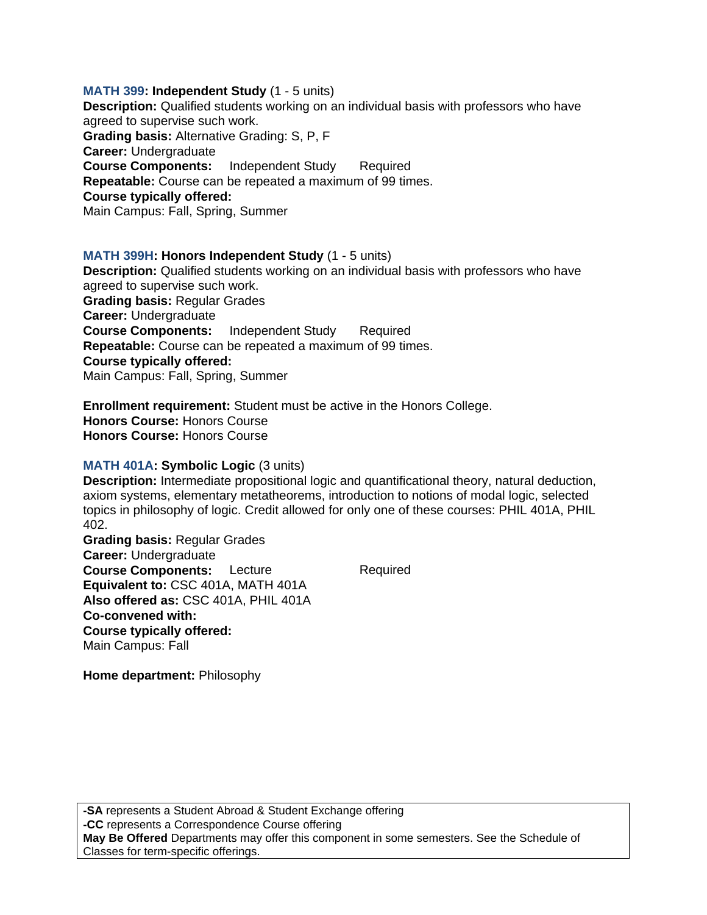**MATH 399: Independent Study** (1 - 5 units) **Description:** Qualified students working on an individual basis with professors who have agreed to supervise such work. **Grading basis:** Alternative Grading: S, P, F **Career:** Undergraduate **Course Components:** Independent Study Required **Repeatable:** Course can be repeated a maximum of 99 times. **Course typically offered:**  Main Campus: Fall, Spring, Summer

#### **MATH 399H: Honors Independent Study** (1 - 5 units)

**Description:** Qualified students working on an individual basis with professors who have agreed to supervise such work. **Grading basis:** Regular Grades **Career:** Undergraduate **Course Components:** Independent Study Required **Repeatable:** Course can be repeated a maximum of 99 times. **Course typically offered:**  Main Campus: Fall, Spring, Summer

**Enrollment requirement:** Student must be active in the Honors College. **Honors Course:** Honors Course **Honors Course:** Honors Course

#### **MATH 401A: Symbolic Logic** (3 units)

**Description:** Intermediate propositional logic and quantificational theory, natural deduction, axiom systems, elementary metatheorems, introduction to notions of modal logic, selected topics in philosophy of logic. Credit allowed for only one of these courses: PHIL 401A, PHIL 402.

**Grading basis:** Regular Grades **Career:** Undergraduate **Course Components:** Lecture Required **Equivalent to:** CSC 401A, MATH 401A **Also offered as:** CSC 401A, PHIL 401A **Co-convened with: Course typically offered:**  Main Campus: Fall

**Home department:** Philosophy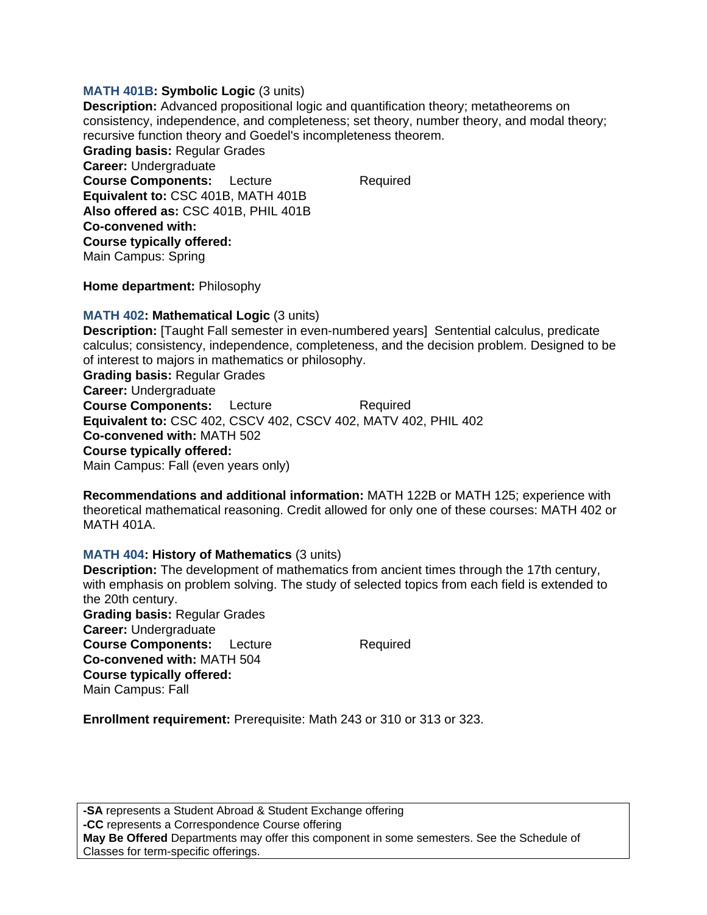### **MATH 401B: Symbolic Logic** (3 units)

**Description:** Advanced propositional logic and quantification theory; metatheorems on consistency, independence, and completeness; set theory, number theory, and modal theory; recursive function theory and Goedel's incompleteness theorem. **Grading basis:** Regular Grades **Career:** Undergraduate **Course Components:** Lecture Required **Equivalent to:** CSC 401B, MATH 401B **Also offered as:** CSC 401B, PHIL 401B **Co-convened with: Course typically offered:**  Main Campus: Spring

**Home department:** Philosophy

### **MATH 402: Mathematical Logic** (3 units)

**Description:** [Taught Fall semester in even-numbered years] Sentential calculus, predicate calculus; consistency, independence, completeness, and the decision problem. Designed to be of interest to majors in mathematics or philosophy. **Grading basis:** Regular Grades **Career:** Undergraduate **Course Components:** Lecture Required **Equivalent to:** CSC 402, CSCV 402, CSCV 402, MATV 402, PHIL 402 **Co-convened with:** MATH 502 **Course typically offered:**  Main Campus: Fall (even years only)

**Recommendations and additional information:** MATH 122B or MATH 125; experience with theoretical mathematical reasoning. Credit allowed for only one of these courses: MATH 402 or MATH 401A.

# **MATH 404: History of Mathematics** (3 units)

**Description:** The development of mathematics from ancient times through the 17th century, with emphasis on problem solving. The study of selected topics from each field is extended to the 20th century. **Grading basis:** Regular Grades **Career:** Undergraduate **Course Components:** Lecture Required **Co-convened with:** MATH 504 **Course typically offered:**  Main Campus: Fall

**Enrollment requirement:** Prerequisite: Math 243 or 310 or 313 or 323.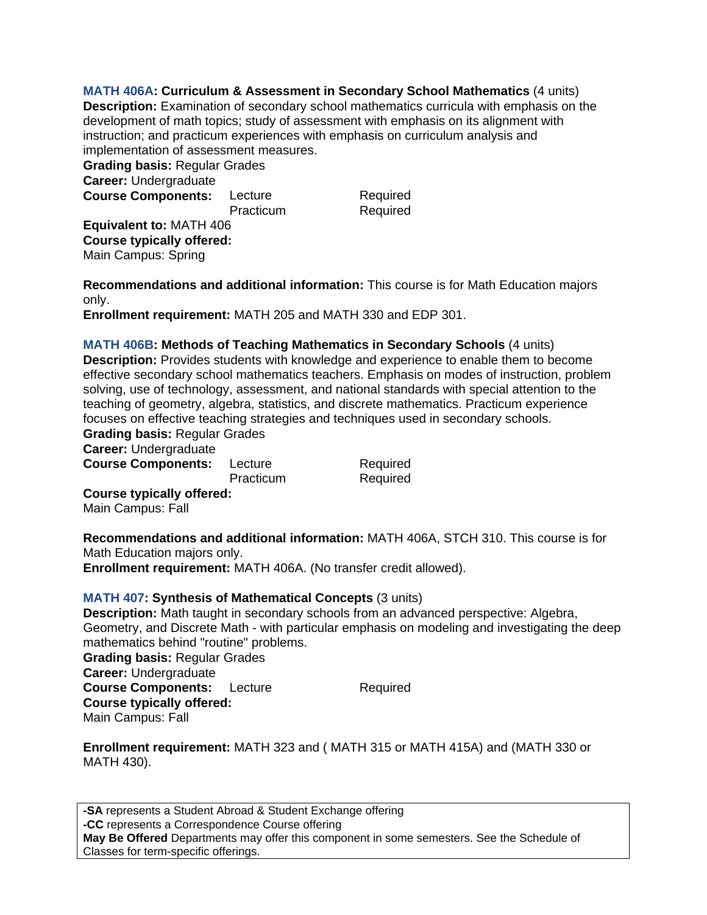**MATH 406A: Curriculum & Assessment in Secondary School Mathematics** (4 units) **Description:** Examination of secondary school mathematics curricula with emphasis on the development of math topics; study of assessment with emphasis on its alignment with instruction; and practicum experiences with emphasis on curriculum analysis and implementation of assessment measures. **Grading basis:** Regular Grades **Career:** Undergraduate **Course Components:** Lecture Required Practicum Required **Equivalent to:** MATH 406

**Course typically offered:**  Main Campus: Spring

**Recommendations and additional information:** This course is for Math Education majors only.

**Enrollment requirement:** MATH 205 and MATH 330 and EDP 301.

**MATH 406B: Methods of Teaching Mathematics in Secondary Schools** (4 units) **Description:** Provides students with knowledge and experience to enable them to become effective secondary school mathematics teachers. Emphasis on modes of instruction, problem solving, use of technology, assessment, and national standards with special attention to the teaching of geometry, algebra, statistics, and discrete mathematics. Practicum experience focuses on effective teaching strategies and techniques used in secondary schools.

**Grading basis:** Regular Grades

**Career:** Undergraduate

**Course Components:** Lecture Required Practicum Required **Course typically offered:** 

Main Campus: Fall

**Recommendations and additional information:** MATH 406A, STCH 310. This course is for Math Education majors only.

**Enrollment requirement:** MATH 406A. (No transfer credit allowed).

# **MATH 407: Synthesis of Mathematical Concepts** (3 units)

**Description:** Math taught in secondary schools from an advanced perspective: Algebra, Geometry, and Discrete Math - with particular emphasis on modeling and investigating the deep mathematics behind "routine" problems. **Grading basis:** Regular Grades **Career:** Undergraduate **Course Components:** Lecture Required **Course typically offered:**  Main Campus: Fall

**Enrollment requirement:** MATH 323 and ( MATH 315 or MATH 415A) and (MATH 330 or MATH 430).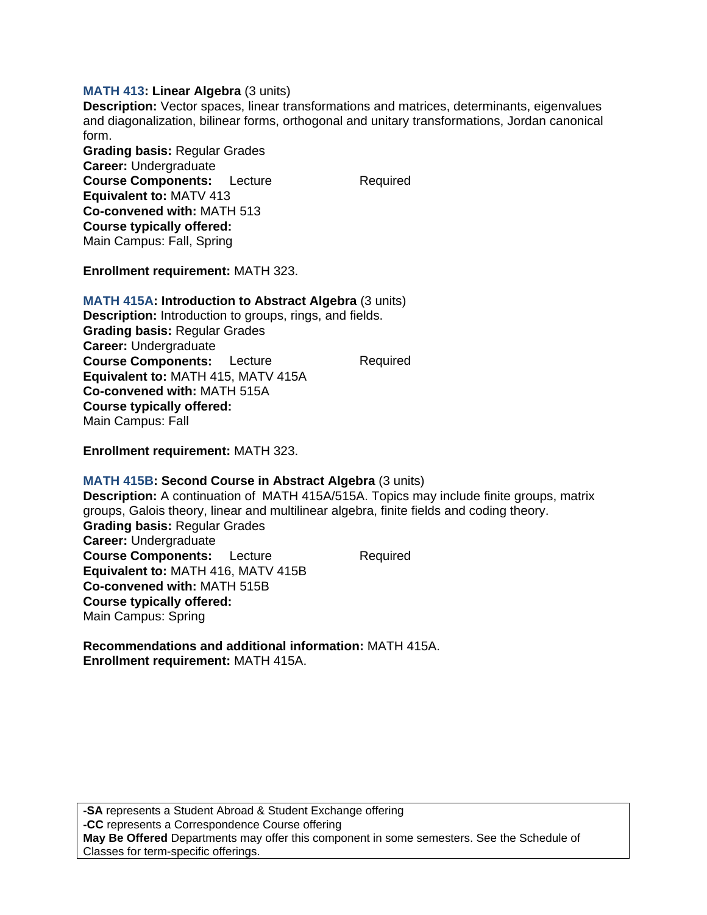### **MATH 413: Linear Algebra** (3 units)

**Description:** Vector spaces, linear transformations and matrices, determinants, eigenvalues and diagonalization, bilinear forms, orthogonal and unitary transformations, Jordan canonical form.

**Grading basis:** Regular Grades **Career:** Undergraduate **Course Components:** Lecture Required **Equivalent to:** MATV 413 **Co-convened with:** MATH 513 **Course typically offered:**  Main Campus: Fall, Spring

**Enrollment requirement:** MATH 323.

### **MATH 415A: Introduction to Abstract Algebra** (3 units)

**Description:** Introduction to groups, rings, and fields. **Grading basis:** Regular Grades **Career:** Undergraduate **Course Components:** Lecture Required **Equivalent to:** MATH 415, MATV 415A **Co-convened with:** MATH 515A **Course typically offered:**  Main Campus: Fall

**Enrollment requirement:** MATH 323.

# **MATH 415B: Second Course in Abstract Algebra** (3 units)

**Description:** A continuation of MATH 415A/515A. Topics may include finite groups, matrix groups, Galois theory, linear and multilinear algebra, finite fields and coding theory. **Grading basis:** Regular Grades **Career:** Undergraduate **Course Components:** Lecture Required **Equivalent to:** MATH 416, MATV 415B **Co-convened with:** MATH 515B **Course typically offered:**  Main Campus: Spring

**Recommendations and additional information:** MATH 415A. **Enrollment requirement:** MATH 415A.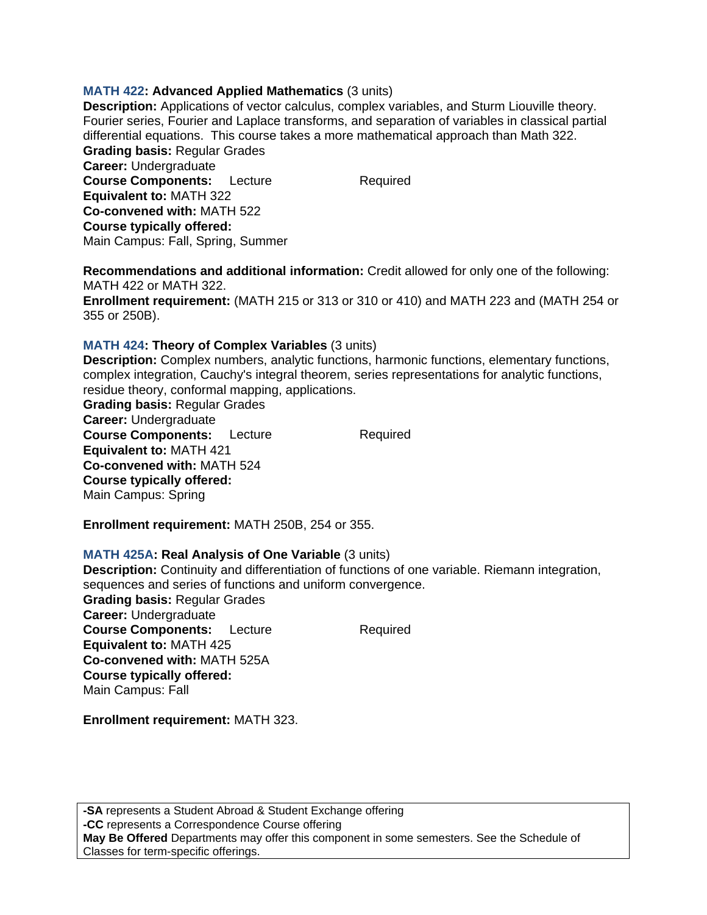### **MATH 422: Advanced Applied Mathematics** (3 units)

**Description:** Applications of vector calculus, complex variables, and Sturm Liouville theory. Fourier series, Fourier and Laplace transforms, and separation of variables in classical partial differential equations. This course takes a more mathematical approach than Math 322. **Grading basis:** Regular Grades **Career:** Undergraduate **Course Components:** Lecture Required **Equivalent to:** MATH 322 **Co-convened with:** MATH 522 **Course typically offered:**  Main Campus: Fall, Spring, Summer

**Recommendations and additional information:** Credit allowed for only one of the following: MATH 422 or MATH 322. **Enrollment requirement:** (MATH 215 or 313 or 310 or 410) and MATH 223 and (MATH 254 or

355 or 250B).

### **MATH 424: Theory of Complex Variables** (3 units)

**Description:** Complex numbers, analytic functions, harmonic functions, elementary functions, complex integration, Cauchy's integral theorem, series representations for analytic functions, residue theory, conformal mapping, applications.

**Grading basis:** Regular Grades **Career:** Undergraduate **Course Components:** Lecture Required **Equivalent to:** MATH 421 **Co-convened with:** MATH 524 **Course typically offered:**  Main Campus: Spring

**Enrollment requirement:** MATH 250B, 254 or 355.

#### **MATH 425A: Real Analysis of One Variable** (3 units)

**Description:** Continuity and differentiation of functions of one variable. Riemann integration, sequences and series of functions and uniform convergence. **Grading basis:** Regular Grades **Career:** Undergraduate **Course Components:** Lecture Required **Equivalent to:** MATH 425 **Co-convened with:** MATH 525A **Course typically offered:**  Main Campus: Fall

**Enrollment requirement:** MATH 323.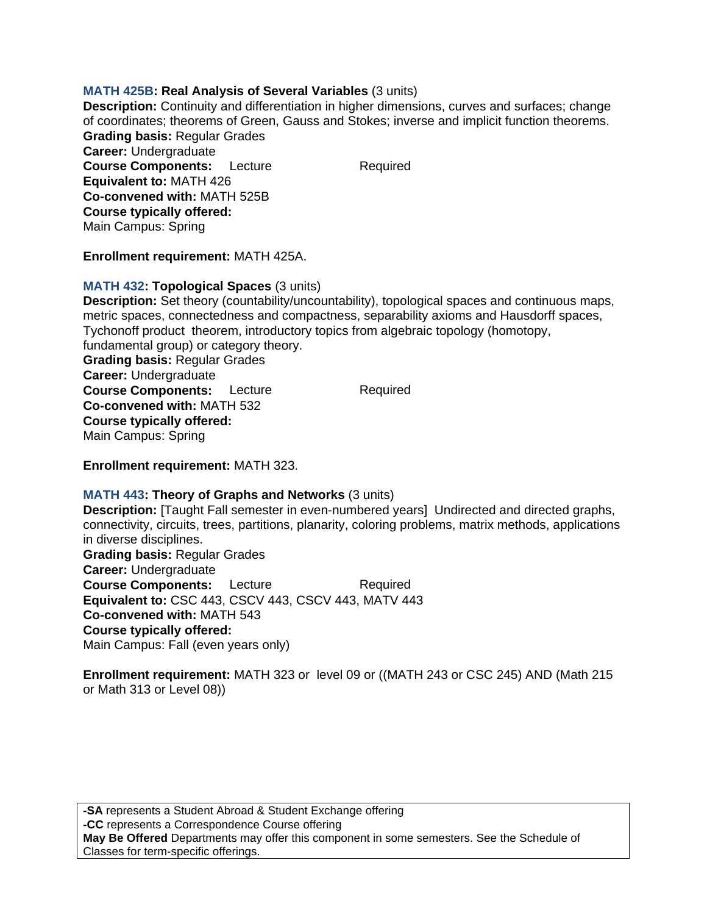### **MATH 425B: Real Analysis of Several Variables** (3 units)

**Description:** Continuity and differentiation in higher dimensions, curves and surfaces; change of coordinates; theorems of Green, Gauss and Stokes; inverse and implicit function theorems. **Grading basis:** Regular Grades **Career:** Undergraduate **Course Components:** Lecture Required **Equivalent to:** MATH 426 **Co-convened with:** MATH 525B **Course typically offered:**  Main Campus: Spring

**Enrollment requirement:** MATH 425A.

### **MATH 432: Topological Spaces** (3 units)

**Description:** Set theory (countability/uncountability), topological spaces and continuous maps, metric spaces, connectedness and compactness, separability axioms and Hausdorff spaces, Tychonoff product theorem, introductory topics from algebraic topology (homotopy, fundamental group) or category theory. **Grading basis:** Regular Grades **Career:** Undergraduate **Course Components:** Lecture Required **Co-convened with:** MATH 532 **Course typically offered:** 

Main Campus: Spring

**Enrollment requirement:** MATH 323.

# **MATH 443: Theory of Graphs and Networks** (3 units)

**Description:** [Taught Fall semester in even-numbered years] Undirected and directed graphs, connectivity, circuits, trees, partitions, planarity, coloring problems, matrix methods, applications in diverse disciplines. **Grading basis:** Regular Grades **Career:** Undergraduate **Course Components:** Lecture Required **Equivalent to:** CSC 443, CSCV 443, CSCV 443, MATV 443 **Co-convened with:** MATH 543 **Course typically offered:**  Main Campus: Fall (even years only)

**Enrollment requirement:** MATH 323 or level 09 or ((MATH 243 or CSC 245) AND (Math 215 or Math 313 or Level 08))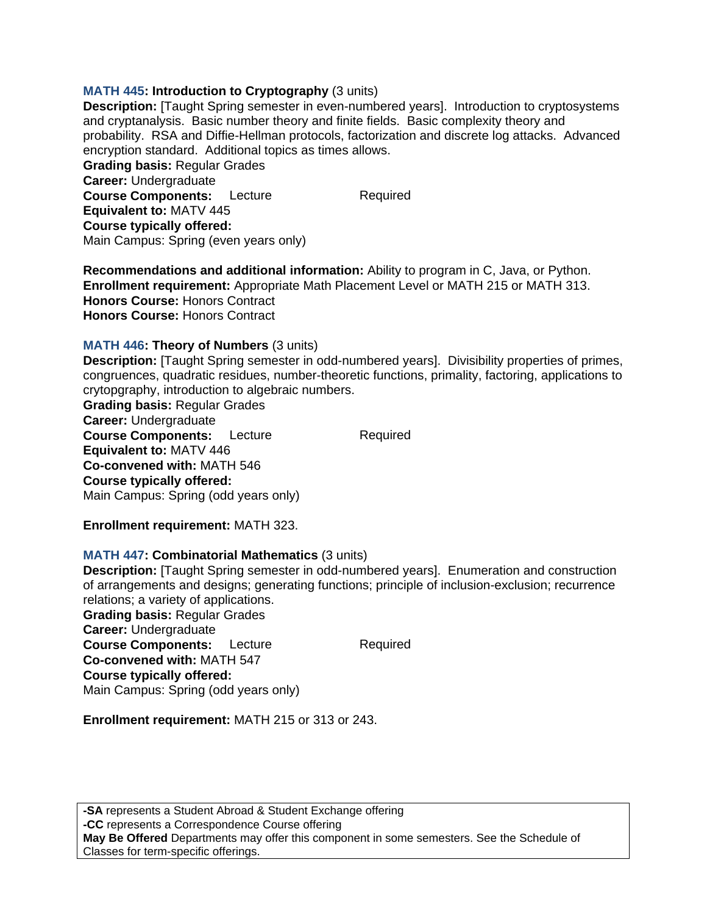# **MATH 445: Introduction to Cryptography** (3 units)

**Description:** [Taught Spring semester in even-numbered years]. Introduction to cryptosystems and cryptanalysis. Basic number theory and finite fields. Basic complexity theory and probability. RSA and Diffie-Hellman protocols, factorization and discrete log attacks. Advanced encryption standard. Additional topics as times allows. **Grading basis:** Regular Grades **Career:** Undergraduate **Course Components:** Lecture Required **Equivalent to:** MATV 445 **Course typically offered:**  Main Campus: Spring (even years only)

**Recommendations and additional information:** Ability to program in C, Java, or Python. **Enrollment requirement:** Appropriate Math Placement Level or MATH 215 or MATH 313. **Honors Course:** Honors Contract **Honors Course:** Honors Contract

#### **MATH 446: Theory of Numbers** (3 units)

**Description:** [Taught Spring semester in odd-numbered years]. Divisibility properties of primes, congruences, quadratic residues, number-theoretic functions, primality, factoring, applications to crytopgraphy, introduction to algebraic numbers.

**Grading basis:** Regular Grades **Career:** Undergraduate **Course Components:** Lecture Required **Equivalent to:** MATV 446 **Co-convened with:** MATH 546 **Course typically offered:**  Main Campus: Spring (odd years only)

**Enrollment requirement:** MATH 323.

#### **MATH 447: Combinatorial Mathematics** (3 units)

**Description:** [Taught Spring semester in odd-numbered years]. Enumeration and construction of arrangements and designs; generating functions; principle of inclusion-exclusion; recurrence relations; a variety of applications.

**Grading basis:** Regular Grades **Career:** Undergraduate **Course Components:** Lecture Required **Co-convened with:** MATH 547 **Course typically offered:**  Main Campus: Spring (odd years only)

**Enrollment requirement:** MATH 215 or 313 or 243.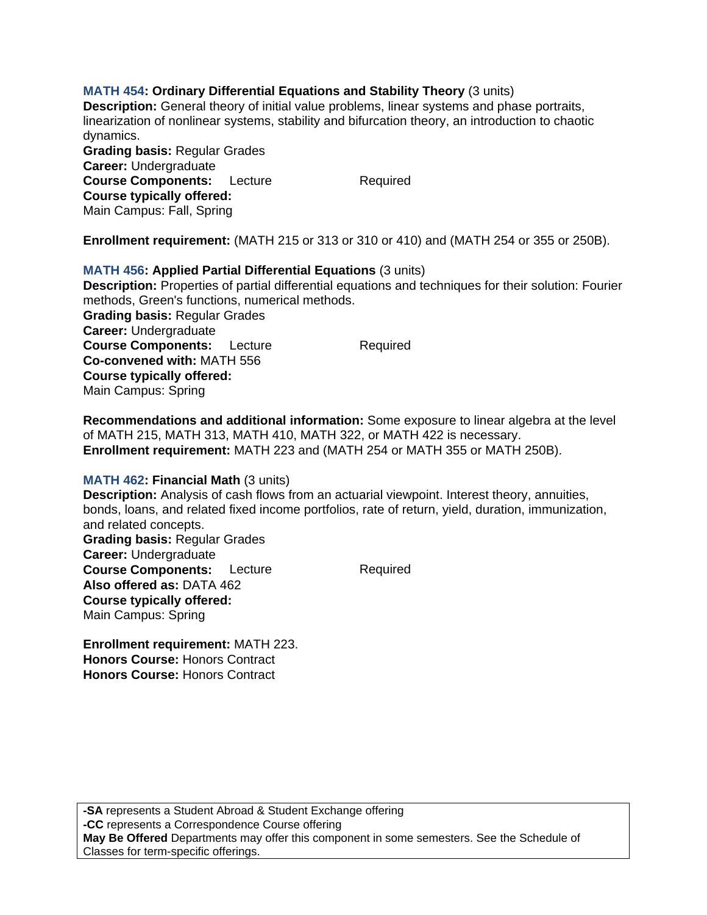# **MATH 454: Ordinary Differential Equations and Stability Theory** (3 units)

**Description:** General theory of initial value problems, linear systems and phase portraits, linearization of nonlinear systems, stability and bifurcation theory, an introduction to chaotic dynamics.

**Grading basis:** Regular Grades **Career:** Undergraduate **Course Components:** Lecture Required **Course typically offered:**  Main Campus: Fall, Spring

**Enrollment requirement:** (MATH 215 or 313 or 310 or 410) and (MATH 254 or 355 or 250B).

# **MATH 456: Applied Partial Differential Equations** (3 units)

**Description:** Properties of partial differential equations and techniques for their solution: Fourier methods, Green's functions, numerical methods. **Grading basis:** Regular Grades **Career:** Undergraduate **Course Components:** Lecture Required **Co-convened with:** MATH 556 **Course typically offered:**  Main Campus: Spring

**Recommendations and additional information:** Some exposure to linear algebra at the level of MATH 215, MATH 313, MATH 410, MATH 322, or MATH 422 is necessary. **Enrollment requirement:** MATH 223 and (MATH 254 or MATH 355 or MATH 250B).

#### **MATH 462: Financial Math** (3 units)

**Description:** Analysis of cash flows from an actuarial viewpoint. Interest theory, annuities, bonds, loans, and related fixed income portfolios, rate of return, yield, duration, immunization, and related concepts.

**Grading basis:** Regular Grades **Career:** Undergraduate **Course Components:** Lecture Required **Also offered as:** DATA 462 **Course typically offered:**  Main Campus: Spring

**Enrollment requirement:** MATH 223. **Honors Course:** Honors Contract **Honors Course:** Honors Contract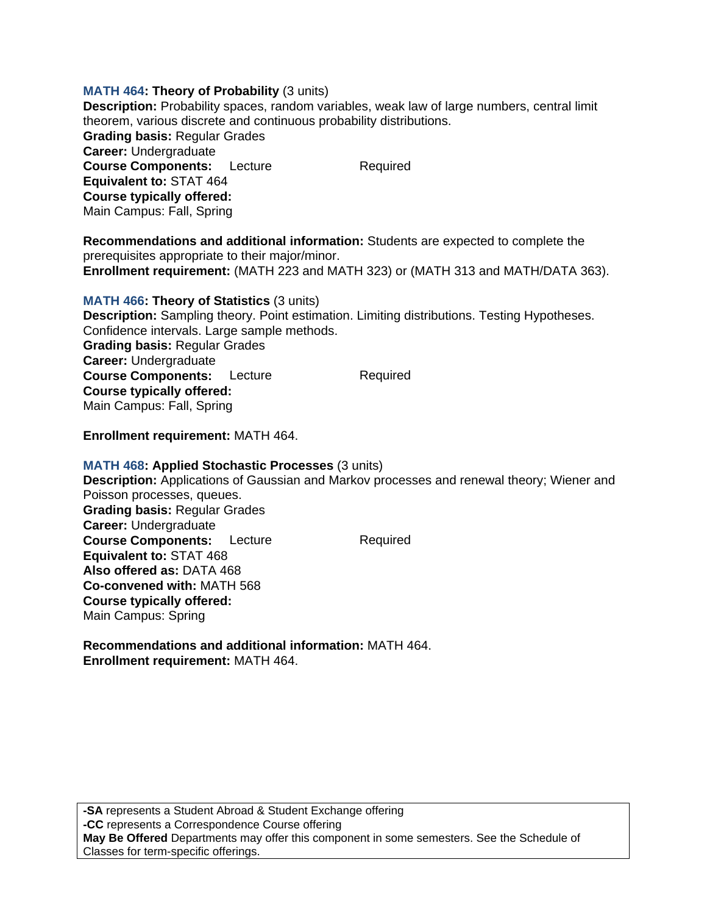### **MATH 464: Theory of Probability** (3 units)

**Description:** Probability spaces, random variables, weak law of large numbers, central limit theorem, various discrete and continuous probability distributions. **Grading basis:** Regular Grades **Career:** Undergraduate **Course Components:** Lecture Required **Equivalent to:** STAT 464 **Course typically offered:**  Main Campus: Fall, Spring

**Recommendations and additional information:** Students are expected to complete the prerequisites appropriate to their major/minor. **Enrollment requirement:** (MATH 223 and MATH 323) or (MATH 313 and MATH/DATA 363).

**MATH 466: Theory of Statistics** (3 units) **Description:** Sampling theory. Point estimation. Limiting distributions. Testing Hypotheses. Confidence intervals. Large sample methods. **Grading basis:** Regular Grades **Career:** Undergraduate **Course Components:** Lecture Required **Course typically offered:**  Main Campus: Fall, Spring

**Enrollment requirement:** MATH 464.

#### **MATH 468: Applied Stochastic Processes** (3 units)

**Description:** Applications of Gaussian and Markov processes and renewal theory; Wiener and Poisson processes, queues. **Grading basis:** Regular Grades **Career:** Undergraduate **Course Components:** Lecture Required **Equivalent to:** STAT 468 **Also offered as:** DATA 468 **Co-convened with:** MATH 568 **Course typically offered:**  Main Campus: Spring

**Recommendations and additional information:** MATH 464. **Enrollment requirement:** MATH 464.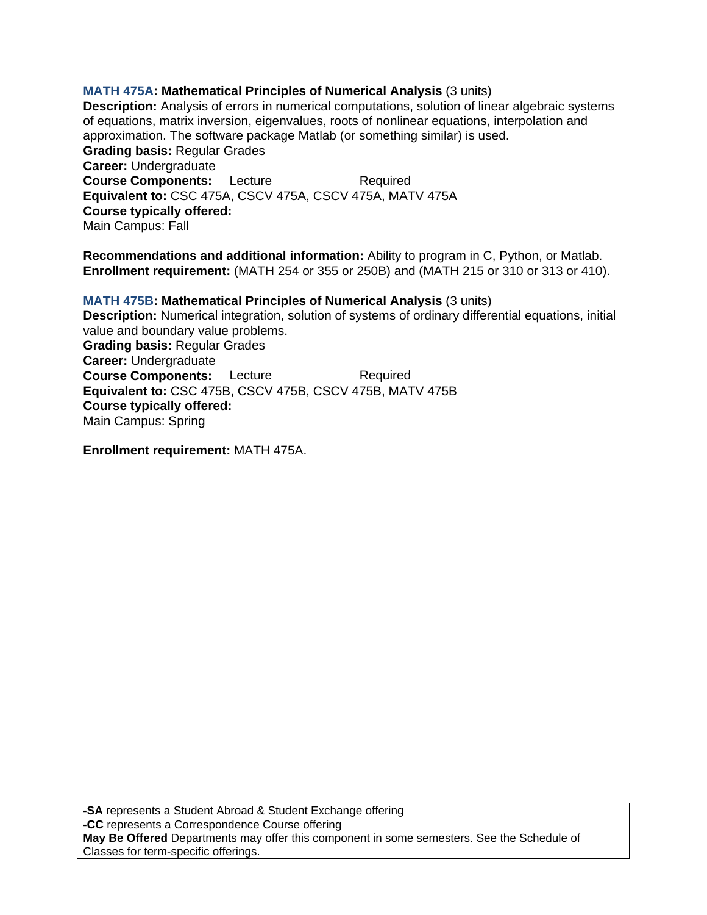# **MATH 475A: Mathematical Principles of Numerical Analysis** (3 units)

**Description:** Analysis of errors in numerical computations, solution of linear algebraic systems of equations, matrix inversion, eigenvalues, roots of nonlinear equations, interpolation and approximation. The software package Matlab (or something similar) is used. **Grading basis:** Regular Grades **Career:** Undergraduate **Course Components:** Lecture Required **Equivalent to:** CSC 475A, CSCV 475A, CSCV 475A, MATV 475A **Course typically offered:**  Main Campus: Fall

**Recommendations and additional information:** Ability to program in C, Python, or Matlab. **Enrollment requirement:** (MATH 254 or 355 or 250B) and (MATH 215 or 310 or 313 or 410).

**MATH 475B: Mathematical Principles of Numerical Analysis** (3 units) **Description:** Numerical integration, solution of systems of ordinary differential equations, initial value and boundary value problems. **Grading basis:** Regular Grades **Career:** Undergraduate **Course Components:** Lecture Required **Equivalent to:** CSC 475B, CSCV 475B, CSCV 475B, MATV 475B **Course typically offered:**  Main Campus: Spring

**Enrollment requirement:** MATH 475A.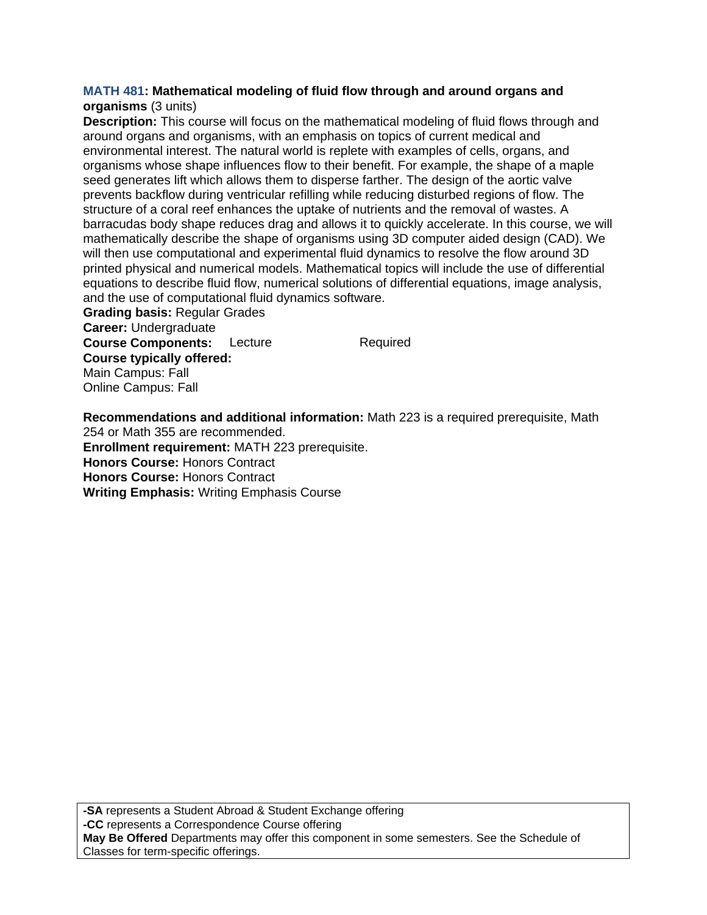### **MATH 481: Mathematical modeling of fluid flow through and around organs and organisms** (3 units)

**Description:** This course will focus on the mathematical modeling of fluid flows through and around organs and organisms, with an emphasis on topics of current medical and environmental interest. The natural world is replete with examples of cells, organs, and organisms whose shape influences flow to their benefit. For example, the shape of a maple seed generates lift which allows them to disperse farther. The design of the aortic valve prevents backflow during ventricular refilling while reducing disturbed regions of flow. The structure of a coral reef enhances the uptake of nutrients and the removal of wastes. A barracudas body shape reduces drag and allows it to quickly accelerate. In this course, we will mathematically describe the shape of organisms using 3D computer aided design (CAD). We will then use computational and experimental fluid dynamics to resolve the flow around 3D printed physical and numerical models. Mathematical topics will include the use of differential equations to describe fluid flow, numerical solutions of differential equations, image analysis, and the use of computational fluid dynamics software.

**Grading basis:** Regular Grades **Career:** Undergraduate **Course Components:** Lecture Required **Course typically offered:**  Main Campus: Fall Online Campus: Fall

**Recommendations and additional information:** Math 223 is a required prerequisite, Math 254 or Math 355 are recommended.

**Enrollment requirement:** MATH 223 prerequisite. **Honors Course:** Honors Contract **Honors Course:** Honors Contract

**Writing Emphasis:** Writing Emphasis Course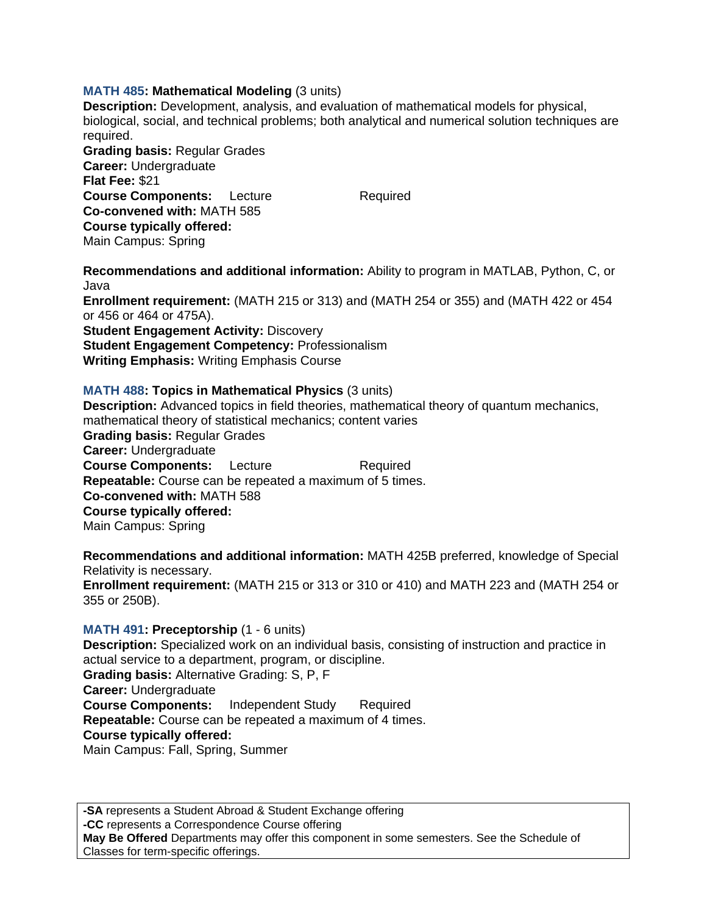### **MATH 485: Mathematical Modeling** (3 units)

**Description:** Development, analysis, and evaluation of mathematical models for physical, biological, social, and technical problems; both analytical and numerical solution techniques are required.

**Grading basis:** Regular Grades **Career:** Undergraduate **Flat Fee:** \$21 **Course Components:** Lecture Required **Co-convened with:** MATH 585 **Course typically offered:**  Main Campus: Spring

**Recommendations and additional information:** Ability to program in MATLAB, Python, C, or Java

**Enrollment requirement:** (MATH 215 or 313) and (MATH 254 or 355) and (MATH 422 or 454 or 456 or 464 or 475A).

**Student Engagement Activity: Discovery Student Engagement Competency:** Professionalism **Writing Emphasis:** Writing Emphasis Course

#### **MATH 488: Topics in Mathematical Physics** (3 units)

**Description:** Advanced topics in field theories, mathematical theory of quantum mechanics, mathematical theory of statistical mechanics; content varies **Grading basis:** Regular Grades **Career:** Undergraduate **Course Components:** Lecture Required **Repeatable:** Course can be repeated a maximum of 5 times. **Co-convened with:** MATH 588 **Course typically offered:**  Main Campus: Spring

**Recommendations and additional information:** MATH 425B preferred, knowledge of Special Relativity is necessary. **Enrollment requirement:** (MATH 215 or 313 or 310 or 410) and MATH 223 and (MATH 254 or

#### **MATH 491: Preceptorship** (1 - 6 units)

355 or 250B).

**Description:** Specialized work on an individual basis, consisting of instruction and practice in actual service to a department, program, or discipline. **Grading basis:** Alternative Grading: S, P, F **Career:** Undergraduate **Course Components:** Independent Study Required **Repeatable:** Course can be repeated a maximum of 4 times. **Course typically offered:**  Main Campus: Fall, Spring, Summer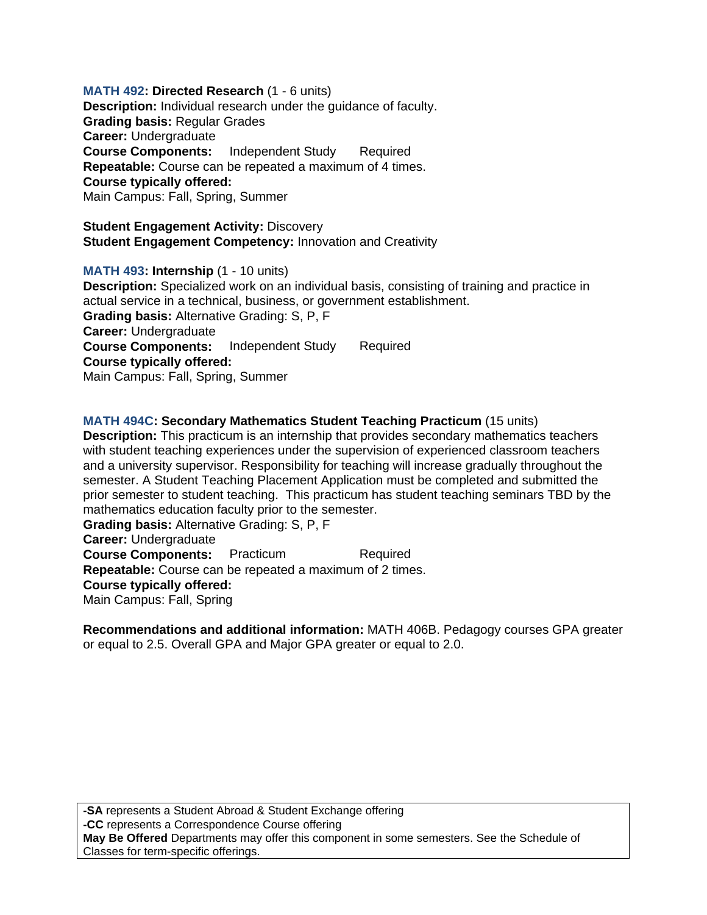**MATH 492: Directed Research** (1 - 6 units) **Description:** Individual research under the guidance of faculty. **Grading basis:** Regular Grades **Career:** Undergraduate **Course Components:** Independent Study Required **Repeatable:** Course can be repeated a maximum of 4 times. **Course typically offered:**  Main Campus: Fall, Spring, Summer

**Student Engagement Activity: Discovery Student Engagement Competency:** Innovation and Creativity

**MATH 493: Internship** (1 - 10 units) **Description:** Specialized work on an individual basis, consisting of training and practice in actual service in a technical, business, or government establishment. **Grading basis:** Alternative Grading: S, P, F **Career:** Undergraduate **Course Components:** Independent Study Required **Course typically offered:**  Main Campus: Fall, Spring, Summer

**MATH 494C: Secondary Mathematics Student Teaching Practicum** (15 units) **Description:** This practicum is an internship that provides secondary mathematics teachers with student teaching experiences under the supervision of experienced classroom teachers and a university supervisor. Responsibility for teaching will increase gradually throughout the semester. A Student Teaching Placement Application must be completed and submitted the prior semester to student teaching. This practicum has student teaching seminars TBD by the mathematics education faculty prior to the semester. **Grading basis:** Alternative Grading: S, P, F **Career:** Undergraduate **Course Components:** Practicum Required **Repeatable:** Course can be repeated a maximum of 2 times. **Course typically offered:** 

Main Campus: Fall, Spring

**Recommendations and additional information:** MATH 406B. Pedagogy courses GPA greater or equal to 2.5. Overall GPA and Major GPA greater or equal to 2.0.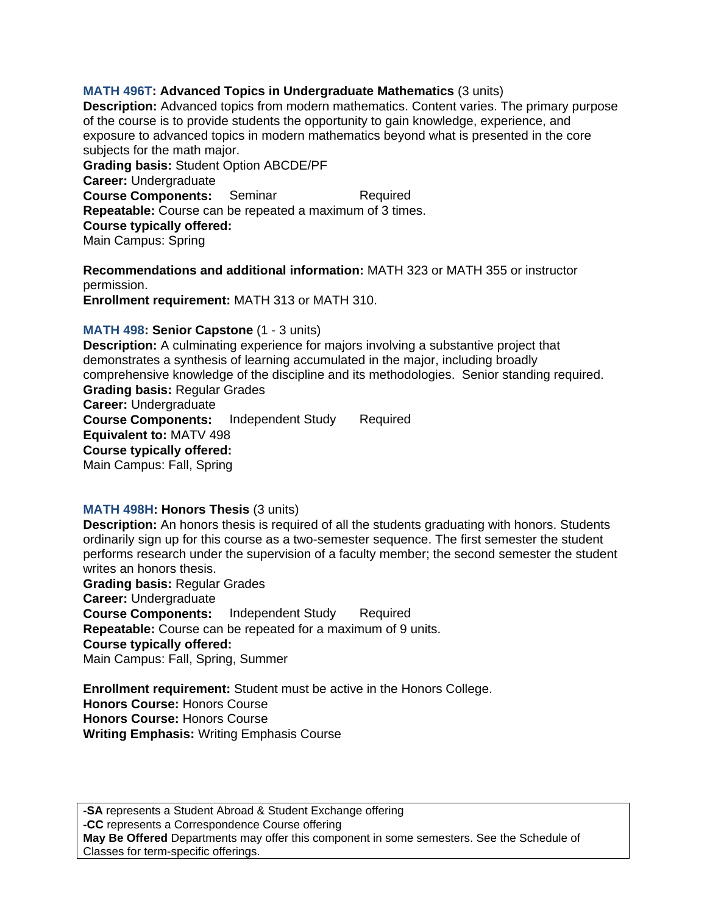# **MATH 496T: Advanced Topics in Undergraduate Mathematics** (3 units)

**Description:** Advanced topics from modern mathematics. Content varies. The primary purpose of the course is to provide students the opportunity to gain knowledge, experience, and exposure to advanced topics in modern mathematics beyond what is presented in the core subjects for the math major. **Grading basis:** Student Option ABCDE/PF **Career:** Undergraduate **Course Components:** Seminar Required

**Repeatable:** Course can be repeated a maximum of 3 times.

**Course typically offered:** 

Main Campus: Spring

**Recommendations and additional information:** MATH 323 or MATH 355 or instructor permission.

**Enrollment requirement:** MATH 313 or MATH 310.

# **MATH 498: Senior Capstone** (1 - 3 units)

**Description:** A culminating experience for majors involving a substantive project that demonstrates a synthesis of learning accumulated in the major, including broadly comprehensive knowledge of the discipline and its methodologies. Senior standing required. **Grading basis:** Regular Grades **Career:** Undergraduate **Course Components:** Independent Study Required **Equivalent to:** MATV 498 **Course typically offered:**  Main Campus: Fall, Spring

# **MATH 498H: Honors Thesis** (3 units)

**Description:** An honors thesis is required of all the students graduating with honors. Students ordinarily sign up for this course as a two-semester sequence. The first semester the student performs research under the supervision of a faculty member; the second semester the student writes an honors thesis.

**Grading basis:** Regular Grades **Career:** Undergraduate **Course Components:** Independent Study Required **Repeatable:** Course can be repeated for a maximum of 9 units. **Course typically offered:**  Main Campus: Fall, Spring, Summer

**Enrollment requirement:** Student must be active in the Honors College. **Honors Course:** Honors Course **Honors Course:** Honors Course **Writing Emphasis:** Writing Emphasis Course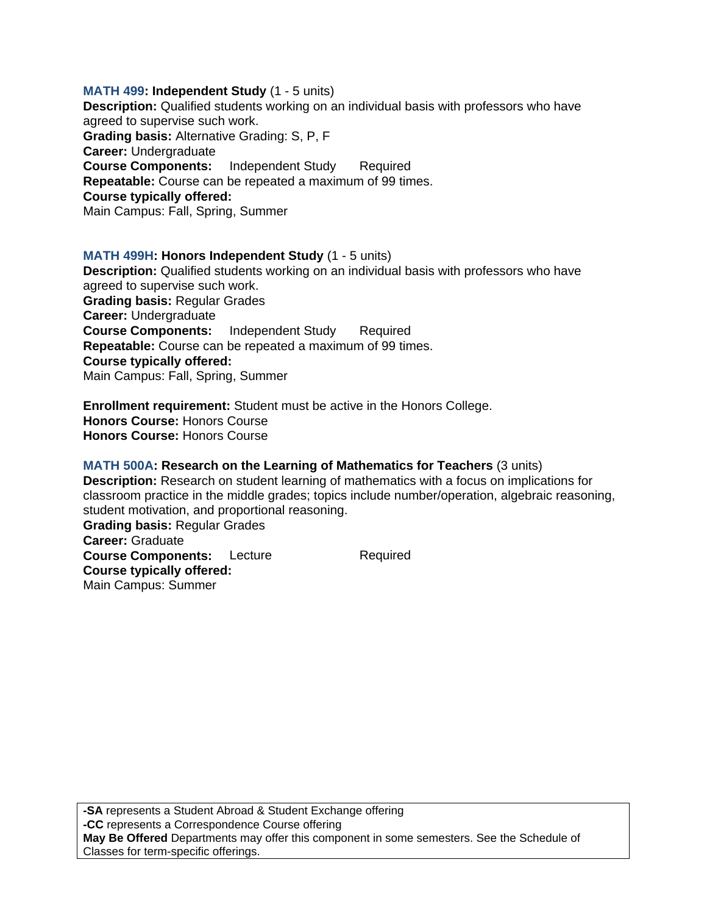**MATH 499: Independent Study** (1 - 5 units) **Description:** Qualified students working on an individual basis with professors who have agreed to supervise such work. **Grading basis:** Alternative Grading: S, P, F **Career:** Undergraduate **Course Components:** Independent Study Required **Repeatable:** Course can be repeated a maximum of 99 times. **Course typically offered:**  Main Campus: Fall, Spring, Summer

### **MATH 499H: Honors Independent Study** (1 - 5 units) **Description:** Qualified students working on an individual basis with professors who have agreed to supervise such work. **Grading basis:** Regular Grades **Career:** Undergraduate **Course Components:** Independent Study Required **Repeatable:** Course can be repeated a maximum of 99 times. **Course typically offered:**  Main Campus: Fall, Spring, Summer

**Enrollment requirement:** Student must be active in the Honors College. **Honors Course:** Honors Course **Honors Course:** Honors Course

### **MATH 500A: Research on the Learning of Mathematics for Teachers** (3 units)

**Description:** Research on student learning of mathematics with a focus on implications for classroom practice in the middle grades; topics include number/operation, algebraic reasoning, student motivation, and proportional reasoning. **Grading basis:** Regular Grades **Career:** Graduate **Course Components:** Lecture Required **Course typically offered:**  Main Campus: Summer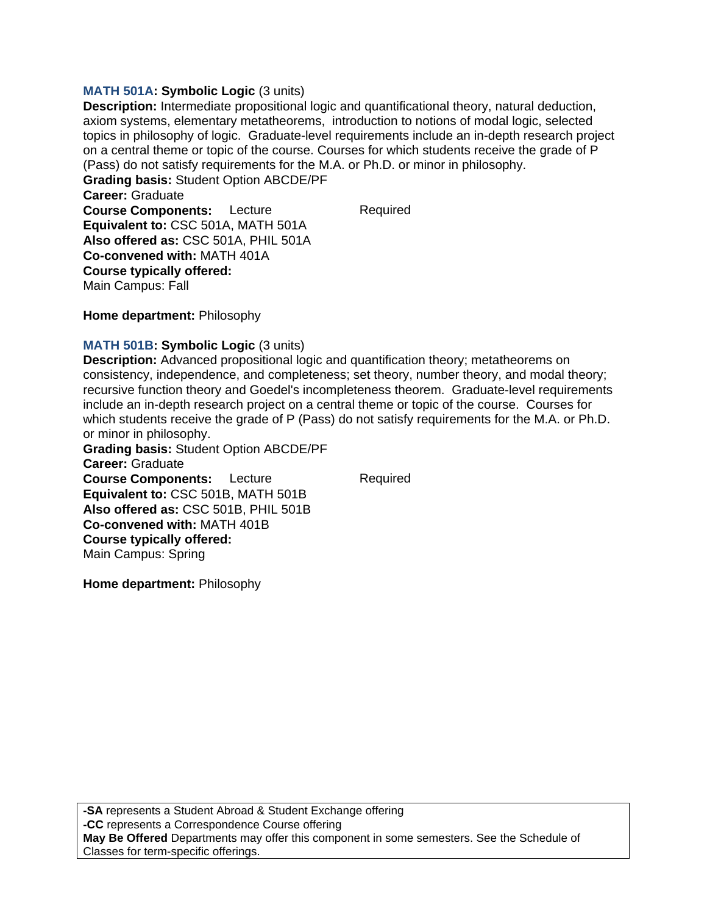### **MATH 501A: Symbolic Logic** (3 units)

**Description:** Intermediate propositional logic and quantificational theory, natural deduction, axiom systems, elementary metatheorems, introduction to notions of modal logic, selected topics in philosophy of logic. Graduate-level requirements include an in-depth research project on a central theme or topic of the course. Courses for which students receive the grade of P (Pass) do not satisfy requirements for the M.A. or Ph.D. or minor in philosophy.

**Grading basis:** Student Option ABCDE/PF **Career:** Graduate **Course Components:** Lecture Required **Equivalent to:** CSC 501A, MATH 501A **Also offered as:** CSC 501A, PHIL 501A **Co-convened with:** MATH 401A **Course typically offered:**  Main Campus: Fall

**Home department:** Philosophy

### **MATH 501B: Symbolic Logic** (3 units)

**Description:** Advanced propositional logic and quantification theory; metatheorems on consistency, independence, and completeness; set theory, number theory, and modal theory; recursive function theory and Goedel's incompleteness theorem. Graduate-level requirements include an in-depth research project on a central theme or topic of the course. Courses for which students receive the grade of P (Pass) do not satisfy requirements for the M.A. or Ph.D. or minor in philosophy.

**Grading basis:** Student Option ABCDE/PF **Career:** Graduate **Course Components:** Lecture Required **Equivalent to:** CSC 501B, MATH 501B **Also offered as:** CSC 501B, PHIL 501B **Co-convened with:** MATH 401B **Course typically offered:**  Main Campus: Spring

**Home department:** Philosophy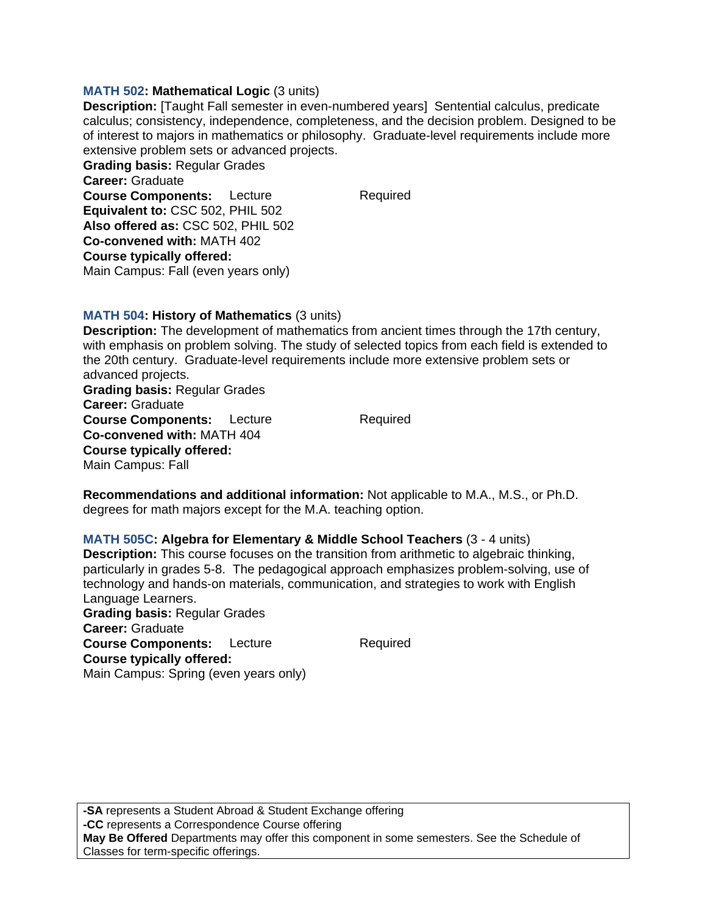### **MATH 502: Mathematical Logic** (3 units)

**Description:** [Taught Fall semester in even-numbered years] Sentential calculus, predicate calculus; consistency, independence, completeness, and the decision problem. Designed to be of interest to majors in mathematics or philosophy. Graduate-level requirements include more extensive problem sets or advanced projects.

**Grading basis:** Regular Grades **Career:** Graduate **Course Components:** Lecture Required **Equivalent to:** CSC 502, PHIL 502 **Also offered as:** CSC 502, PHIL 502 **Co-convened with:** MATH 402 **Course typically offered:**  Main Campus: Fall (even years only)

## **MATH 504: History of Mathematics** (3 units)

**Description:** The development of mathematics from ancient times through the 17th century, with emphasis on problem solving. The study of selected topics from each field is extended to the 20th century. Graduate-level requirements include more extensive problem sets or advanced projects. **Grading basis:** Regular Grades

**Career:** Graduate **Course Components:** Lecture Required **Co-convened with:** MATH 404 **Course typically offered:**  Main Campus: Fall

**Recommendations and additional information:** Not applicable to M.A., M.S., or Ph.D. degrees for math majors except for the M.A. teaching option.

### **MATH 505C: Algebra for Elementary & Middle School Teachers** (3 - 4 units)

**Description:** This course focuses on the transition from arithmetic to algebraic thinking, particularly in grades 5-8. The pedagogical approach emphasizes problem-solving, use of technology and hands-on materials, communication, and strategies to work with English Language Learners. **Grading basis:** Regular Grades

**Career:** Graduate **Course Components:** Lecture Required **Course typically offered:**  Main Campus: Spring (even years only)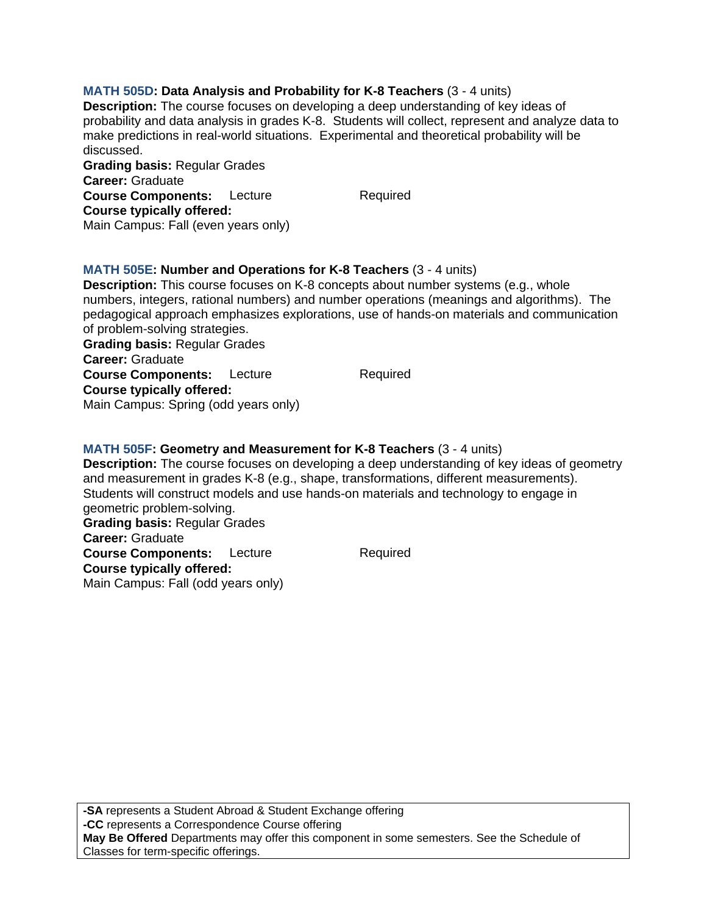# **MATH 505D: Data Analysis and Probability for K-8 Teachers** (3 - 4 units)

**Description:** The course focuses on developing a deep understanding of key ideas of probability and data analysis in grades K-8. Students will collect, represent and analyze data to make predictions in real-world situations. Experimental and theoretical probability will be discussed.

**Grading basis:** Regular Grades **Career:** Graduate **Course Components:** Lecture Required **Course typically offered:**  Main Campus: Fall (even years only)

## **MATH 505E: Number and Operations for K-8 Teachers** (3 - 4 units)

**Description:** This course focuses on K-8 concepts about number systems (e.g., whole numbers, integers, rational numbers) and number operations (meanings and algorithms). The pedagogical approach emphasizes explorations, use of hands-on materials and communication of problem-solving strategies.

**Grading basis:** Regular Grades **Career:** Graduate **Course Components:** Lecture Required **Course typically offered:**  Main Campus: Spring (odd years only)

### **MATH 505F: Geometry and Measurement for K-8 Teachers** (3 - 4 units)

**Description:** The course focuses on developing a deep understanding of key ideas of geometry and measurement in grades K-8 (e.g., shape, transformations, different measurements). Students will construct models and use hands-on materials and technology to engage in geometric problem-solving. **Grading basis:** Regular Grades **Career:** Graduate

**Course Components:** Lecture Required **Course typically offered:**  Main Campus: Fall (odd years only)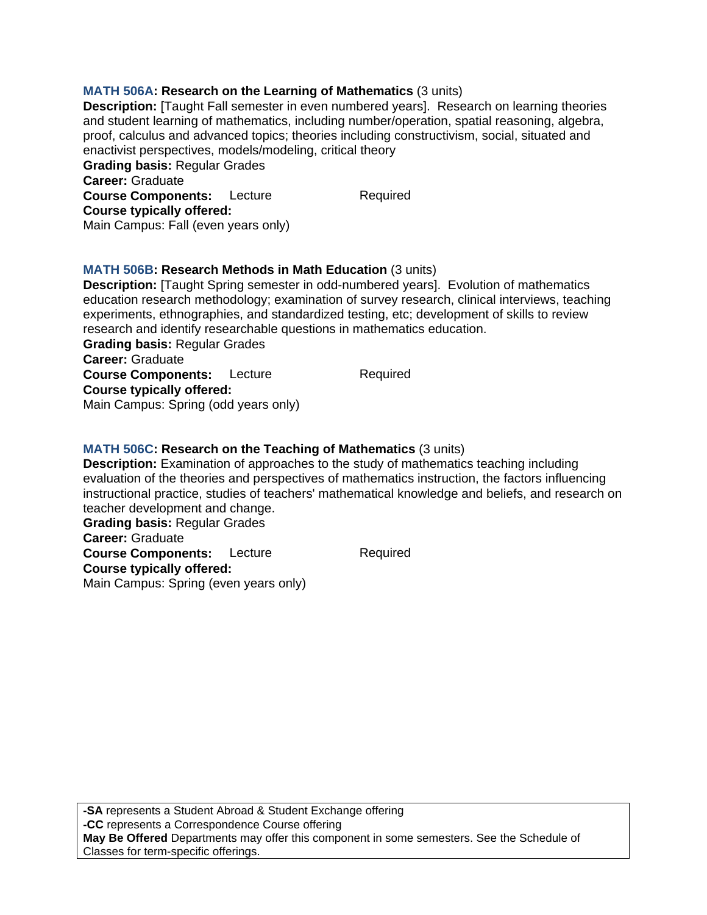# **MATH 506A: Research on the Learning of Mathematics** (3 units)

**Description:** [Taught Fall semester in even numbered years]. Research on learning theories and student learning of mathematics, including number/operation, spatial reasoning, algebra, proof, calculus and advanced topics; theories including constructivism, social, situated and enactivist perspectives, models/modeling, critical theory **Grading basis:** Regular Grades **Career:** Graduate **Course Components:** Lecture Required **Course typically offered:** 

#### **MATH 506B: Research Methods in Math Education** (3 units) **Description:** [Taught Spring semester in odd-numbered years]. Evolution of mathematics

education research methodology; examination of survey research, clinical interviews, teaching experiments, ethnographies, and standardized testing, etc; development of skills to review research and identify researchable questions in mathematics education.

**Grading basis:** Regular Grades **Career:** Graduate **Course Components:** Lecture Required

Main Campus: Fall (even years only)

**Course typically offered:** 

Main Campus: Spring (odd years only)

# **MATH 506C: Research on the Teaching of Mathematics** (3 units)

**Description:** Examination of approaches to the study of mathematics teaching including evaluation of the theories and perspectives of mathematics instruction, the factors influencing instructional practice, studies of teachers' mathematical knowledge and beliefs, and research on teacher development and change.

**Grading basis:** Regular Grades **Career:** Graduate **Course Components:** Lecture Required **Course typically offered:**  Main Campus: Spring (even years only)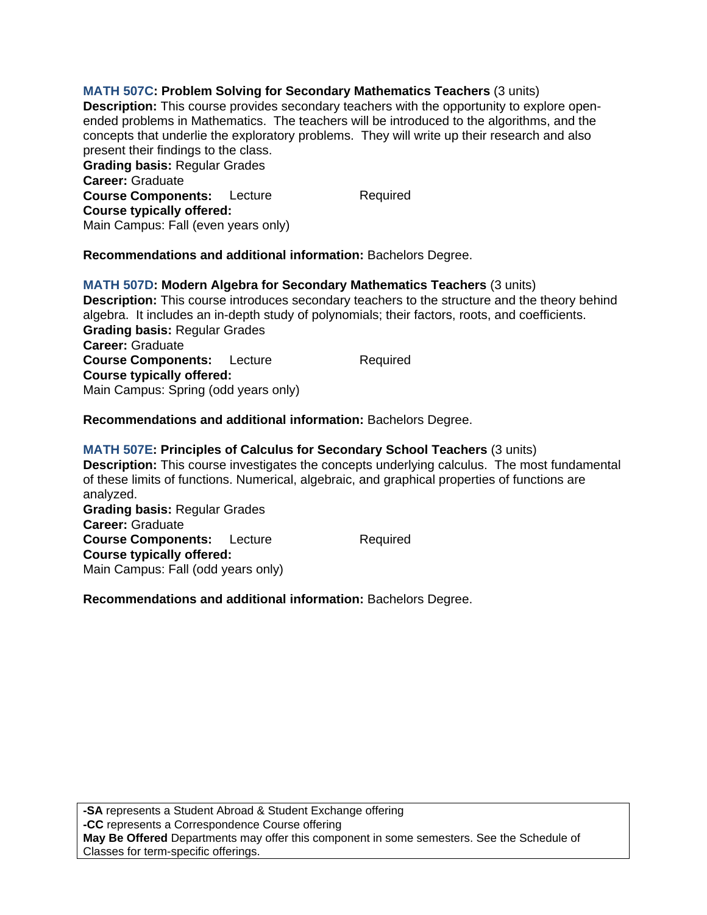**MATH 507C: Problem Solving for Secondary Mathematics Teachers** (3 units) **Description:** This course provides secondary teachers with the opportunity to explore openended problems in Mathematics. The teachers will be introduced to the algorithms, and the concepts that underlie the exploratory problems. They will write up their research and also present their findings to the class. **Grading basis:** Regular Grades **Career:** Graduate **Course Components:** Lecture Required **Course typically offered:**  Main Campus: Fall (even years only)

**Recommendations and additional information:** Bachelors Degree.

**MATH 507D: Modern Algebra for Secondary Mathematics Teachers** (3 units) **Description:** This course introduces secondary teachers to the structure and the theory behind algebra. It includes an in-depth study of polynomials; their factors, roots, and coefficients. **Grading basis:** Regular Grades **Career:** Graduate **Course Components:** Lecture Required **Course typically offered:**  Main Campus: Spring (odd years only)

**Recommendations and additional information:** Bachelors Degree.

**MATH 507E: Principles of Calculus for Secondary School Teachers** (3 units) **Description:** This course investigates the concepts underlying calculus. The most fundamental of these limits of functions. Numerical, algebraic, and graphical properties of functions are analyzed. **Grading basis:** Regular Grades **Career:** Graduate **Course Components:** Lecture Required **Course typically offered:**  Main Campus: Fall (odd years only)

**Recommendations and additional information:** Bachelors Degree.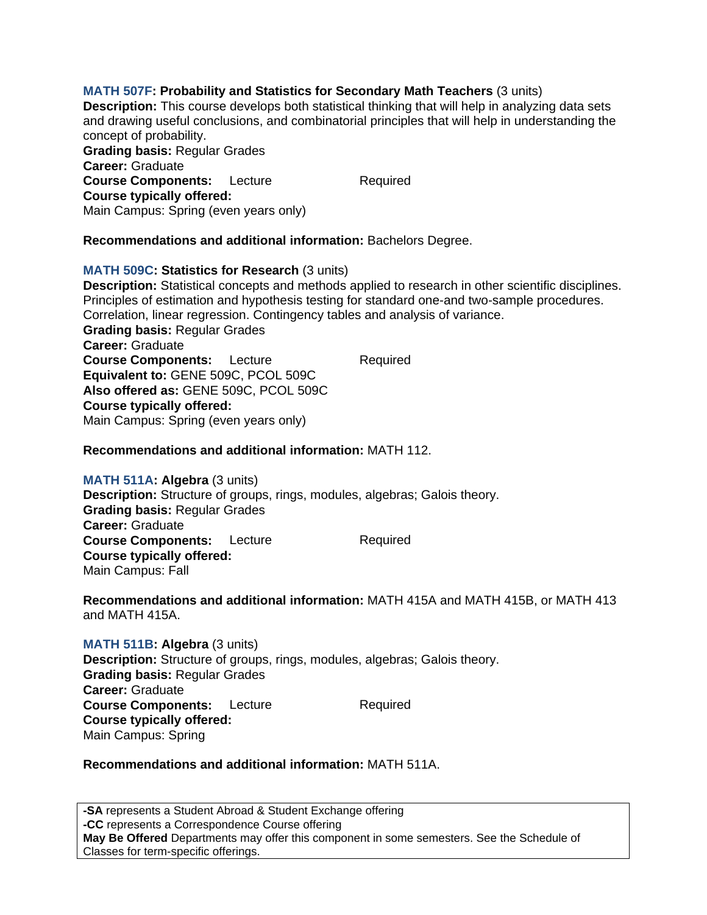# **MATH 507F: Probability and Statistics for Secondary Math Teachers** (3 units)

**Description:** This course develops both statistical thinking that will help in analyzing data sets and drawing useful conclusions, and combinatorial principles that will help in understanding the concept of probability.

**Grading basis:** Regular Grades **Career:** Graduate **Course Components:** Lecture Required **Course typically offered:**  Main Campus: Spring (even years only)

## **Recommendations and additional information:** Bachelors Degree.

### **MATH 509C: Statistics for Research** (3 units)

**Description:** Statistical concepts and methods applied to research in other scientific disciplines. Principles of estimation and hypothesis testing for standard one-and two-sample procedures. Correlation, linear regression. Contingency tables and analysis of variance. **Grading basis:** Regular Grades **Career:** Graduate **Course Components:** Lecture Required **Equivalent to:** GENE 509C, PCOL 509C

**Course typically offered:**  Main Campus: Spring (even years only)

**Also offered as:** GENE 509C, PCOL 509C

# **Recommendations and additional information:** MATH 112.

**MATH 511A: Algebra** (3 units) **Description:** Structure of groups, rings, modules, algebras; Galois theory. **Grading basis:** Regular Grades **Career:** Graduate **Course Components:** Lecture Required **Course typically offered:**  Main Campus: Fall

**Recommendations and additional information:** MATH 415A and MATH 415B, or MATH 413 and MATH 415A.

**MATH 511B: Algebra** (3 units) **Description:** Structure of groups, rings, modules, algebras; Galois theory. **Grading basis:** Regular Grades **Career:** Graduate **Course Components:** Lecture Required **Course typically offered:**  Main Campus: Spring

### **Recommendations and additional information:** MATH 511A.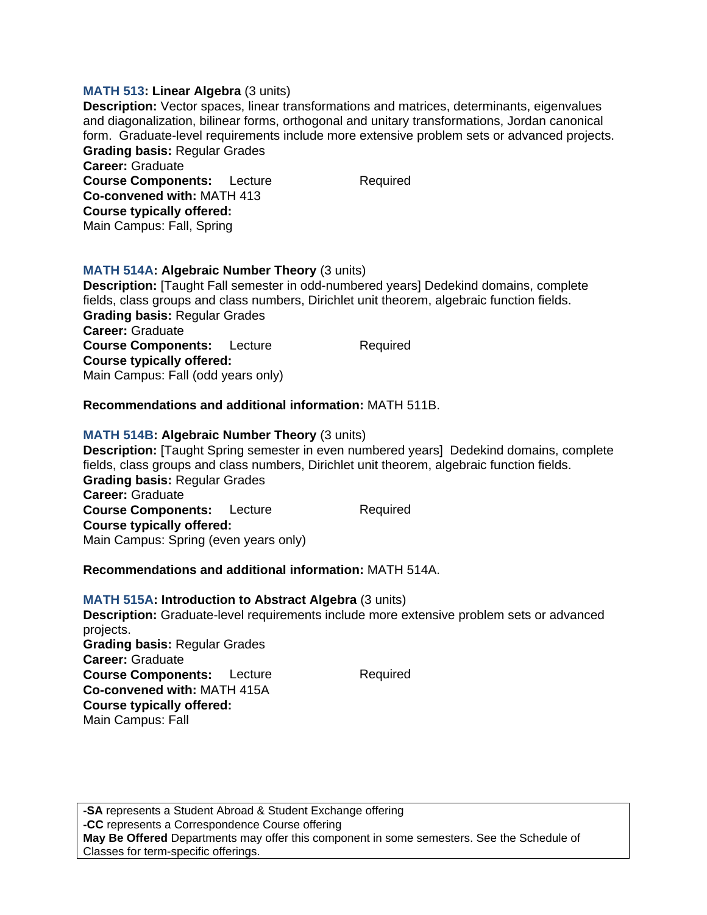## **MATH 513: Linear Algebra** (3 units)

**Course typically offered:**  Main Campus: Fall, Spring

**Description:** Vector spaces, linear transformations and matrices, determinants, eigenvalues and diagonalization, bilinear forms, orthogonal and unitary transformations, Jordan canonical form. Graduate-level requirements include more extensive problem sets or advanced projects. **Grading basis:** Regular Grades **Career:** Graduate **Course Components:** Lecture Required **Co-convened with:** MATH 413

**MATH 514A: Algebraic Number Theory** (3 units) **Description:** [Taught Fall semester in odd-numbered years] Dedekind domains, complete fields, class groups and class numbers, Dirichlet unit theorem, algebraic function fields. **Grading basis:** Regular Grades **Career:** Graduate **Course Components:** Lecture Required **Course typically offered:**  Main Campus: Fall (odd years only)

## **Recommendations and additional information:** MATH 511B.

### **MATH 514B: Algebraic Number Theory** (3 units)

**Description:** [Taught Spring semester in even numbered years] Dedekind domains, complete fields, class groups and class numbers, Dirichlet unit theorem, algebraic function fields. **Grading basis:** Regular Grades **Career:** Graduate **Course Components:** Lecture Required **Course typically offered:**  Main Campus: Spring (even years only)

### **Recommendations and additional information:** MATH 514A.

# **MATH 515A: Introduction to Abstract Algebra** (3 units)

**Description:** Graduate-level requirements include more extensive problem sets or advanced projects. **Grading basis:** Regular Grades **Career:** Graduate **Course Components:** Lecture Required **Co-convened with:** MATH 415A **Course typically offered:**  Main Campus: Fall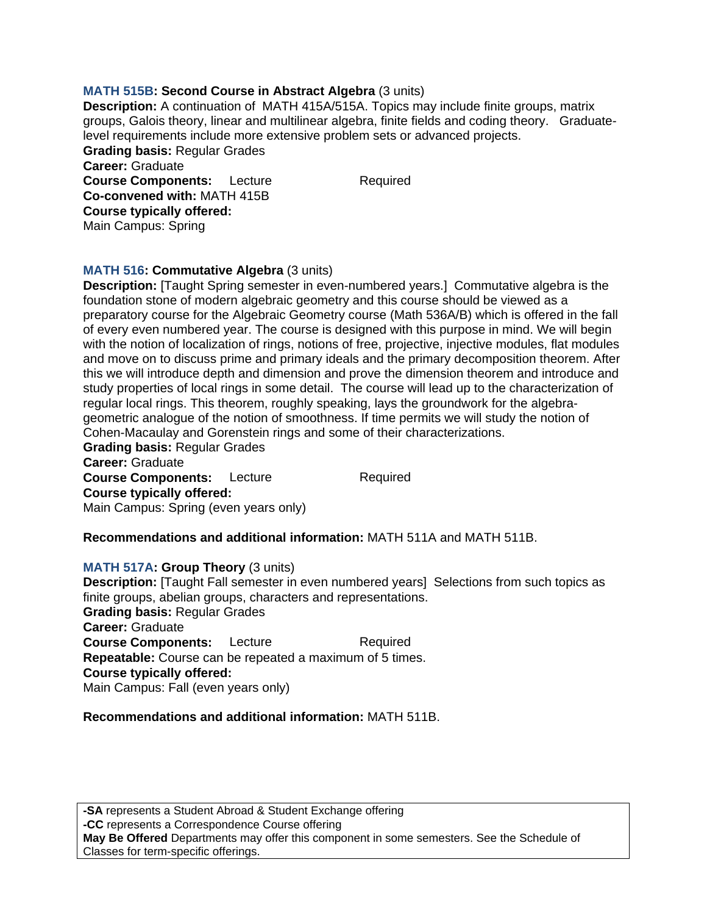# **MATH 515B: Second Course in Abstract Algebra** (3 units)

**Description:** A continuation of MATH 415A/515A. Topics may include finite groups, matrix groups, Galois theory, linear and multilinear algebra, finite fields and coding theory. Graduatelevel requirements include more extensive problem sets or advanced projects. **Grading basis:** Regular Grades **Career:** Graduate **Course Components:** Lecture Required **Co-convened with:** MATH 415B **Course typically offered:** 

Main Campus: Spring

### **MATH 516: Commutative Algebra** (3 units) **Description:** [Taught Spring semester in even-numbered years.] Commutative algebra is the foundation stone of modern algebraic geometry and this course should be viewed as a preparatory course for the Algebraic Geometry course (Math 536A/B) which is offered in the fall of every even numbered year. The course is designed with this purpose in mind. We will begin with the notion of localization of rings, notions of free, projective, injective modules, flat modules and move on to discuss prime and primary ideals and the primary decomposition theorem. After this we will introduce depth and dimension and prove the dimension theorem and introduce and study properties of local rings in some detail. The course will lead up to the characterization of regular local rings. This theorem, roughly speaking, lays the groundwork for the algebrageometric analogue of the notion of smoothness. If time permits we will study the notion of Cohen-Macaulay and Gorenstein rings and some of their characterizations.

**Grading basis:** Regular Grades **Career:** Graduate **Course Components:** Lecture Required **Course typically offered:**  Main Campus: Spring (even years only)

### **Recommendations and additional information:** MATH 511A and MATH 511B.

### **MATH 517A: Group Theory** (3 units)

**Description:** [Taught Fall semester in even numbered years] Selections from such topics as finite groups, abelian groups, characters and representations. **Grading basis:** Regular Grades **Career:** Graduate **Course Components:** Lecture Required **Repeatable:** Course can be repeated a maximum of 5 times. **Course typically offered:**  Main Campus: Fall (even years only)

### **Recommendations and additional information:** MATH 511B.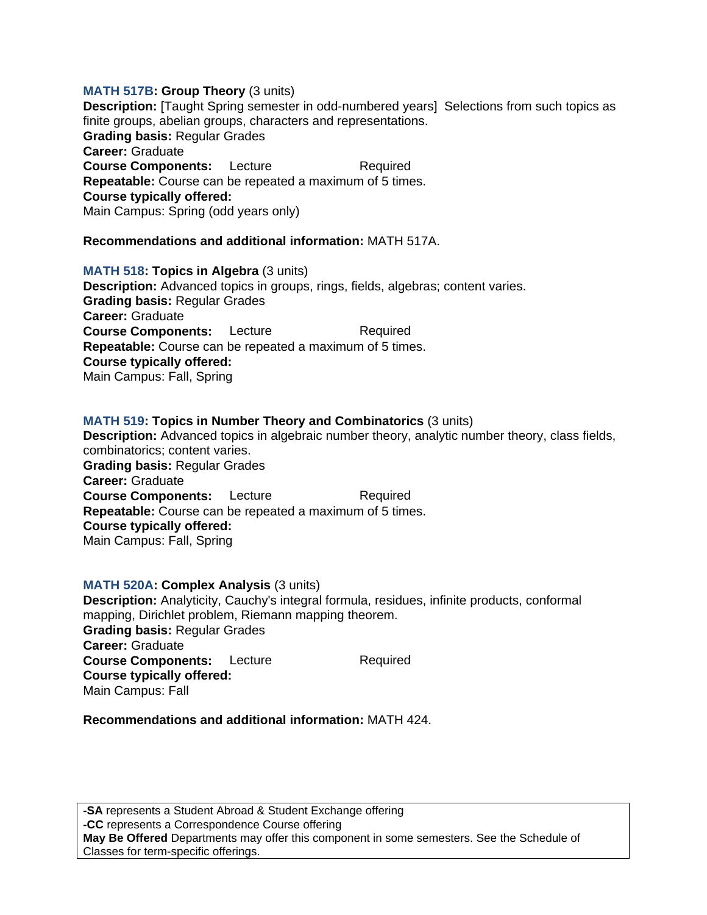### **MATH 517B: Group Theory** (3 units)

**Description:** [Taught Spring semester in odd-numbered years] Selections from such topics as finite groups, abelian groups, characters and representations. **Grading basis:** Regular Grades **Career:** Graduate **Course Components:** Lecture Required **Repeatable:** Course can be repeated a maximum of 5 times. **Course typically offered:**  Main Campus: Spring (odd years only)

# **Recommendations and additional information:** MATH 517A.

**MATH 518: Topics in Algebra** (3 units) **Description:** Advanced topics in groups, rings, fields, algebras; content varies. **Grading basis:** Regular Grades **Career:** Graduate **Course Components:** Lecture Required **Repeatable:** Course can be repeated a maximum of 5 times. **Course typically offered:**  Main Campus: Fall, Spring

### **MATH 519: Topics in Number Theory and Combinatorics** (3 units)

**Description:** Advanced topics in algebraic number theory, analytic number theory, class fields, combinatorics; content varies. **Grading basis:** Regular Grades **Career:** Graduate **Course Components:** Lecture Required **Repeatable:** Course can be repeated a maximum of 5 times. **Course typically offered:**  Main Campus: Fall, Spring

#### **MATH 520A: Complex Analysis** (3 units)

**Description:** Analyticity, Cauchy's integral formula, residues, infinite products, conformal mapping, Dirichlet problem, Riemann mapping theorem. **Grading basis:** Regular Grades **Career:** Graduate **Course Components:** Lecture Required **Course typically offered:**  Main Campus: Fall

# **Recommendations and additional information:** MATH 424.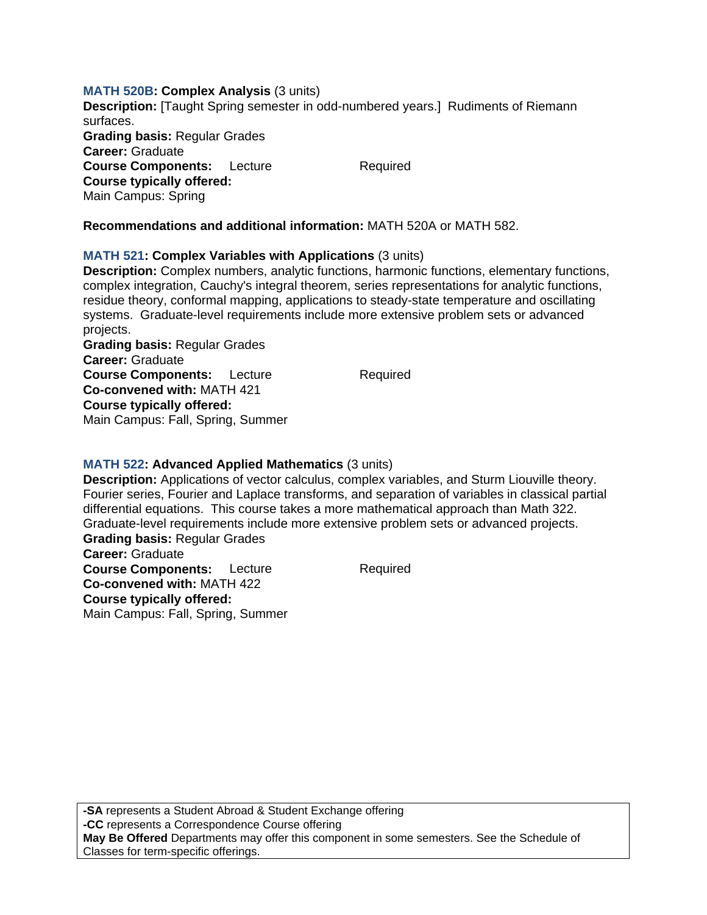### **MATH 520B: Complex Analysis** (3 units)

**Description:** [Taught Spring semester in odd-numbered years.] Rudiments of Riemann surfaces. **Grading basis:** Regular Grades **Career:** Graduate **Course Components:** Lecture Required **Course typically offered:**  Main Campus: Spring

# **Recommendations and additional information:** MATH 520A or MATH 582.

## **MATH 521: Complex Variables with Applications** (3 units)

**Description:** Complex numbers, analytic functions, harmonic functions, elementary functions, complex integration, Cauchy's integral theorem, series representations for analytic functions, residue theory, conformal mapping, applications to steady-state temperature and oscillating systems. Graduate-level requirements include more extensive problem sets or advanced projects.

**Grading basis:** Regular Grades **Career:** Graduate **Course Components:** Lecture Required **Co-convened with:** MATH 421 **Course typically offered:**  Main Campus: Fall, Spring, Summer

### **MATH 522: Advanced Applied Mathematics** (3 units)

**Description:** Applications of vector calculus, complex variables, and Sturm Liouville theory. Fourier series, Fourier and Laplace transforms, and separation of variables in classical partial differential equations. This course takes a more mathematical approach than Math 322. Graduate-level requirements include more extensive problem sets or advanced projects. **Grading basis:** Regular Grades

**Career:** Graduate **Course Components:** Lecture Required **Co-convened with:** MATH 422 **Course typically offered:**  Main Campus: Fall, Spring, Summer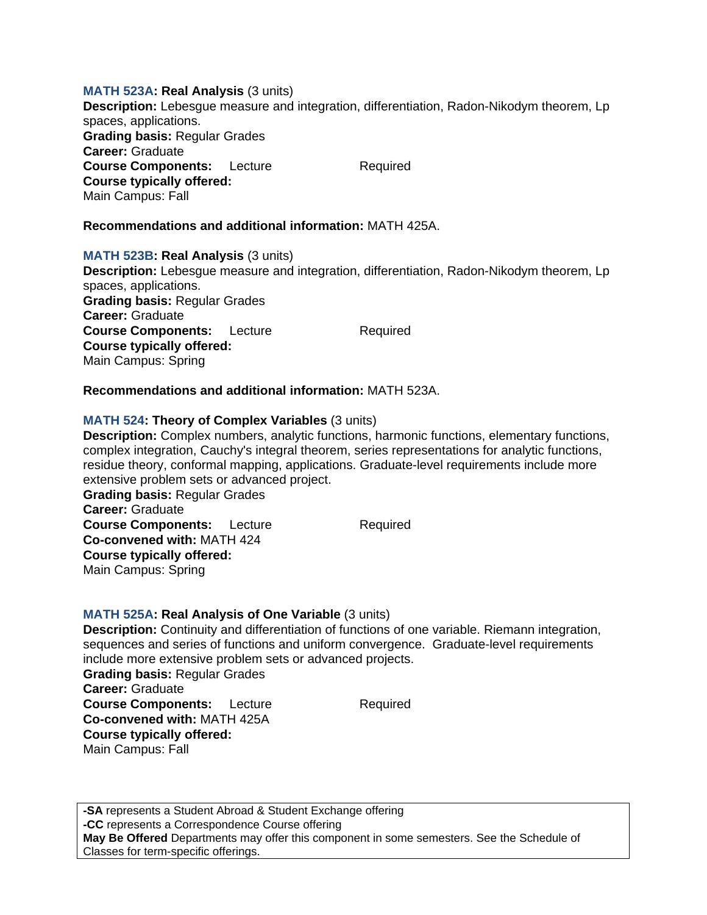### **MATH 523A: Real Analysis** (3 units)

**Description:** Lebesgue measure and integration, differentiation, Radon-Nikodym theorem, Lp spaces, applications. **Grading basis:** Regular Grades **Career:** Graduate **Course Components:** Lecture Required **Course typically offered:**  Main Campus: Fall

# **Recommendations and additional information:** MATH 425A.

## **MATH 523B: Real Analysis** (3 units)

**Description:** Lebesgue measure and integration, differentiation, Radon-Nikodym theorem, Lp spaces, applications. **Grading basis:** Regular Grades **Career:** Graduate **Course Components:** Lecture Required **Course typically offered:**  Main Campus: Spring

# **Recommendations and additional information:** MATH 523A.

## **MATH 524: Theory of Complex Variables** (3 units)

**Description:** Complex numbers, analytic functions, harmonic functions, elementary functions, complex integration, Cauchy's integral theorem, series representations for analytic functions, residue theory, conformal mapping, applications. Graduate-level requirements include more extensive problem sets or advanced project.

**Grading basis:** Regular Grades **Career:** Graduate **Course Components:** Lecture Required **Co-convened with:** MATH 424 **Course typically offered:**  Main Campus: Spring

### **MATH 525A: Real Analysis of One Variable** (3 units)

**Description:** Continuity and differentiation of functions of one variable. Riemann integration, sequences and series of functions and uniform convergence. Graduate-level requirements include more extensive problem sets or advanced projects.

**Grading basis:** Regular Grades **Career:** Graduate **Course Components:** Lecture Required **Co-convened with:** MATH 425A **Course typically offered:**  Main Campus: Fall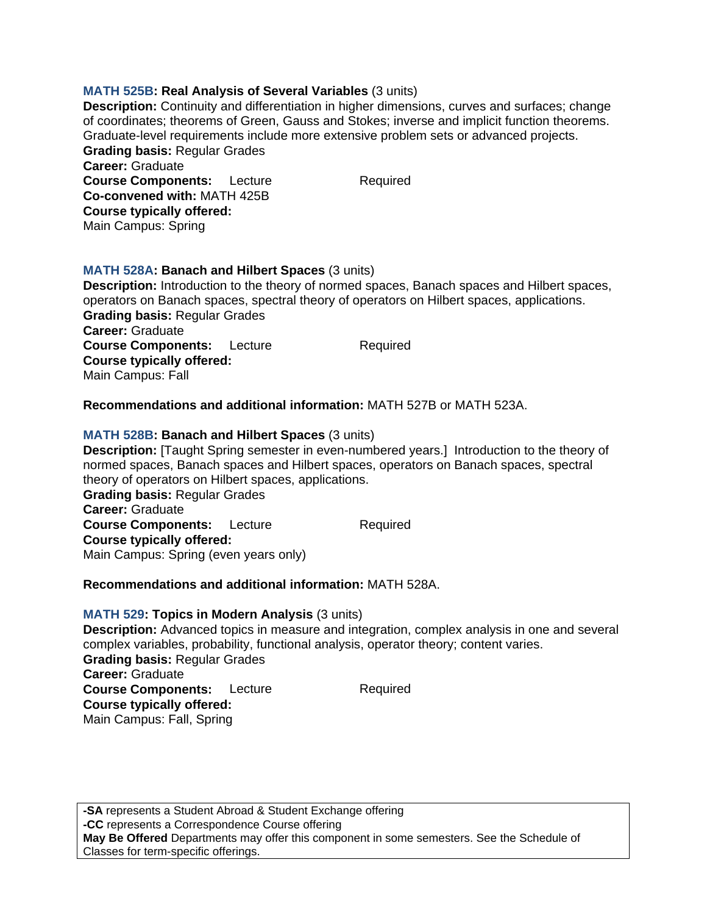## **MATH 525B: Real Analysis of Several Variables** (3 units)

**Description:** Continuity and differentiation in higher dimensions, curves and surfaces; change of coordinates; theorems of Green, Gauss and Stokes; inverse and implicit function theorems. Graduate-level requirements include more extensive problem sets or advanced projects. **Grading basis:** Regular Grades **Career:** Graduate **Course Components:** Lecture Required **Co-convened with:** MATH 425B **Course typically offered:**  Main Campus: Spring

# **MATH 528A: Banach and Hilbert Spaces** (3 units)

**Description:** Introduction to the theory of normed spaces, Banach spaces and Hilbert spaces, operators on Banach spaces, spectral theory of operators on Hilbert spaces, applications. **Grading basis:** Regular Grades

**Career:** Graduate **Course Components:** Lecture Required **Course typically offered:**  Main Campus: Fall

## **Recommendations and additional information:** MATH 527B or MATH 523A.

### **MATH 528B: Banach and Hilbert Spaces** (3 units)

**Description:** [Taught Spring semester in even-numbered years.] Introduction to the theory of normed spaces, Banach spaces and Hilbert spaces, operators on Banach spaces, spectral theory of operators on Hilbert spaces, applications. **Grading basis:** Regular Grades

**Career:** Graduate **Course Components:** Lecture Required **Course typically offered:**  Main Campus: Spring (even years only)

### **Recommendations and additional information:** MATH 528A.

### **MATH 529: Topics in Modern Analysis** (3 units)

**Description:** Advanced topics in measure and integration, complex analysis in one and several complex variables, probability, functional analysis, operator theory; content varies. **Grading basis:** Regular Grades **Career:** Graduate **Course Components:** Lecture Required **Course typically offered:**  Main Campus: Fall, Spring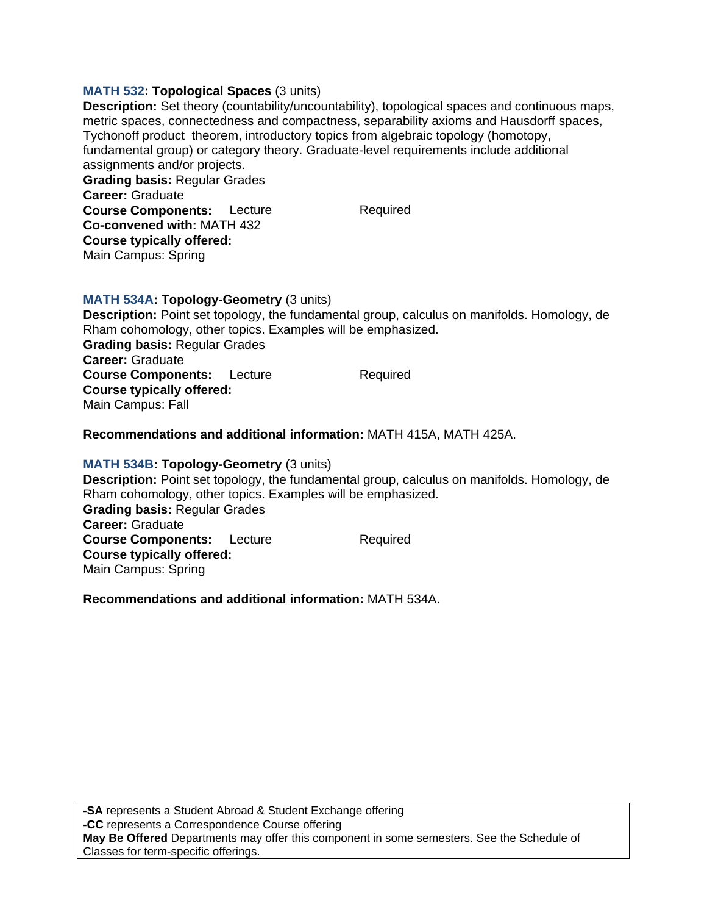### **MATH 532: Topological Spaces** (3 units)

**Description:** Set theory (countability/uncountability), topological spaces and continuous maps, metric spaces, connectedness and compactness, separability axioms and Hausdorff spaces, Tychonoff product theorem, introductory topics from algebraic topology (homotopy, fundamental group) or category theory. Graduate-level requirements include additional assignments and/or projects. **Grading basis:** Regular Grades **Career:** Graduate **Course Components:** Lecture Required

**MATH 534A: Topology-Geometry** (3 units)

**Co-convened with:** MATH 432 **Course typically offered:**  Main Campus: Spring

**Description:** Point set topology, the fundamental group, calculus on manifolds. Homology, de Rham cohomology, other topics. Examples will be emphasized. **Grading basis:** Regular Grades **Career:** Graduate **Course Components:** Lecture Required **Course typically offered:**  Main Campus: Fall

**Recommendations and additional information:** MATH 415A, MATH 425A.

### **MATH 534B: Topology-Geometry** (3 units)

**Description:** Point set topology, the fundamental group, calculus on manifolds. Homology, de Rham cohomology, other topics. Examples will be emphasized. **Grading basis:** Regular Grades **Career:** Graduate **Course Components:** Lecture Required **Course typically offered:**  Main Campus: Spring

**Recommendations and additional information:** MATH 534A.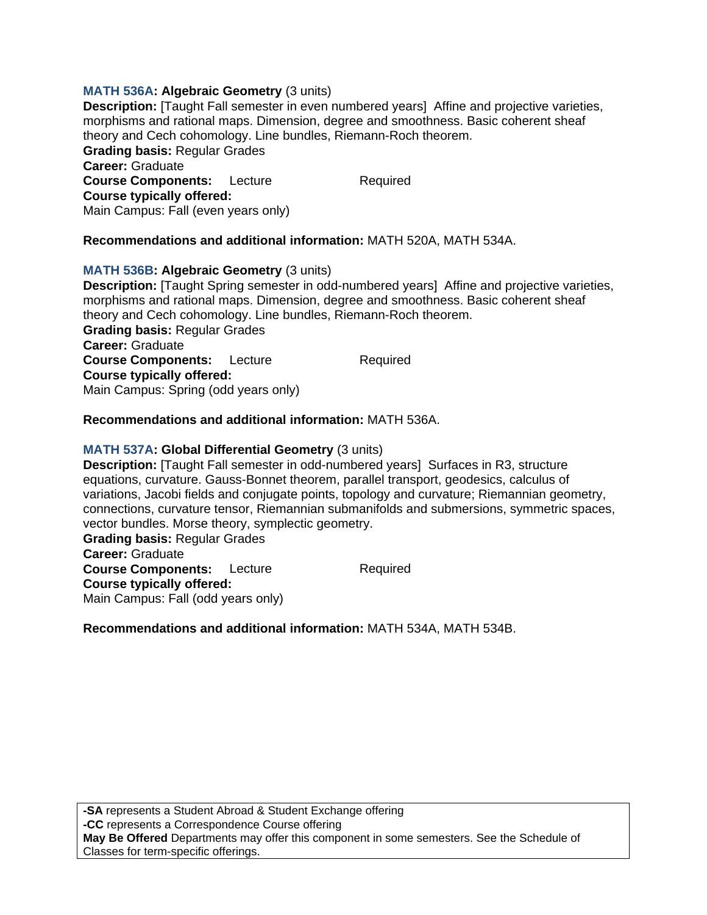# **MATH 536A: Algebraic Geometry** (3 units)

**Description:** [Taught Fall semester in even numbered years] Affine and projective varieties, morphisms and rational maps. Dimension, degree and smoothness. Basic coherent sheaf theory and Cech cohomology. Line bundles, Riemann-Roch theorem. **Grading basis:** Regular Grades **Career:** Graduate **Course Components:** Lecture Required **Course typically offered:**  Main Campus: Fall (even years only)

# **Recommendations and additional information:** MATH 520A, MATH 534A.

# **MATH 536B: Algebraic Geometry** (3 units)

**Description:** [Taught Spring semester in odd-numbered years] Affine and projective varieties, morphisms and rational maps. Dimension, degree and smoothness. Basic coherent sheaf theory and Cech cohomology. Line bundles, Riemann-Roch theorem. **Grading basis:** Regular Grades **Career:** Graduate **Course Components:** Lecture Required **Course typically offered:**  Main Campus: Spring (odd years only)

# **Recommendations and additional information:** MATH 536A.

# **MATH 537A: Global Differential Geometry** (3 units)

**Description:** [Taught Fall semester in odd-numbered years] Surfaces in R3, structure equations, curvature. Gauss-Bonnet theorem, parallel transport, geodesics, calculus of variations, Jacobi fields and conjugate points, topology and curvature; Riemannian geometry, connections, curvature tensor, Riemannian submanifolds and submersions, symmetric spaces, vector bundles. Morse theory, symplectic geometry.

**Grading basis:** Regular Grades **Career:** Graduate **Course Components:** Lecture Required **Course typically offered:**  Main Campus: Fall (odd years only)

### **Recommendations and additional information:** MATH 534A, MATH 534B.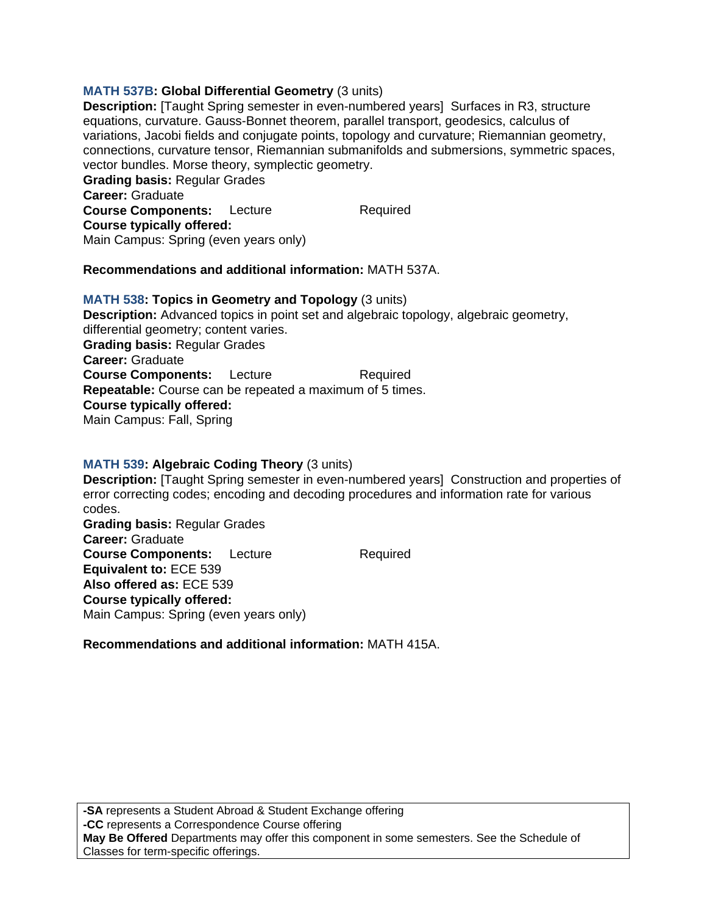# **MATH 537B: Global Differential Geometry** (3 units)

**Description:** [Taught Spring semester in even-numbered years] Surfaces in R3, structure equations, curvature. Gauss-Bonnet theorem, parallel transport, geodesics, calculus of variations, Jacobi fields and conjugate points, topology and curvature; Riemannian geometry, connections, curvature tensor, Riemannian submanifolds and submersions, symmetric spaces, vector bundles. Morse theory, symplectic geometry.

**Grading basis:** Regular Grades **Career:** Graduate **Course Components:** Lecture Required **Course typically offered:**  Main Campus: Spring (even years only)

## **Recommendations and additional information:** MATH 537A.

# **MATH 538: Topics in Geometry and Topology** (3 units) **Description:** Advanced topics in point set and algebraic topology, algebraic geometry, differential geometry; content varies. **Grading basis:** Regular Grades **Career:** Graduate **Course Components:** Lecture Required **Repeatable:** Course can be repeated a maximum of 5 times. **Course typically offered:**  Main Campus: Fall, Spring

# **MATH 539: Algebraic Coding Theory** (3 units)

**Description:** [Taught Spring semester in even-numbered years] Construction and properties of error correcting codes; encoding and decoding procedures and information rate for various codes.

**Grading basis:** Regular Grades **Career:** Graduate **Course Components:** Lecture Required **Equivalent to:** ECE 539 **Also offered as:** ECE 539 **Course typically offered:**  Main Campus: Spring (even years only)

# **Recommendations and additional information:** MATH 415A.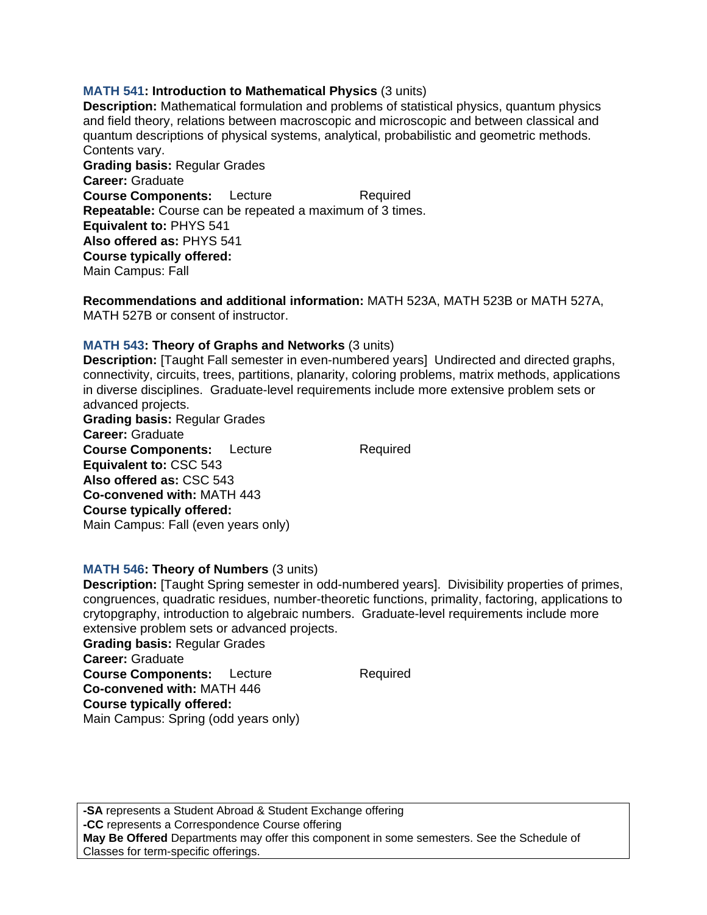## **MATH 541: Introduction to Mathematical Physics** (3 units)

**Description:** Mathematical formulation and problems of statistical physics, quantum physics and field theory, relations between macroscopic and microscopic and between classical and quantum descriptions of physical systems, analytical, probabilistic and geometric methods. Contents vary.

**Grading basis:** Regular Grades **Career:** Graduate **Course Components:** Lecture Required **Repeatable:** Course can be repeated a maximum of 3 times. **Equivalent to:** PHYS 541 **Also offered as:** PHYS 541 **Course typically offered:**  Main Campus: Fall

**Recommendations and additional information:** MATH 523A, MATH 523B or MATH 527A, MATH 527B or consent of instructor.

## **MATH 543: Theory of Graphs and Networks** (3 units)

**Description:** [Taught Fall semester in even-numbered years] Undirected and directed graphs, connectivity, circuits, trees, partitions, planarity, coloring problems, matrix methods, applications in diverse disciplines. Graduate-level requirements include more extensive problem sets or advanced projects.

**Grading basis:** Regular Grades **Career:** Graduate **Course Components:** Lecture Required **Equivalent to:** CSC 543 **Also offered as:** CSC 543 **Co-convened with:** MATH 443 **Course typically offered:**  Main Campus: Fall (even years only)

### **MATH 546: Theory of Numbers** (3 units)

**Description:** [Taught Spring semester in odd-numbered years]. Divisibility properties of primes, congruences, quadratic residues, number-theoretic functions, primality, factoring, applications to crytopgraphy, introduction to algebraic numbers. Graduate-level requirements include more extensive problem sets or advanced projects.

**Grading basis:** Regular Grades **Career:** Graduate **Course Components:** Lecture Required **Co-convened with:** MATH 446 **Course typically offered:**  Main Campus: Spring (odd years only)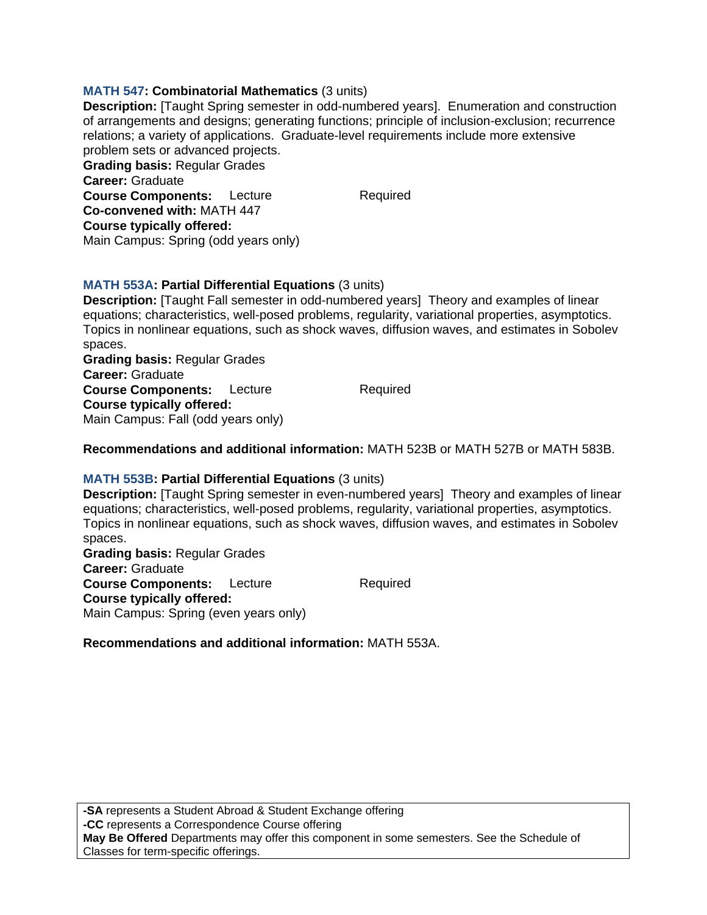# **MATH 547: Combinatorial Mathematics** (3 units)

**Description:** [Taught Spring semester in odd-numbered years]. Enumeration and construction of arrangements and designs; generating functions; principle of inclusion-exclusion; recurrence relations; a variety of applications. Graduate-level requirements include more extensive problem sets or advanced projects. **Grading basis:** Regular Grades

**Career:** Graduate **Course Components:** Lecture Required **Co-convened with:** MATH 447 **Course typically offered:**  Main Campus: Spring (odd years only)

# **MATH 553A: Partial Differential Equations** (3 units)

**Description:** [Taught Fall semester in odd-numbered years] Theory and examples of linear equations; characteristics, well-posed problems, regularity, variational properties, asymptotics. Topics in nonlinear equations, such as shock waves, diffusion waves, and estimates in Sobolev spaces.

**Grading basis:** Regular Grades **Career:** Graduate **Course Components:** Lecture Required **Course typically offered:**  Main Campus: Fall (odd years only)

### **Recommendations and additional information:** MATH 523B or MATH 527B or MATH 583B.

### **MATH 553B: Partial Differential Equations** (3 units)

**Description:** [Taught Spring semester in even-numbered years] Theory and examples of linear equations; characteristics, well-posed problems, regularity, variational properties, asymptotics. Topics in nonlinear equations, such as shock waves, diffusion waves, and estimates in Sobolev spaces.

**Grading basis:** Regular Grades **Career:** Graduate **Course Components:** Lecture Required **Course typically offered:**  Main Campus: Spring (even years only)

**Recommendations and additional information:** MATH 553A.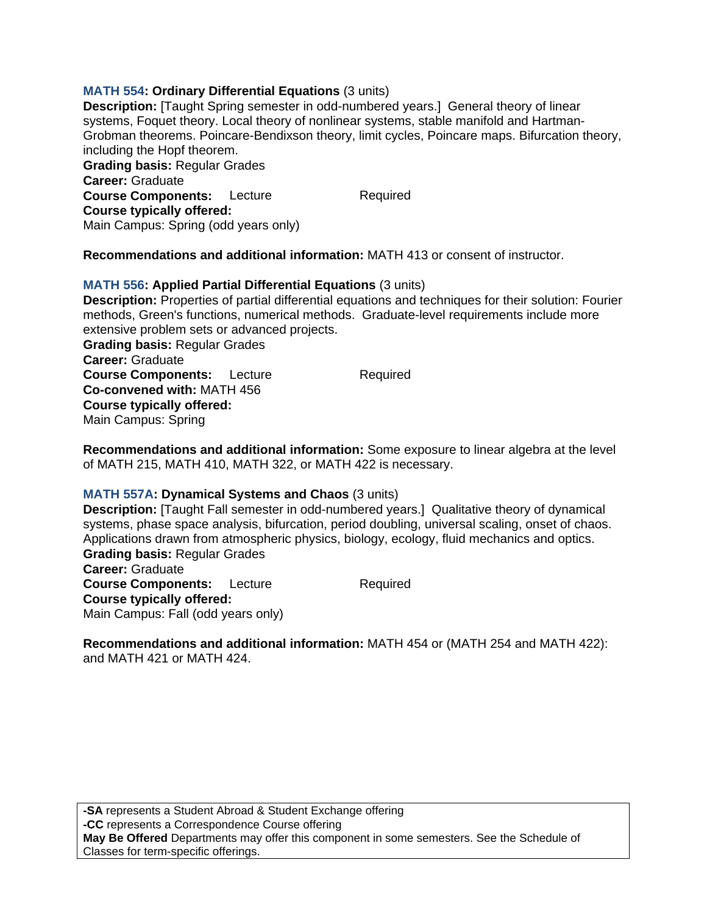# **MATH 554: Ordinary Differential Equations** (3 units)

**Description:** [Taught Spring semester in odd-numbered years.] General theory of linear systems, Foquet theory. Local theory of nonlinear systems, stable manifold and Hartman-Grobman theorems. Poincare-Bendixson theory, limit cycles, Poincare maps. Bifurcation theory, including the Hopf theorem. **Grading basis:** Regular Grades **Career:** Graduate **Course Components:** Lecture Required **Course typically offered:**  Main Campus: Spring (odd years only)

**Recommendations and additional information:** MATH 413 or consent of instructor.

# **MATH 556: Applied Partial Differential Equations** (3 units)

**Description:** Properties of partial differential equations and techniques for their solution: Fourier methods, Green's functions, numerical methods. Graduate-level requirements include more extensive problem sets or advanced projects.

**Grading basis:** Regular Grades **Career:** Graduate **Course Components:** Lecture Required **Co-convened with:** MATH 456 **Course typically offered:**  Main Campus: Spring

**Recommendations and additional information:** Some exposure to linear algebra at the level of MATH 215, MATH 410, MATH 322, or MATH 422 is necessary.

# **MATH 557A: Dynamical Systems and Chaos** (3 units)

**Description:** [Taught Fall semester in odd-numbered years.] Qualitative theory of dynamical systems, phase space analysis, bifurcation, period doubling, universal scaling, onset of chaos. Applications drawn from atmospheric physics, biology, ecology, fluid mechanics and optics. **Grading basis:** Regular Grades **Career:** Graduate

**Course Components:** Lecture Required **Course typically offered:**  Main Campus: Fall (odd years only)

**Recommendations and additional information:** MATH 454 or (MATH 254 and MATH 422): and MATH 421 or MATH 424.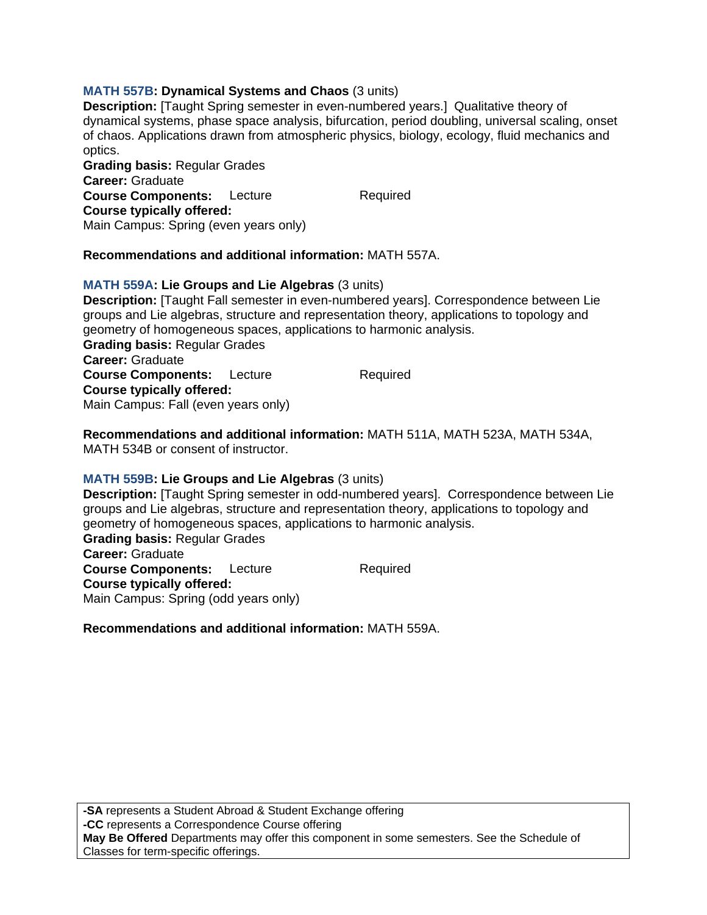# **MATH 557B: Dynamical Systems and Chaos** (3 units)

**Description:** [Taught Spring semester in even-numbered years.] Qualitative theory of dynamical systems, phase space analysis, bifurcation, period doubling, universal scaling, onset of chaos. Applications drawn from atmospheric physics, biology, ecology, fluid mechanics and optics.

**Grading basis:** Regular Grades **Career:** Graduate **Course Components:** Lecture Required **Course typically offered:**  Main Campus: Spring (even years only)

## **Recommendations and additional information:** MATH 557A.

## **MATH 559A: Lie Groups and Lie Algebras** (3 units)

**Description:** [Taught Fall semester in even-numbered years]. Correspondence between Lie groups and Lie algebras, structure and representation theory, applications to topology and geometry of homogeneous spaces, applications to harmonic analysis. **Grading basis:** Regular Grades **Career:** Graduate

**Course Components:** Lecture Required **Course typically offered:**  Main Campus: Fall (even years only)

**Recommendations and additional information:** MATH 511A, MATH 523A, MATH 534A, MATH 534B or consent of instructor.

### **MATH 559B: Lie Groups and Lie Algebras** (3 units)

**Description:** [Taught Spring semester in odd-numbered years]. Correspondence between Lie groups and Lie algebras, structure and representation theory, applications to topology and geometry of homogeneous spaces, applications to harmonic analysis.

**Grading basis:** Regular Grades **Career:** Graduate **Course Components:** Lecture Required **Course typically offered:**  Main Campus: Spring (odd years only)

**Recommendations and additional information:** MATH 559A.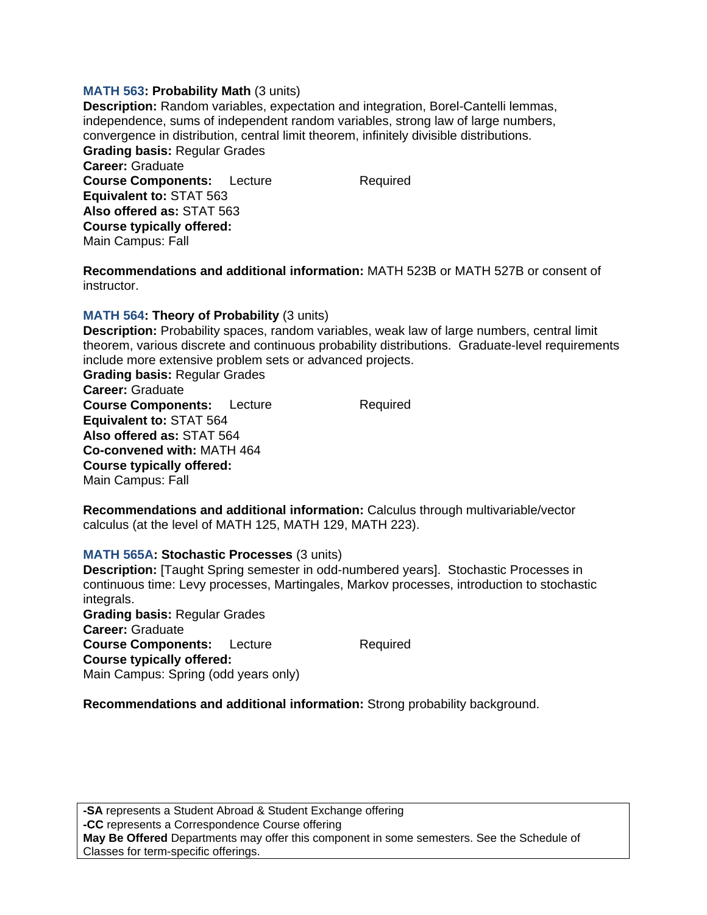### **MATH 563: Probability Math** (3 units)

**Description:** Random variables, expectation and integration, Borel-Cantelli lemmas, independence, sums of independent random variables, strong law of large numbers, convergence in distribution, central limit theorem, infinitely divisible distributions. **Grading basis:** Regular Grades **Career:** Graduate **Course Components:** Lecture Required **Equivalent to:** STAT 563 **Also offered as:** STAT 563 **Course typically offered:**  Main Campus: Fall

**Recommendations and additional information:** MATH 523B or MATH 527B or consent of instructor.

### **MATH 564: Theory of Probability** (3 units)

**Description:** Probability spaces, random variables, weak law of large numbers, central limit theorem, various discrete and continuous probability distributions. Graduate-level requirements include more extensive problem sets or advanced projects.

**Grading basis:** Regular Grades **Career:** Graduate **Course Components:** Lecture Required **Equivalent to:** STAT 564 **Also offered as:** STAT 564 **Co-convened with:** MATH 464 **Course typically offered:**  Main Campus: Fall

**Recommendations and additional information:** Calculus through multivariable/vector calculus (at the level of MATH 125, MATH 129, MATH 223).

#### **MATH 565A: Stochastic Processes** (3 units)

**Description:** [Taught Spring semester in odd-numbered years]. Stochastic Processes in continuous time: Levy processes, Martingales, Markov processes, introduction to stochastic integrals. **Grading basis:** Regular Grades **Career:** Graduate **Course Components:** Lecture Required **Course typically offered:**  Main Campus: Spring (odd years only)

**Recommendations and additional information:** Strong probability background.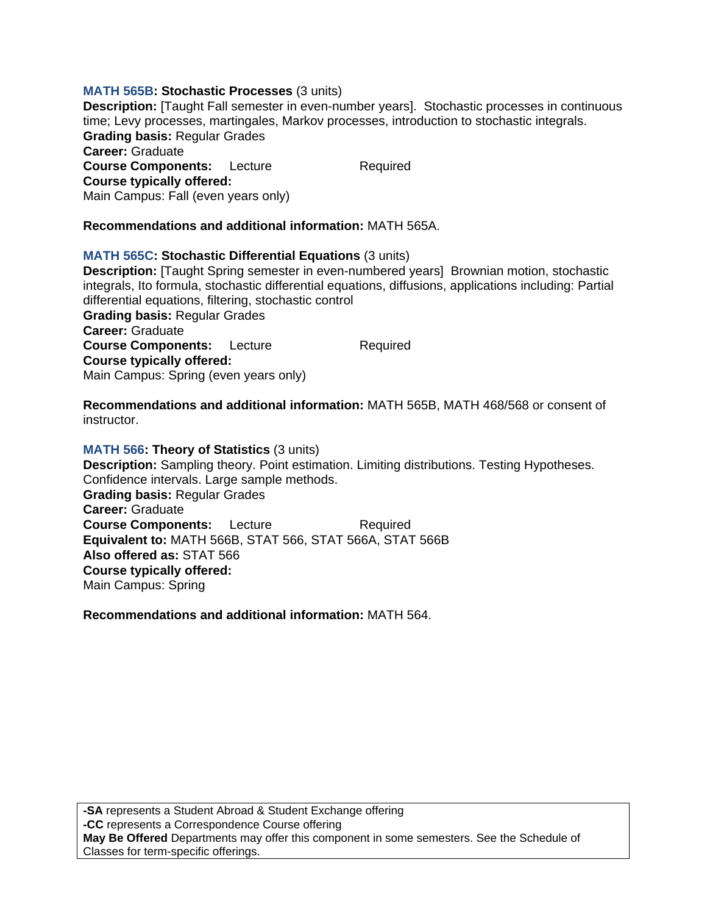# **MATH 565B: Stochastic Processes** (3 units)

**Description:** [Taught Fall semester in even-number years]. Stochastic processes in continuous time; Levy processes, martingales, Markov processes, introduction to stochastic integrals. **Grading basis:** Regular Grades

**Career:** Graduate **Course Components:** Lecture Required **Course typically offered:**  Main Campus: Fall (even years only)

**Recommendations and additional information:** MATH 565A.

## **MATH 565C: Stochastic Differential Equations** (3 units)

**Description:** [Taught Spring semester in even-numbered years] Brownian motion, stochastic integrals, Ito formula, stochastic differential equations, diffusions, applications including: Partial differential equations, filtering, stochastic control **Grading basis:** Regular Grades **Career:** Graduate **Course Components:** Lecture Required **Course typically offered:**  Main Campus: Spring (even years only)

**Recommendations and additional information:** MATH 565B, MATH 468/568 or consent of instructor.

**MATH 566: Theory of Statistics** (3 units) **Description:** Sampling theory. Point estimation. Limiting distributions. Testing Hypotheses. Confidence intervals. Large sample methods. **Grading basis:** Regular Grades **Career:** Graduate **Course Components:** Lecture Required **Equivalent to:** MATH 566B, STAT 566, STAT 566A, STAT 566B **Also offered as:** STAT 566 **Course typically offered:**  Main Campus: Spring

**Recommendations and additional information:** MATH 564.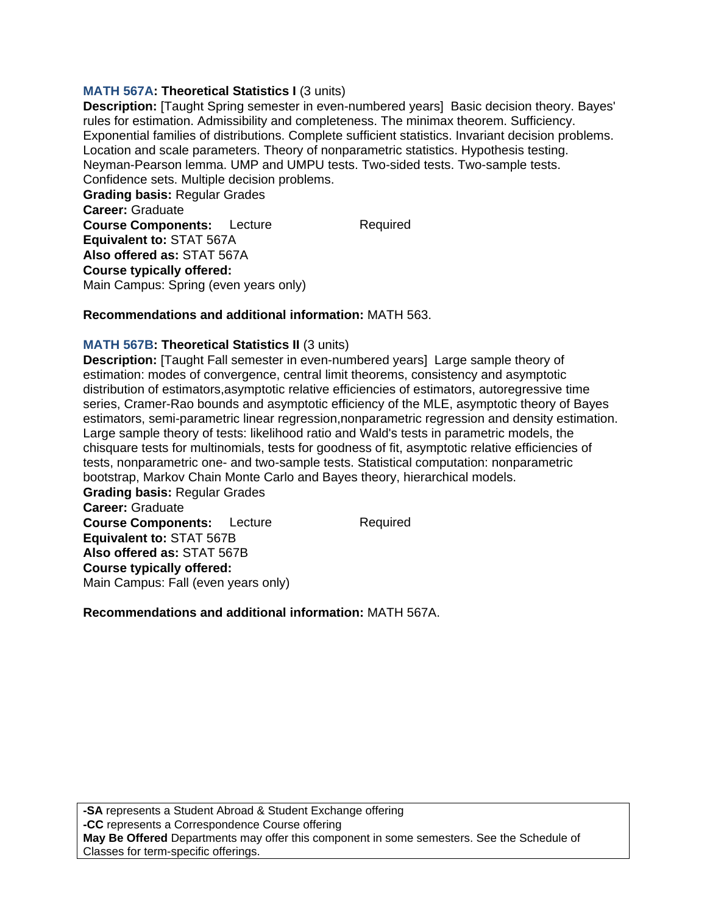# **MATH 567A: Theoretical Statistics I** (3 units)

**Description:** [Taught Spring semester in even-numbered years] Basic decision theory. Bayes' rules for estimation. Admissibility and completeness. The minimax theorem. Sufficiency. Exponential families of distributions. Complete sufficient statistics. Invariant decision problems. Location and scale parameters. Theory of nonparametric statistics. Hypothesis testing. Neyman-Pearson lemma. UMP and UMPU tests. Two-sided tests. Two-sample tests. Confidence sets. Multiple decision problems.

**Grading basis:** Regular Grades **Career:** Graduate **Course Components:** Lecture Required **Equivalent to:** STAT 567A **Also offered as:** STAT 567A **Course typically offered:**  Main Campus: Spring (even years only)

### **Recommendations and additional information:** MATH 563.

### **MATH 567B: Theoretical Statistics II** (3 units)

**Description:** [Taught Fall semester in even-numbered years] Large sample theory of estimation: modes of convergence, central limit theorems, consistency and asymptotic distribution of estimators,asymptotic relative efficiencies of estimators, autoregressive time series, Cramer-Rao bounds and asymptotic efficiency of the MLE, asymptotic theory of Bayes estimators, semi-parametric linear regression,nonparametric regression and density estimation. Large sample theory of tests: likelihood ratio and Wald's tests in parametric models, the chisquare tests for multinomials, tests for goodness of fit, asymptotic relative efficiencies of tests, nonparametric one- and two-sample tests. Statistical computation: nonparametric bootstrap, Markov Chain Monte Carlo and Bayes theory, hierarchical models.

**Grading basis:** Regular Grades **Career:** Graduate **Course Components:** Lecture Required **Equivalent to:** STAT 567B **Also offered as:** STAT 567B **Course typically offered:**  Main Campus: Fall (even years only)

**Recommendations and additional information:** MATH 567A.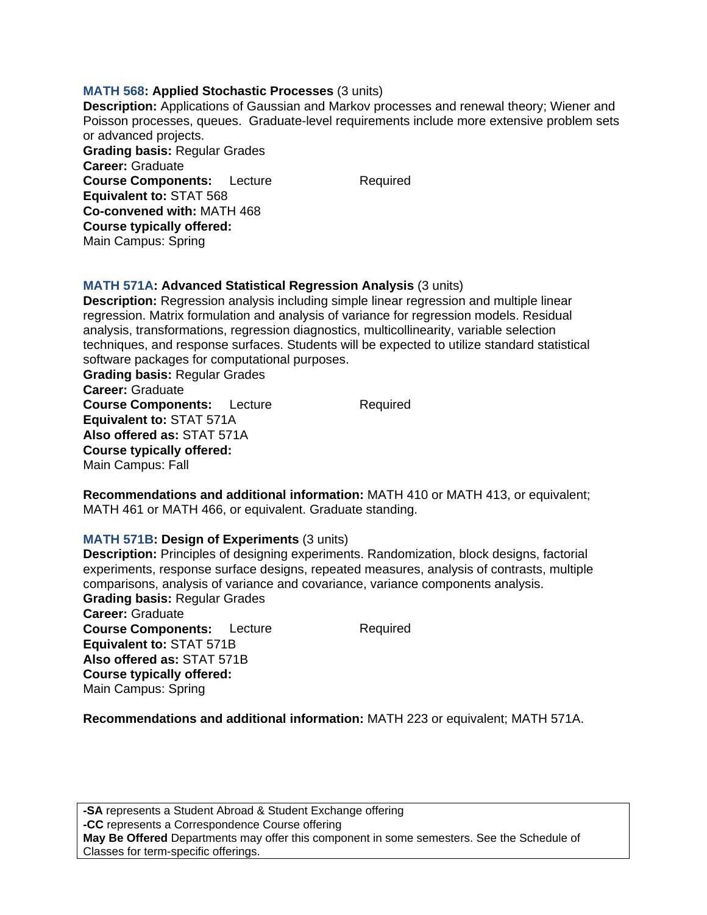### **MATH 568: Applied Stochastic Processes** (3 units)

**Description:** Applications of Gaussian and Markov processes and renewal theory; Wiener and Poisson processes, queues. Graduate-level requirements include more extensive problem sets or advanced projects. **Grading basis:** Regular Grades **Career:** Graduate **Course Components:** Lecture Required **Equivalent to:** STAT 568 **Co-convened with:** MATH 468 **Course typically offered:** 

# **MATH 571A: Advanced Statistical Regression Analysis** (3 units)

**Description:** Regression analysis including simple linear regression and multiple linear regression. Matrix formulation and analysis of variance for regression models. Residual analysis, transformations, regression diagnostics, multicollinearity, variable selection techniques, and response surfaces. Students will be expected to utilize standard statistical software packages for computational purposes.

**Grading basis:** Regular Grades **Career:** Graduate **Course Components:** Lecture Required **Equivalent to:** STAT 571A **Also offered as:** STAT 571A **Course typically offered:**  Main Campus: Fall

Main Campus: Spring

**Recommendations and additional information:** MATH 410 or MATH 413, or equivalent; MATH 461 or MATH 466, or equivalent. Graduate standing.

#### **MATH 571B: Design of Experiments** (3 units)

**Description:** Principles of designing experiments. Randomization, block designs, factorial experiments, response surface designs, repeated measures, analysis of contrasts, multiple comparisons, analysis of variance and covariance, variance components analysis. **Grading basis:** Regular Grades **Career:** Graduate **Course Components:** Lecture Required **Equivalent to:** STAT 571B **Also offered as:** STAT 571B **Course typically offered:**  Main Campus: Spring

**Recommendations and additional information:** MATH 223 or equivalent; MATH 571A.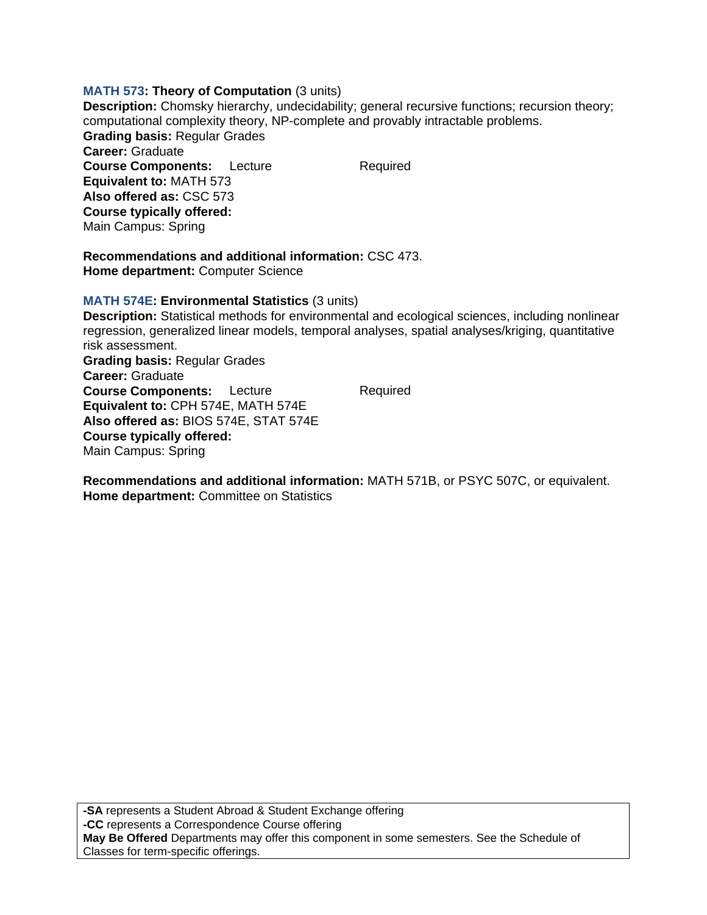## **MATH 573: Theory of Computation** (3 units)

**Description:** Chomsky hierarchy, undecidability; general recursive functions; recursion theory; computational complexity theory, NP-complete and provably intractable problems. **Grading basis:** Regular Grades **Career:** Graduate **Course Components:** Lecture Required **Equivalent to:** MATH 573 **Also offered as:** CSC 573 **Course typically offered:**  Main Campus: Spring

**Recommendations and additional information:** CSC 473. **Home department:** Computer Science

**MATH 574E: Environmental Statistics** (3 units)

**Description:** Statistical methods for environmental and ecological sciences, including nonlinear regression, generalized linear models, temporal analyses, spatial analyses/kriging, quantitative risk assessment. **Grading basis:** Regular Grades **Career:** Graduate **Course Components:** Lecture Required **Equivalent to:** CPH 574E, MATH 574E **Also offered as:** BIOS 574E, STAT 574E **Course typically offered:**  Main Campus: Spring

**Recommendations and additional information:** MATH 571B, or PSYC 507C, or equivalent. **Home department:** Committee on Statistics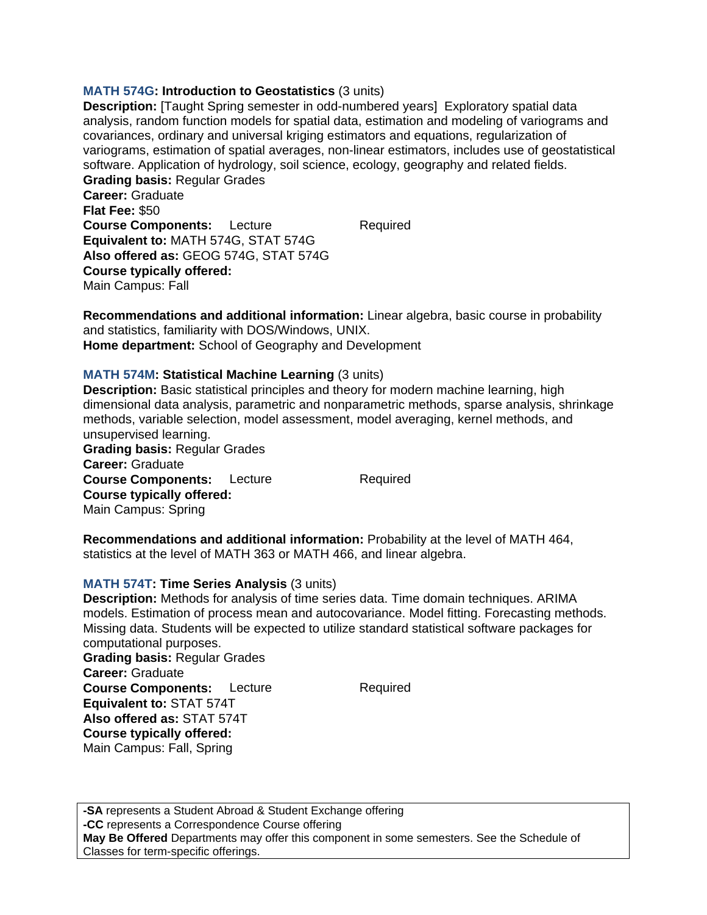# **MATH 574G: Introduction to Geostatistics** (3 units)

**Description:** [Taught Spring semester in odd-numbered years] Exploratory spatial data analysis, random function models for spatial data, estimation and modeling of variograms and covariances, ordinary and universal kriging estimators and equations, regularization of variograms, estimation of spatial averages, non-linear estimators, includes use of geostatistical software. Application of hydrology, soil science, ecology, geography and related fields.

**Grading basis:** Regular Grades **Career:** Graduate **Flat Fee:** \$50 **Course Components:** Lecture Required **Equivalent to:** MATH 574G, STAT 574G **Also offered as:** GEOG 574G, STAT 574G **Course typically offered:**  Main Campus: Fall

**Recommendations and additional information:** Linear algebra, basic course in probability and statistics, familiarity with DOS/Windows, UNIX. **Home department:** School of Geography and Development

## **MATH 574M: Statistical Machine Learning** (3 units)

**Description:** Basic statistical principles and theory for modern machine learning, high dimensional data analysis, parametric and nonparametric methods, sparse analysis, shrinkage methods, variable selection, model assessment, model averaging, kernel methods, and unsupervised learning.

**Grading basis:** Regular Grades **Career:** Graduate **Course Components:** Lecture Required **Course typically offered:**  Main Campus: Spring

**Recommendations and additional information:** Probability at the level of MATH 464, statistics at the level of MATH 363 or MATH 466, and linear algebra.

### **MATH 574T: Time Series Analysis** (3 units)

**Description:** Methods for analysis of time series data. Time domain techniques. ARIMA models. Estimation of process mean and autocovariance. Model fitting. Forecasting methods. Missing data. Students will be expected to utilize standard statistical software packages for computational purposes.

**Grading basis:** Regular Grades **Career:** Graduate **Course Components:** Lecture Required **Equivalent to:** STAT 574T **Also offered as:** STAT 574T **Course typically offered:**  Main Campus: Fall, Spring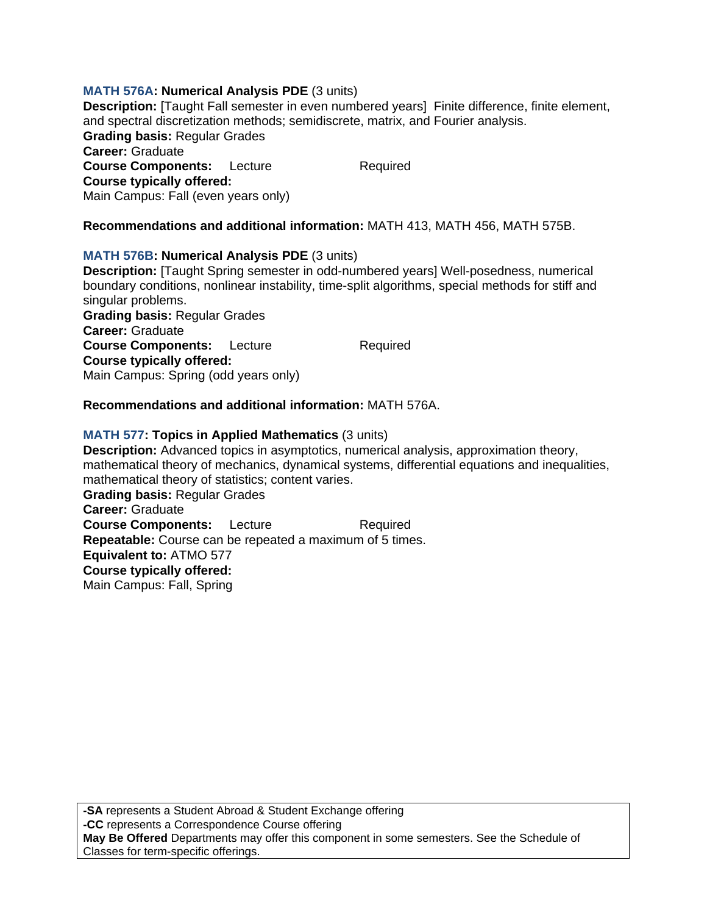# **MATH 576A: Numerical Analysis PDE** (3 units)

**Description:** [Taught Fall semester in even numbered years] Finite difference, finite element, and spectral discretization methods; semidiscrete, matrix, and Fourier analysis.

**Grading basis:** Regular Grades

**Career:** Graduate **Course Components:** Lecture Required **Course typically offered:**  Main Campus: Fall (even years only)

# **Recommendations and additional information:** MATH 413, MATH 456, MATH 575B.

### **MATH 576B: Numerical Analysis PDE** (3 units)

**Description:** [Taught Spring semester in odd-numbered years] Well-posedness, numerical boundary conditions, nonlinear instability, time-split algorithms, special methods for stiff and singular problems. **Grading basis:** Regular Grades **Career:** Graduate **Course Components:** Lecture Required **Course typically offered:**  Main Campus: Spring (odd years only)

## **Recommendations and additional information:** MATH 576A.

## **MATH 577: Topics in Applied Mathematics** (3 units)

**Description:** Advanced topics in asymptotics, numerical analysis, approximation theory, mathematical theory of mechanics, dynamical systems, differential equations and inequalities, mathematical theory of statistics; content varies. **Grading basis:** Regular Grades **Career:** Graduate **Course Components:** Lecture Required **Repeatable:** Course can be repeated a maximum of 5 times. **Equivalent to:** ATMO 577 **Course typically offered:**  Main Campus: Fall, Spring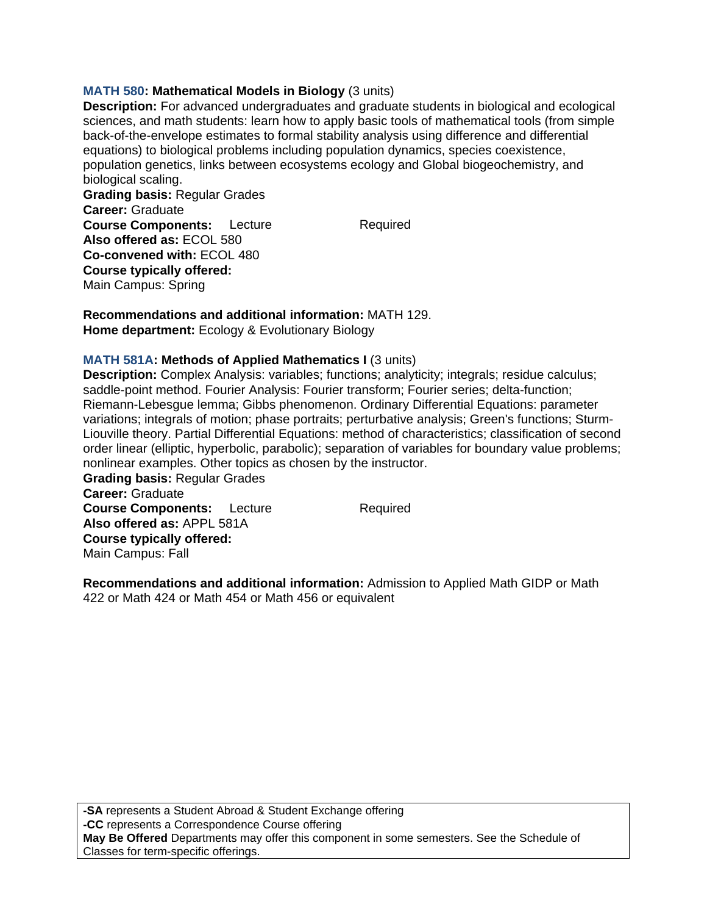# **MATH 580: Mathematical Models in Biology** (3 units)

**Description:** For advanced undergraduates and graduate students in biological and ecological sciences, and math students: learn how to apply basic tools of mathematical tools (from simple back-of-the-envelope estimates to formal stability analysis using difference and differential equations) to biological problems including population dynamics, species coexistence, population genetics, links between ecosystems ecology and Global biogeochemistry, and biological scaling.

**Grading basis:** Regular Grades **Career:** Graduate **Course Components:** Lecture Required **Also offered as:** ECOL 580 **Co-convened with:** ECOL 480 **Course typically offered:**  Main Campus: Spring

**Recommendations and additional information:** MATH 129. **Home department:** Ecology & Evolutionary Biology

### **MATH 581A: Methods of Applied Mathematics I** (3 units)

**Description:** Complex Analysis: variables; functions; analyticity; integrals; residue calculus; saddle-point method. Fourier Analysis: Fourier transform; Fourier series; delta-function; Riemann-Lebesgue lemma; Gibbs phenomenon. Ordinary Differential Equations: parameter variations; integrals of motion; phase portraits; perturbative analysis; Green's functions; Sturm-Liouville theory. Partial Differential Equations: method of characteristics; classification of second order linear (elliptic, hyperbolic, parabolic); separation of variables for boundary value problems; nonlinear examples. Other topics as chosen by the instructor.

**Grading basis:** Regular Grades **Career:** Graduate **Course Components:** Lecture Required **Also offered as:** APPL 581A **Course typically offered:**  Main Campus: Fall

**Recommendations and additional information:** Admission to Applied Math GIDP or Math 422 or Math 424 or Math 454 or Math 456 or equivalent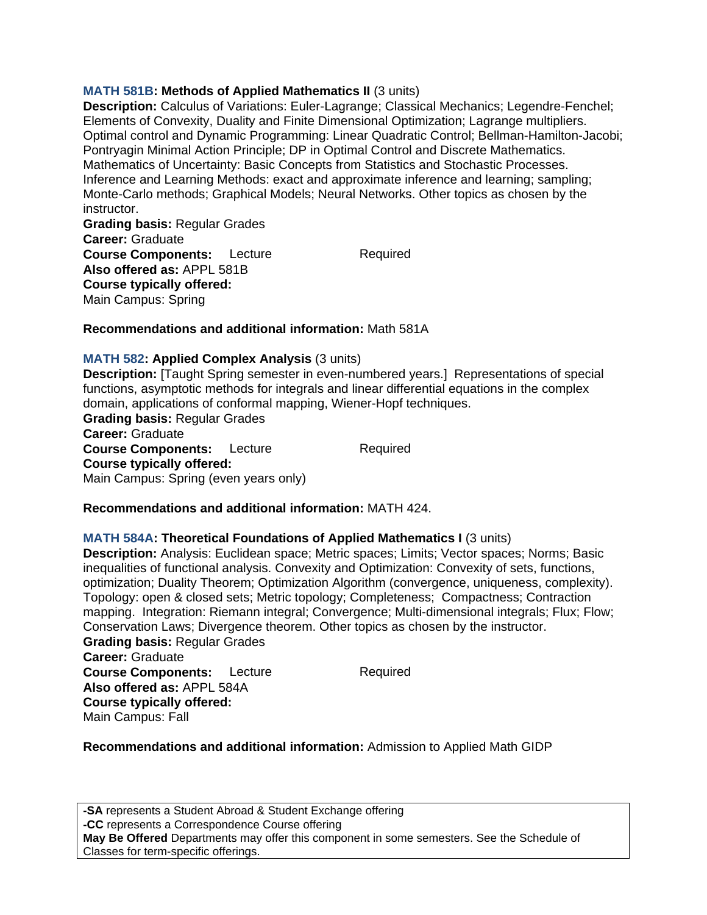# **MATH 581B: Methods of Applied Mathematics II** (3 units)

**Description:** Calculus of Variations: Euler-Lagrange; Classical Mechanics; Legendre-Fenchel; Elements of Convexity, Duality and Finite Dimensional Optimization; Lagrange multipliers. Optimal control and Dynamic Programming: Linear Quadratic Control; Bellman-Hamilton-Jacobi; Pontryagin Minimal Action Principle; DP in Optimal Control and Discrete Mathematics. Mathematics of Uncertainty: Basic Concepts from Statistics and Stochastic Processes. Inference and Learning Methods: exact and approximate inference and learning; sampling; Monte-Carlo methods; Graphical Models; Neural Networks. Other topics as chosen by the instructor.

**Grading basis:** Regular Grades **Career:** Graduate **Course Components:** Lecture Required **Also offered as:** APPL 581B **Course typically offered:**  Main Campus: Spring

Main Campus: Fall

## **Recommendations and additional information:** Math 581A

### **MATH 582: Applied Complex Analysis** (3 units)

**Description:** [Taught Spring semester in even-numbered years.] Representations of special functions, asymptotic methods for integrals and linear differential equations in the complex domain, applications of conformal mapping, Wiener-Hopf techniques. **Grading basis:** Regular Grades **Career:** Graduate **Course Components:** Lecture Required **Course typically offered:**  Main Campus: Spring (even years only)

# **Recommendations and additional information:** MATH 424.

# **MATH 584A: Theoretical Foundations of Applied Mathematics I** (3 units)

**Description:** Analysis: Euclidean space; Metric spaces; Limits; Vector spaces; Norms; Basic inequalities of functional analysis. Convexity and Optimization: Convexity of sets, functions, optimization; Duality Theorem; Optimization Algorithm (convergence, uniqueness, complexity). Topology: open & closed sets; Metric topology; Completeness; Compactness; Contraction mapping. Integration: Riemann integral; Convergence; Multi-dimensional integrals; Flux; Flow; Conservation Laws; Divergence theorem. Other topics as chosen by the instructor. **Grading basis:** Regular Grades **Career:** Graduate **Course Components:** Lecture Required **Also offered as:** APPL 584A **Course typically offered:** 

**Recommendations and additional information:** Admission to Applied Math GIDP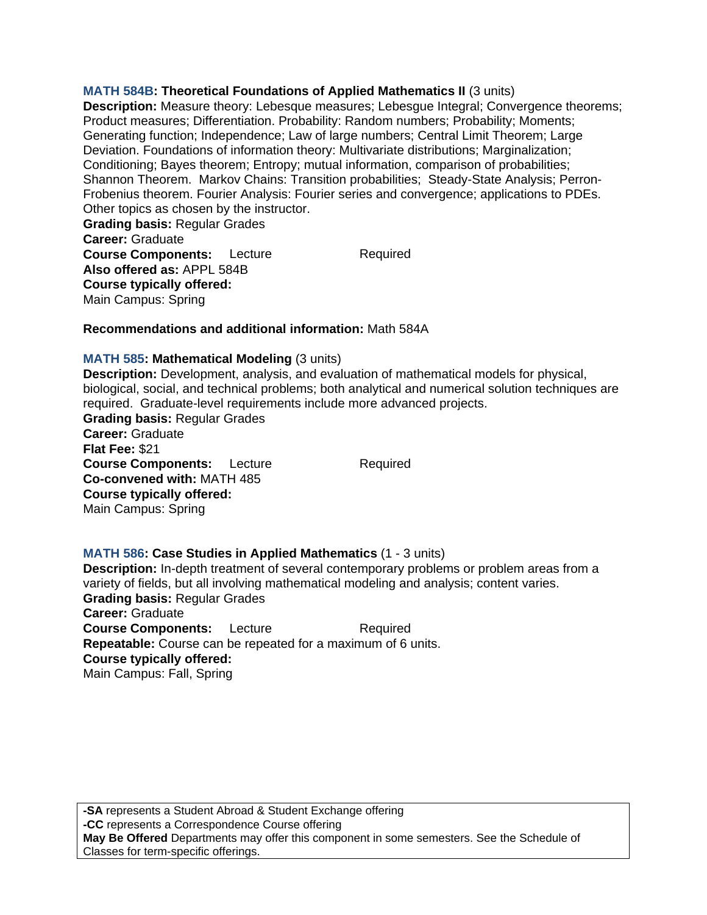**MATH 584B: Theoretical Foundations of Applied Mathematics II** (3 units) **Description:** Measure theory: Lebesque measures; Lebesgue Integral; Convergence theorems; Product measures; Differentiation. Probability: Random numbers; Probability; Moments; Generating function; Independence; Law of large numbers; Central Limit Theorem; Large Deviation. Foundations of information theory: Multivariate distributions; Marginalization; Conditioning; Bayes theorem; Entropy; mutual information, comparison of probabilities; Shannon Theorem. Markov Chains: Transition probabilities; Steady-State Analysis; Perron-Frobenius theorem. Fourier Analysis: Fourier series and convergence; applications to PDEs. Other topics as chosen by the instructor.

**Grading basis:** Regular Grades **Career:** Graduate **Course Components:** Lecture Required **Also offered as:** APPL 584B **Course typically offered:**  Main Campus: Spring

## **Recommendations and additional information:** Math 584A

### **MATH 585: Mathematical Modeling** (3 units)

**Description:** Development, analysis, and evaluation of mathematical models for physical, biological, social, and technical problems; both analytical and numerical solution techniques are required. Graduate-level requirements include more advanced projects. **Grading basis:** Regular Grades **Career:** Graduate **Flat Fee:** \$21 **Course Components:** Lecture Required **Co-convened with:** MATH 485 **Course typically offered:**  Main Campus: Spring

### **MATH 586: Case Studies in Applied Mathematics** (1 - 3 units)

**Description:** In-depth treatment of several contemporary problems or problem areas from a variety of fields, but all involving mathematical modeling and analysis; content varies. **Grading basis:** Regular Grades **Career:** Graduate **Course Components:** Lecture Required **Repeatable:** Course can be repeated for a maximum of 6 units. **Course typically offered:**  Main Campus: Fall, Spring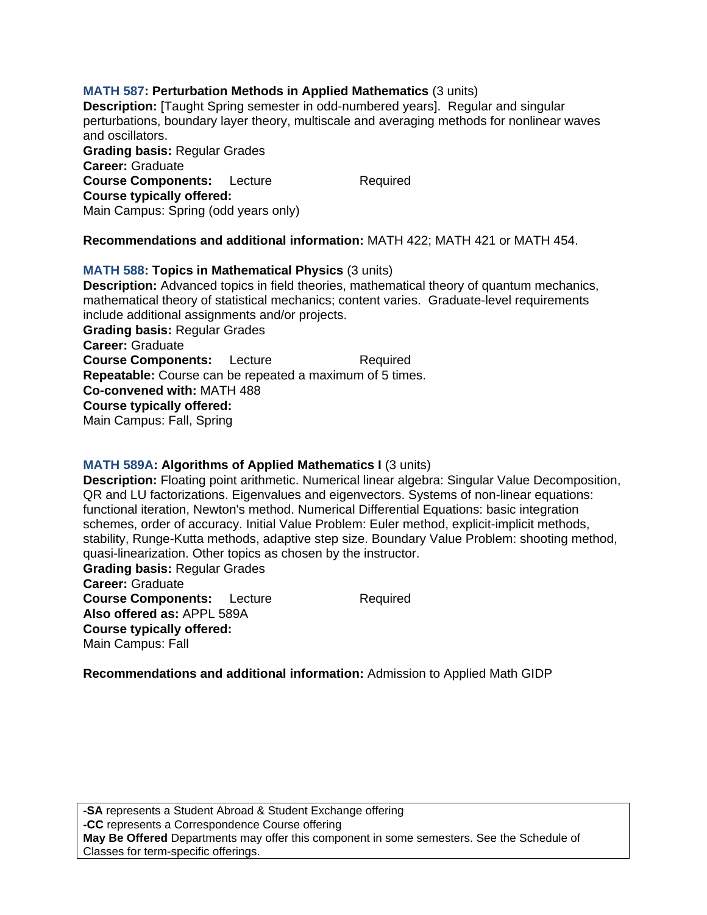# **MATH 587: Perturbation Methods in Applied Mathematics** (3 units)

**Description:** [Taught Spring semester in odd-numbered years]. Regular and singular perturbations, boundary layer theory, multiscale and averaging methods for nonlinear waves and oscillators.

**Grading basis:** Regular Grades **Career:** Graduate **Course Components:** Lecture Required **Course typically offered:**  Main Campus: Spring (odd years only)

## **Recommendations and additional information:** MATH 422; MATH 421 or MATH 454.

**MATH 588: Topics in Mathematical Physics** (3 units) **Description:** Advanced topics in field theories, mathematical theory of quantum mechanics, mathematical theory of statistical mechanics; content varies. Graduate-level requirements include additional assignments and/or projects. **Grading basis:** Regular Grades **Career:** Graduate **Course Components:** Lecture Required **Repeatable:** Course can be repeated a maximum of 5 times. **Co-convened with:** MATH 488 **Course typically offered:**  Main Campus: Fall, Spring

### **MATH 589A: Algorithms of Applied Mathematics I** (3 units)

**Description:** Floating point arithmetic. Numerical linear algebra: Singular Value Decomposition, QR and LU factorizations. Eigenvalues and eigenvectors. Systems of non-linear equations: functional iteration, Newton's method. Numerical Differential Equations: basic integration schemes, order of accuracy. Initial Value Problem: Euler method, explicit-implicit methods, stability, Runge-Kutta methods, adaptive step size. Boundary Value Problem: shooting method, quasi-linearization. Other topics as chosen by the instructor.

**Grading basis:** Regular Grades **Career:** Graduate **Course Components:** Lecture Required **Also offered as:** APPL 589A **Course typically offered:**  Main Campus: Fall

**Recommendations and additional information:** Admission to Applied Math GIDP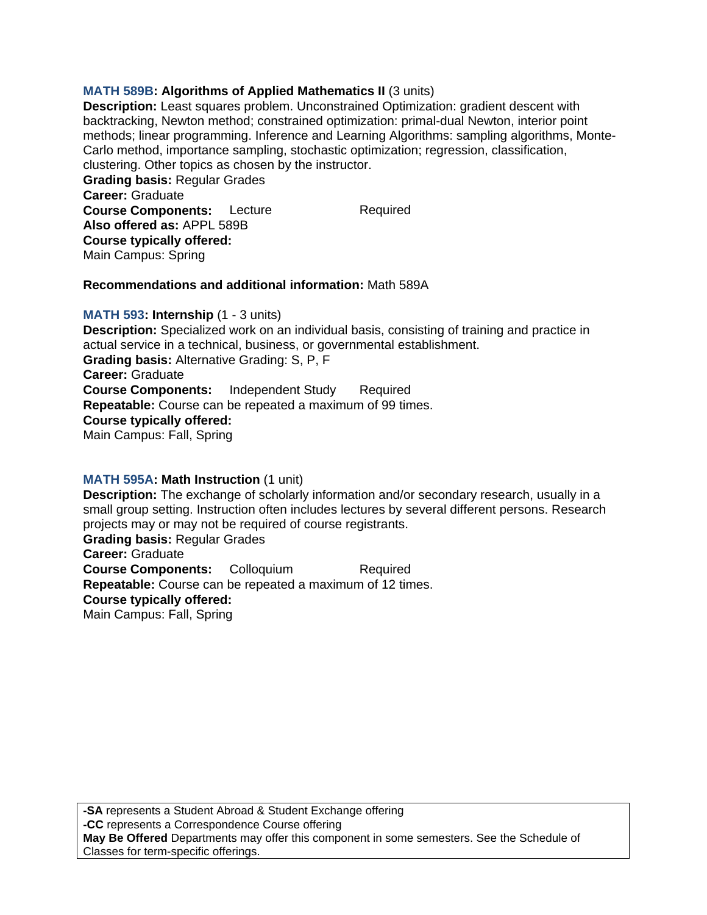# **MATH 589B: Algorithms of Applied Mathematics II** (3 units)

**Description:** Least squares problem. Unconstrained Optimization: gradient descent with backtracking, Newton method; constrained optimization: primal-dual Newton, interior point methods; linear programming. Inference and Learning Algorithms: sampling algorithms, Monte-Carlo method, importance sampling, stochastic optimization; regression, classification, clustering. Other topics as chosen by the instructor.

**Grading basis:** Regular Grades **Career:** Graduate **Course Components:** Lecture Required **Also offered as:** APPL 589B **Course typically offered:**  Main Campus: Spring

#### **Recommendations and additional information:** Math 589A

#### **MATH 593: Internship** (1 - 3 units)

**Description:** Specialized work on an individual basis, consisting of training and practice in actual service in a technical, business, or governmental establishment. **Grading basis:** Alternative Grading: S, P, F **Career:** Graduate **Course Components:** Independent Study Required **Repeatable:** Course can be repeated a maximum of 99 times. **Course typically offered:**  Main Campus: Fall, Spring

### **MATH 595A: Math Instruction** (1 unit)

**Description:** The exchange of scholarly information and/or secondary research, usually in a small group setting. Instruction often includes lectures by several different persons. Research projects may or may not be required of course registrants. **Grading basis:** Regular Grades **Career:** Graduate **Course Components:** Colloquium Required **Repeatable:** Course can be repeated a maximum of 12 times. **Course typically offered:**  Main Campus: Fall, Spring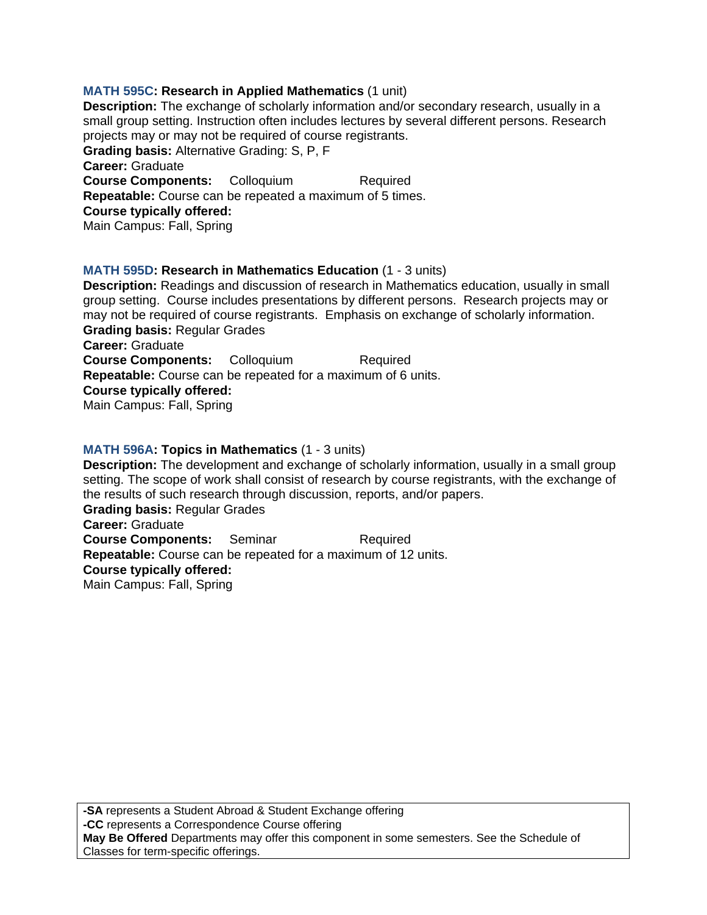# **MATH 595C: Research in Applied Mathematics** (1 unit)

**Description:** The exchange of scholarly information and/or secondary research, usually in a small group setting. Instruction often includes lectures by several different persons. Research projects may or may not be required of course registrants. **Grading basis:** Alternative Grading: S, P, F **Career:** Graduate **Course Components:** Colloquium Required **Repeatable:** Course can be repeated a maximum of 5 times. **Course typically offered:**  Main Campus: Fall, Spring

# **MATH 595D: Research in Mathematics Education** (1 - 3 units)

**Description:** Readings and discussion of research in Mathematics education, usually in small group setting. Course includes presentations by different persons. Research projects may or may not be required of course registrants. Emphasis on exchange of scholarly information. **Grading basis:** Regular Grades **Career:** Graduate **Course Components:** Colloquium Required

**Repeatable:** Course can be repeated for a maximum of 6 units.

**Course typically offered:** 

Main Campus: Fall, Spring

### **MATH 596A: Topics in Mathematics** (1 - 3 units)

**Description:** The development and exchange of scholarly information, usually in a small group setting. The scope of work shall consist of research by course registrants, with the exchange of the results of such research through discussion, reports, and/or papers. **Grading basis:** Regular Grades

**Career:** Graduate **Course Components:** Seminar Required **Repeatable:** Course can be repeated for a maximum of 12 units. **Course typically offered:**  Main Campus: Fall, Spring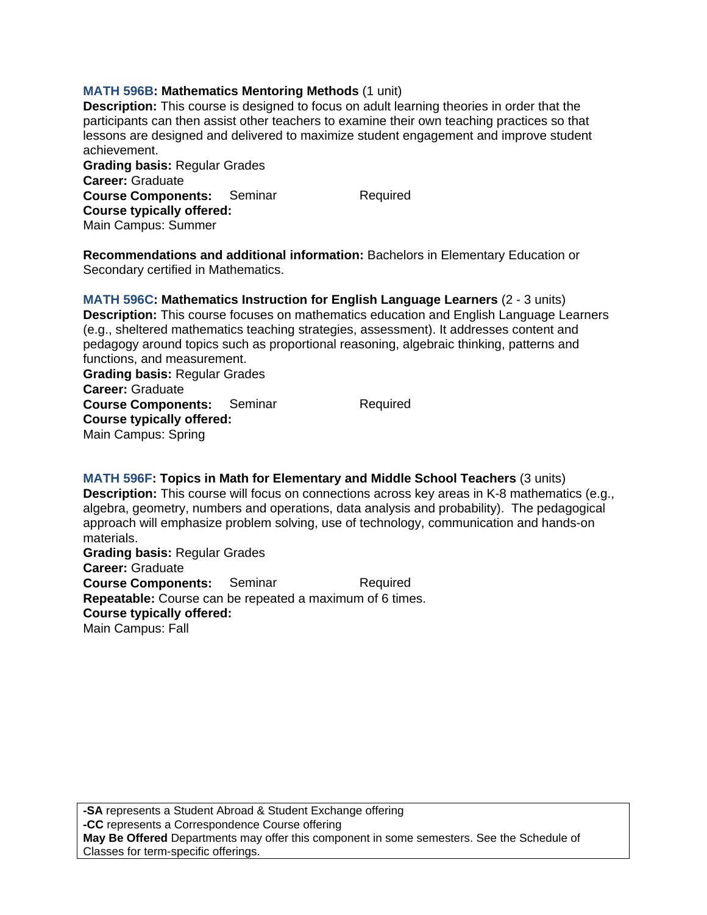# **MATH 596B: Mathematics Mentoring Methods** (1 unit)

**Description:** This course is designed to focus on adult learning theories in order that the participants can then assist other teachers to examine their own teaching practices so that lessons are designed and delivered to maximize student engagement and improve student achievement.

**Grading basis:** Regular Grades **Career:** Graduate **Course Components:** Seminar Required **Course typically offered:**  Main Campus: Summer

**Recommendations and additional information:** Bachelors in Elementary Education or Secondary certified in Mathematics.

**MATH 596C: Mathematics Instruction for English Language Learners** (2 - 3 units) **Description:** This course focuses on mathematics education and English Language Learners (e.g., sheltered mathematics teaching strategies, assessment). It addresses content and pedagogy around topics such as proportional reasoning, algebraic thinking, patterns and functions, and measurement. **Grading basis:** Regular Grades

**Career:** Graduate **Course Components:** Seminar Required **Course typically offered:**  Main Campus: Spring

**MATH 596F: Topics in Math for Elementary and Middle School Teachers** (3 units) **Description:** This course will focus on connections across key areas in K-8 mathematics (e.g., algebra, geometry, numbers and operations, data analysis and probability). The pedagogical approach will emphasize problem solving, use of technology, communication and hands-on materials.

**Grading basis:** Regular Grades **Career:** Graduate **Course Components:** Seminar Required **Repeatable:** Course can be repeated a maximum of 6 times. **Course typically offered:**  Main Campus: Fall

**-SA** represents a Student Abroad & Student Exchange offering **-CC** represents a Correspondence Course offering **May Be Offered** Departments may offer this component in some semesters. See the Schedule of Classes for term-specific offerings.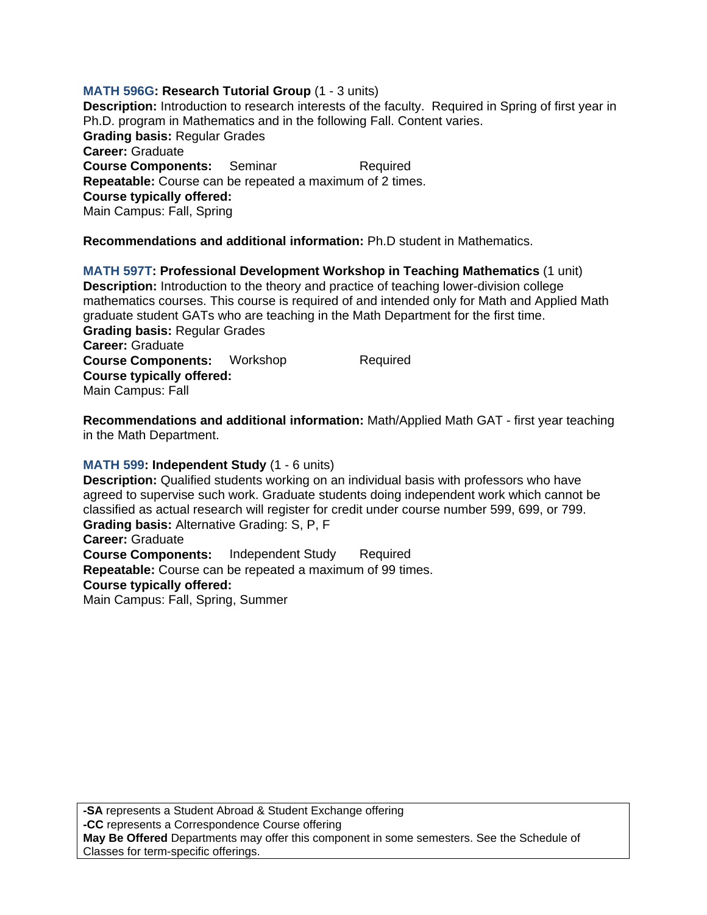# **MATH 596G: Research Tutorial Group** (1 - 3 units)

**Description:** Introduction to research interests of the faculty. Required in Spring of first year in Ph.D. program in Mathematics and in the following Fall. Content varies. **Grading basis:** Regular Grades **Career:** Graduate **Course Components:** Seminar Required **Repeatable:** Course can be repeated a maximum of 2 times. **Course typically offered:**  Main Campus: Fall, Spring

**Recommendations and additional information:** Ph.D student in Mathematics.

**MATH 597T: Professional Development Workshop in Teaching Mathematics** (1 unit) **Description:** Introduction to the theory and practice of teaching lower-division college mathematics courses. This course is required of and intended only for Math and Applied Math graduate student GATs who are teaching in the Math Department for the first time. **Grading basis:** Regular Grades **Career:** Graduate **Course Components:** Workshop Required **Course typically offered:**  Main Campus: Fall

**Recommendations and additional information:** Math/Applied Math GAT - first year teaching in the Math Department.

### **MATH 599: Independent Study** (1 - 6 units)

**Description:** Qualified students working on an individual basis with professors who have agreed to supervise such work. Graduate students doing independent work which cannot be classified as actual research will register for credit under course number 599, 699, or 799. **Grading basis:** Alternative Grading: S, P, F **Career:** Graduate **Course Components:** Independent Study Required **Repeatable:** Course can be repeated a maximum of 99 times. **Course typically offered:** 

Main Campus: Fall, Spring, Summer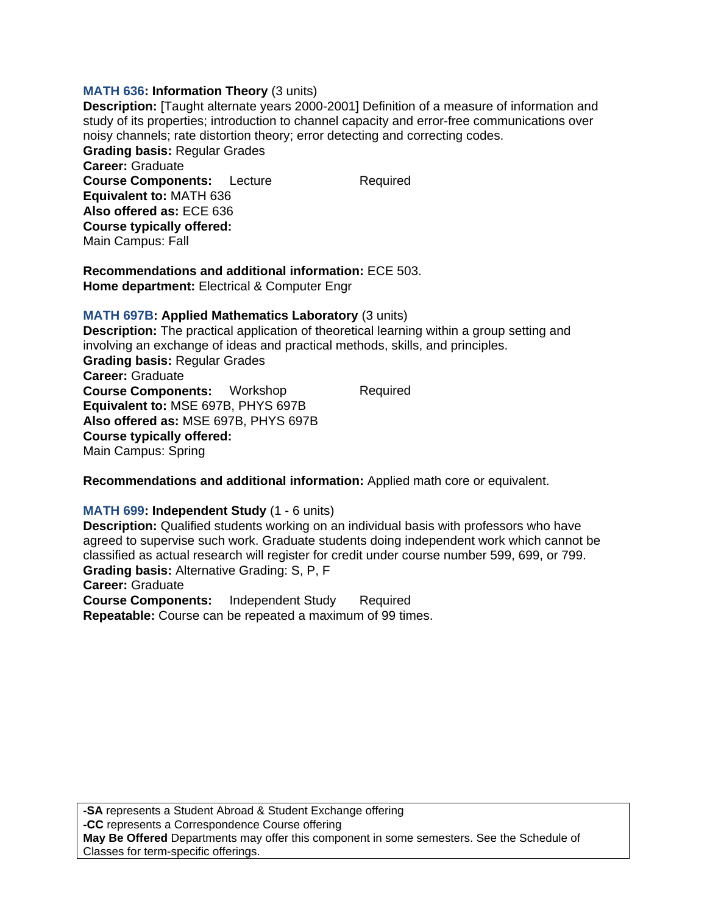### **MATH 636: Information Theory** (3 units)

**Description:** [Taught alternate years 2000-2001] Definition of a measure of information and study of its properties; introduction to channel capacity and error-free communications over noisy channels; rate distortion theory; error detecting and correcting codes. **Grading basis:** Regular Grades **Career:** Graduate **Course Components:** Lecture Required **Equivalent to:** MATH 636 **Also offered as:** ECE 636 **Course typically offered:**  Main Campus: Fall

**Recommendations and additional information:** ECE 503. **Home department:** Electrical & Computer Engr

### **MATH 697B: Applied Mathematics Laboratory** (3 units)

**Description:** The practical application of theoretical learning within a group setting and involving an exchange of ideas and practical methods, skills, and principles. **Grading basis:** Regular Grades **Career:** Graduate **Course Components:** Workshop Required **Equivalent to:** MSE 697B, PHYS 697B **Also offered as:** MSE 697B, PHYS 697B **Course typically offered:**  Main Campus: Spring

**Recommendations and additional information:** Applied math core or equivalent.

#### **MATH 699: Independent Study** (1 - 6 units)

**Description:** Qualified students working on an individual basis with professors who have agreed to supervise such work. Graduate students doing independent work which cannot be classified as actual research will register for credit under course number 599, 699, or 799. **Grading basis:** Alternative Grading: S, P, F

**Career:** Graduate

**Course Components:** Independent Study Required **Repeatable:** Course can be repeated a maximum of 99 times.